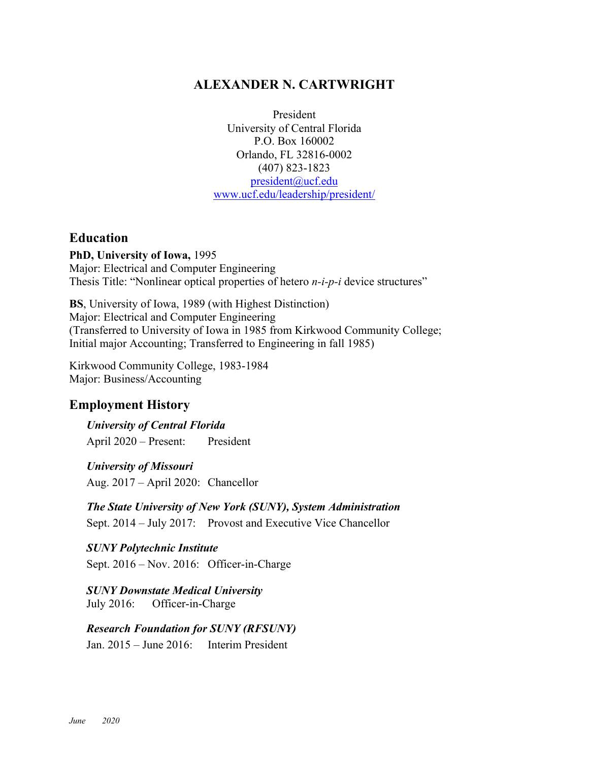# **ALEXANDER N. CARTWRIGHT**

President University of Central Florida P.O. Box 160002 Orlando, FL 32816-0002 (407) 823-1823 president@ucf.edu www.ucf.edu/leadership/president/

## **Education**

**PhD, University of Iowa,** 1995 Major: Electrical and Computer Engineering Thesis Title: "Nonlinear optical properties of hetero *n-i-p-i* device structures"

**BS**, University of Iowa, 1989 (with Highest Distinction) Major: Electrical and Computer Engineering (Transferred to University of Iowa in 1985 from Kirkwood Community College; Initial major Accounting; Transferred to Engineering in fall 1985)

Kirkwood Community College, 1983-1984 Major: Business/Accounting

# **Employment History**

*University of Central Florida* April 2020 – Present: President

*University of Missouri* Aug. 2017 – April 2020: Chancellor

*The State University of New York (SUNY), System Administration* Sept. 2014 – July 2017: Provost and Executive Vice Chancellor

*SUNY Polytechnic Institute* Sept. 2016 – Nov. 2016: Officer-in-Charge

*SUNY Downstate Medical University* July 2016: Officer-in-Charge

*Research Foundation for SUNY (RFSUNY)* Jan. 2015 – June 2016: Interim President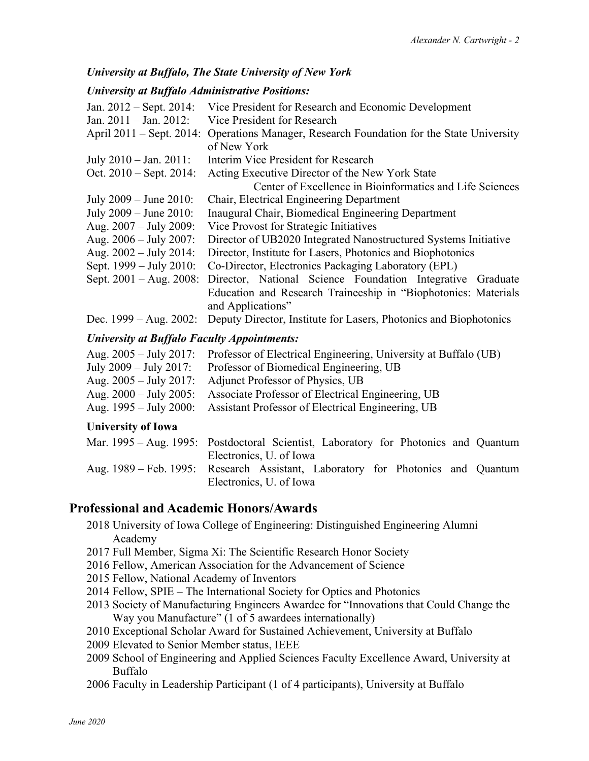## *University at Buffalo, The State University of New York*

#### *University at Buffalo Administrative Positions:*

| Vice President for Research and Economic Development              |
|-------------------------------------------------------------------|
| Vice President for Research                                       |
| Operations Manager, Research Foundation for the State University  |
| of New York                                                       |
| Interim Vice President for Research                               |
| Acting Executive Director of the New York State                   |
| Center of Excellence in Bioinformatics and Life Sciences          |
| Chair, Electrical Engineering Department                          |
| Inaugural Chair, Biomedical Engineering Department                |
| Vice Provost for Strategic Initiatives                            |
| Director of UB2020 Integrated Nanostructured Systems Initiative   |
| Director, Institute for Lasers, Photonics and Biophotonics        |
| Co-Director, Electronics Packaging Laboratory (EPL)               |
| Director, National Science Foundation Integrative Graduate        |
| Education and Research Traineeship in "Biophotonics: Materials    |
| and Applications"                                                 |
| Deputy Director, Institute for Lasers, Photonics and Biophotonics |
|                                                                   |

#### *University at Buffalo Faculty Appointments:*

| Aug. 2005 – July 2017: Professor of Electrical Engineering, University at Buffalo (UB) |
|----------------------------------------------------------------------------------------|
| Professor of Biomedical Engineering, UB                                                |
| Adjunct Professor of Physics, UB                                                       |
| Associate Professor of Electrical Engineering, UB                                      |
| Aug. 1995 – July 2000: Assistant Professor of Electrical Engineering, UB               |
|                                                                                        |

### **University of Iowa**

| Mar. 1995 – Aug. 1995: Postdoctoral Scientist, Laboratory for Photonics and Quantum |
|-------------------------------------------------------------------------------------|
| Electronics, U. of Iowa                                                             |
| Aug. 1989 – Feb. 1995: Research Assistant, Laboratory for Photonics and Quantum     |
| Electronics, U. of Iowa                                                             |

# **Professional and Academic Honors/Awards**

- 2018 University of Iowa College of Engineering: Distinguished Engineering Alumni Academy
- 2017 Full Member, Sigma Xi: The Scientific Research Honor Society
- 2016 Fellow, American Association for the Advancement of Science
- 2015 Fellow, National Academy of Inventors
- 2014 Fellow, SPIE The International Society for Optics and Photonics
- 2013 Society of Manufacturing Engineers Awardee for "Innovations that Could Change the Way you Manufacture" (1 of 5 awardees internationally)
- 2010 Exceptional Scholar Award for Sustained Achievement, University at Buffalo
- 2009 Elevated to Senior Member status, IEEE
- 2009 School of Engineering and Applied Sciences Faculty Excellence Award, University at Buffalo
- 2006 Faculty in Leadership Participant (1 of 4 participants), University at Buffalo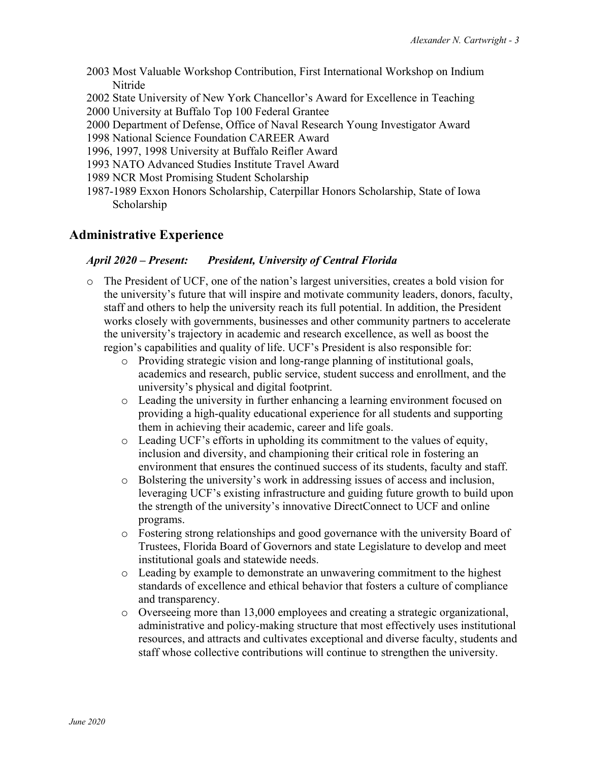- 2003 Most Valuable Workshop Contribution, First International Workshop on Indium Nitride
- 2002 State University of New York Chancellor's Award for Excellence in Teaching
- 2000 University at Buffalo Top 100 Federal Grantee
- 2000 Department of Defense, Office of Naval Research Young Investigator Award
- 1998 National Science Foundation CAREER Award
- 1996, 1997, 1998 University at Buffalo Reifler Award
- 1993 NATO Advanced Studies Institute Travel Award
- 1989 NCR Most Promising Student Scholarship
- 1987-1989 Exxon Honors Scholarship, Caterpillar Honors Scholarship, State of Iowa Scholarship

# **Administrative Experience**

#### *April 2020 – Present: President, University of Central Florida*

- o The President of UCF, one of the nation's largest universities, creates a bold vision for the university's future that will inspire and motivate community leaders, donors, faculty, staff and others to help the university reach its full potential. In addition, the President works closely with governments, businesses and other community partners to accelerate the university's trajectory in academic and research excellence, as well as boost the region's capabilities and quality of life. UCF's President is also responsible for:
	- o Providing strategic vision and long-range planning of institutional goals, academics and research, public service, student success and enrollment, and the university's physical and digital footprint.
	- o Leading the university in further enhancing a learning environment focused on providing a high-quality educational experience for all students and supporting them in achieving their academic, career and life goals.
	- o Leading UCF's efforts in upholding its commitment to the values of equity, inclusion and diversity, and championing their critical role in fostering an environment that ensures the continued success of its students, faculty and staff.
	- o Bolstering the university's work in addressing issues of access and inclusion, leveraging UCF's existing infrastructure and guiding future growth to build upon the strength of the university's innovative DirectConnect to UCF and online programs.
	- o Fostering strong relationships and good governance with the university Board of Trustees, Florida Board of Governors and state Legislature to develop and meet institutional goals and statewide needs.
	- o Leading by example to demonstrate an unwavering commitment to the highest standards of excellence and ethical behavior that fosters a culture of compliance and transparency.
	- o Overseeing more than 13,000 employees and creating a strategic organizational, administrative and policy-making structure that most effectively uses institutional resources, and attracts and cultivates exceptional and diverse faculty, students and staff whose collective contributions will continue to strengthen the university.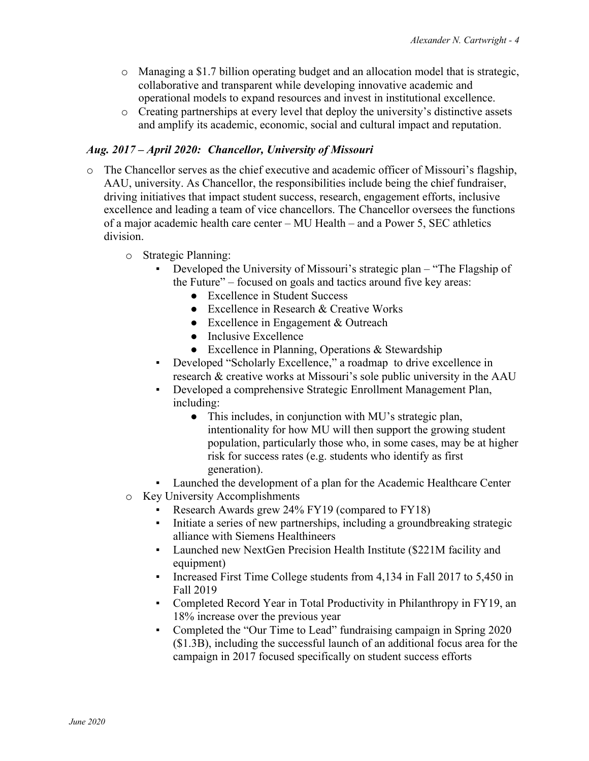- o Managing a \$1.7 billion operating budget and an allocation model that is strategic, collaborative and transparent while developing innovative academic and operational models to expand resources and invest in institutional excellence.
- o Creating partnerships at every level that deploy the university's distinctive assets and amplify its academic, economic, social and cultural impact and reputation.

#### *Aug. 2017 – April 2020: Chancellor, University of Missouri*

- o The Chancellor serves as the chief executive and academic officer of Missouri's flagship, AAU, university. As Chancellor, the responsibilities include being the chief fundraiser, driving initiatives that impact student success, research, engagement efforts, inclusive excellence and leading a team of vice chancellors. The Chancellor oversees the functions of a major academic health care center – MU Health – and a Power 5, SEC athletics division.
	- o Strategic Planning:
		- Developed the University of Missouri's strategic plan "The Flagship of the Future" – focused on goals and tactics around five key areas:
			- Excellence in Student Success
			- $\bullet$  Excellence in Research & Creative Works
			- Excellence in Engagement & Outreach
			- Inclusive Excellence
			- $\bullet$  Excellence in Planning, Operations & Stewardship
		- Developed "Scholarly Excellence," a roadmap to drive excellence in research & creative works at Missouri's sole public university in the AAU
		- Developed a comprehensive Strategic Enrollment Management Plan, including:
			- This includes, in conjunction with MU's strategic plan, intentionality for how MU will then support the growing student population, particularly those who, in some cases, may be at higher risk for success rates (e.g. students who identify as first generation).
		- Launched the development of a plan for the Academic Healthcare Center
	- o Key University Accomplishments
		- Research Awards grew 24% FY19 (compared to FY18)
		- Initiate a series of new partnerships, including a groundbreaking strategic alliance with Siemens Healthineers
		- Launched new NextGen Precision Health Institute (\$221M facility and equipment)
		- **•** Increased First Time College students from 4,134 in Fall 2017 to 5,450 in Fall 2019
		- Completed Record Year in Total Productivity in Philanthropy in FY19, an 18% increase over the previous year
		- Completed the "Our Time to Lead" fundraising campaign in Spring 2020 (\$1.3B), including the successful launch of an additional focus area for the campaign in 2017 focused specifically on student success efforts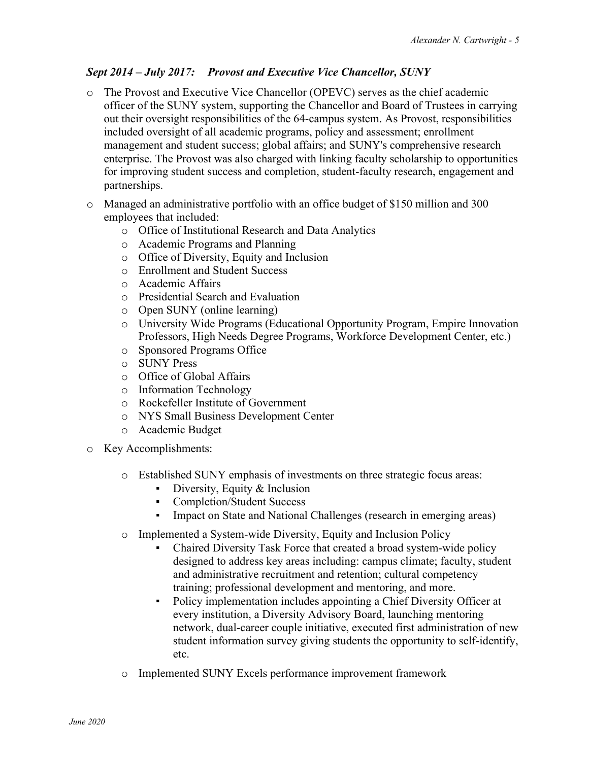# *Sept 2014 – July 2017: Provost and Executive Vice Chancellor, SUNY*

- o The Provost and Executive Vice Chancellor (OPEVC) serves as the chief academic officer of the SUNY system, supporting the Chancellor and Board of Trustees in carrying out their oversight responsibilities of the 64-campus system. As Provost, responsibilities included oversight of all academic programs, policy and assessment; enrollment management and student success; global affairs; and SUNY's comprehensive research enterprise. The Provost was also charged with linking faculty scholarship to opportunities for improving student success and completion, student-faculty research, engagement and partnerships.
- o Managed an administrative portfolio with an office budget of \$150 million and 300 employees that included:
	- o Office of Institutional Research and Data Analytics
	- o Academic Programs and Planning
	- o Office of Diversity, Equity and Inclusion
	- o Enrollment and Student Success
	- o Academic Affairs
	- o Presidential Search and Evaluation
	- o Open SUNY (online learning)
	- o University Wide Programs (Educational Opportunity Program, Empire Innovation Professors, High Needs Degree Programs, Workforce Development Center, etc.)
	- o Sponsored Programs Office
	- o SUNY Press
	- o Office of Global Affairs
	- o Information Technology
	- o Rockefeller Institute of Government
	- o NYS Small Business Development Center
	- o Academic Budget
- o Key Accomplishments:
	- o Established SUNY emphasis of investments on three strategic focus areas:
		- **•** Diversity, Equity  $&$  Inclusion
		- Completion/Student Success
		- Impact on State and National Challenges (research in emerging areas)
	- o Implemented a System-wide Diversity, Equity and Inclusion Policy
		- Chaired Diversity Task Force that created a broad system-wide policy designed to address key areas including: campus climate; faculty, student and administrative recruitment and retention; cultural competency training; professional development and mentoring, and more.
		- Policy implementation includes appointing a Chief Diversity Officer at every institution, a Diversity Advisory Board, launching mentoring network, dual-career couple initiative, executed first administration of new student information survey giving students the opportunity to self-identify, etc.
	- o Implemented SUNY Excels performance improvement framework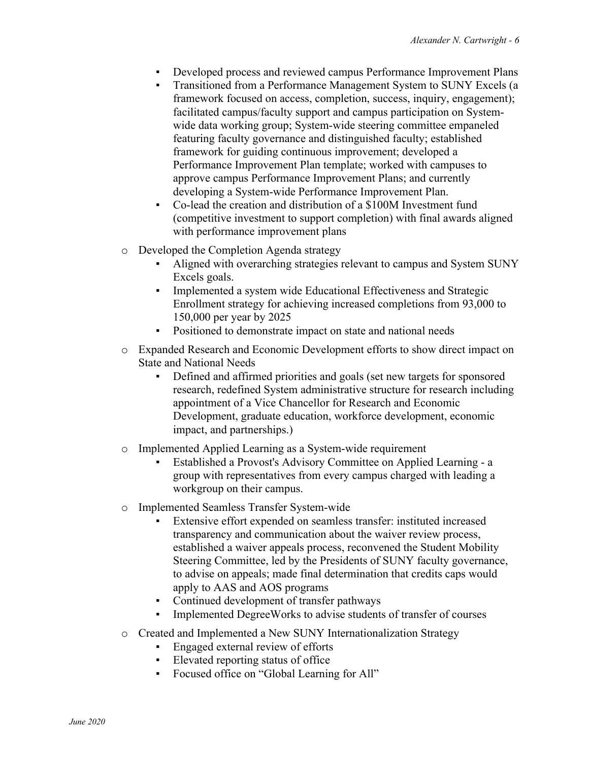- Developed process and reviewed campus Performance Improvement Plans
- Transitioned from a Performance Management System to SUNY Excels (a framework focused on access, completion, success, inquiry, engagement); facilitated campus/faculty support and campus participation on Systemwide data working group; System-wide steering committee empaneled featuring faculty governance and distinguished faculty; established framework for guiding continuous improvement; developed a Performance Improvement Plan template; worked with campuses to approve campus Performance Improvement Plans; and currently developing a System-wide Performance Improvement Plan.
- Co-lead the creation and distribution of a \$100M Investment fund (competitive investment to support completion) with final awards aligned with performance improvement plans
- o Developed the Completion Agenda strategy
	- Aligned with overarching strategies relevant to campus and System SUNY Excels goals.
	- **Implemented a system wide Educational Effectiveness and Strategic** Enrollment strategy for achieving increased completions from 93,000 to 150,000 per year by 2025
	- **•** Positioned to demonstrate impact on state and national needs
- o Expanded Research and Economic Development efforts to show direct impact on State and National Needs
	- Defined and affirmed priorities and goals (set new targets for sponsored research, redefined System administrative structure for research including appointment of a Vice Chancellor for Research and Economic Development, graduate education, workforce development, economic impact, and partnerships.)
- o Implemented Applied Learning as a System-wide requirement
	- Established a Provost's Advisory Committee on Applied Learning a group with representatives from every campus charged with leading a workgroup on their campus.
- o Implemented Seamless Transfer System-wide
	- Extensive effort expended on seamless transfer: instituted increased transparency and communication about the waiver review process, established a waiver appeals process, reconvened the Student Mobility Steering Committee, led by the Presidents of SUNY faculty governance, to advise on appeals; made final determination that credits caps would apply to AAS and AOS programs
	- Continued development of transfer pathways
	- Implemented DegreeWorks to advise students of transfer of courses
- o Created and Implemented a New SUNY Internationalization Strategy
	- Engaged external review of efforts
	- Elevated reporting status of office
	- Focused office on "Global Learning for All"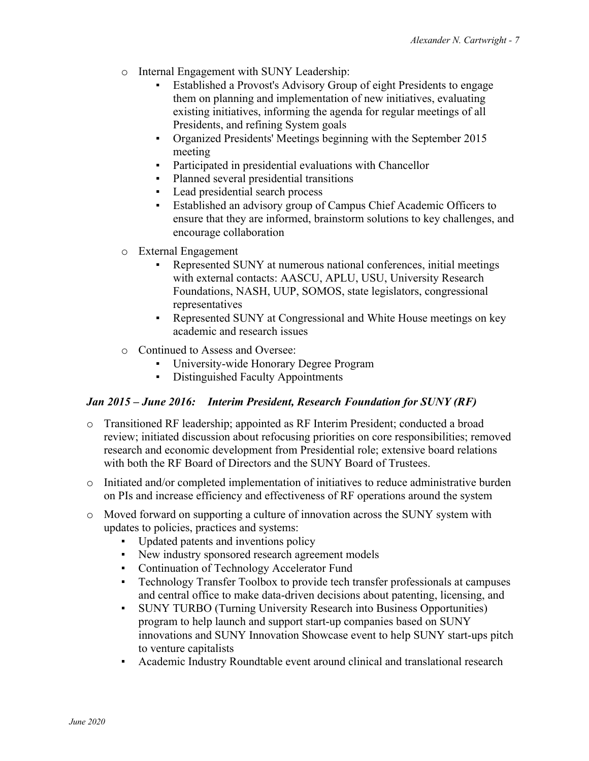- o Internal Engagement with SUNY Leadership:
	- Established a Provost's Advisory Group of eight Presidents to engage them on planning and implementation of new initiatives, evaluating existing initiatives, informing the agenda for regular meetings of all Presidents, and refining System goals
	- Organized Presidents' Meetings beginning with the September 2015 meeting
	- Participated in presidential evaluations with Chancellor
	- Planned several presidential transitions
	- Lead presidential search process
	- Established an advisory group of Campus Chief Academic Officers to ensure that they are informed, brainstorm solutions to key challenges, and encourage collaboration
- o External Engagement
	- Represented SUNY at numerous national conferences, initial meetings with external contacts: AASCU, APLU, USU, University Research Foundations, NASH, UUP, SOMOS, state legislators, congressional representatives
	- Represented SUNY at Congressional and White House meetings on key academic and research issues
- o Continued to Assess and Oversee:
	- University-wide Honorary Degree Program
	- **•** Distinguished Faculty Appointments

### *Jan 2015 – June 2016: Interim President, Research Foundation for SUNY (RF)*

- o Transitioned RF leadership; appointed as RF Interim President; conducted a broad review; initiated discussion about refocusing priorities on core responsibilities; removed research and economic development from Presidential role; extensive board relations with both the RF Board of Directors and the SUNY Board of Trustees.
- o Initiated and/or completed implementation of initiatives to reduce administrative burden on PIs and increase efficiency and effectiveness of RF operations around the system
- o Moved forward on supporting a culture of innovation across the SUNY system with updates to policies, practices and systems:
	- Updated patents and inventions policy
	- New industry sponsored research agreement models
	- **Continuation of Technology Accelerator Fund**
	- Technology Transfer Toolbox to provide tech transfer professionals at campuses and central office to make data-driven decisions about patenting, licensing, and
	- SUNY TURBO (Turning University Research into Business Opportunities) program to help launch and support start-up companies based on SUNY innovations and SUNY Innovation Showcase event to help SUNY start-ups pitch to venture capitalists
	- Academic Industry Roundtable event around clinical and translational research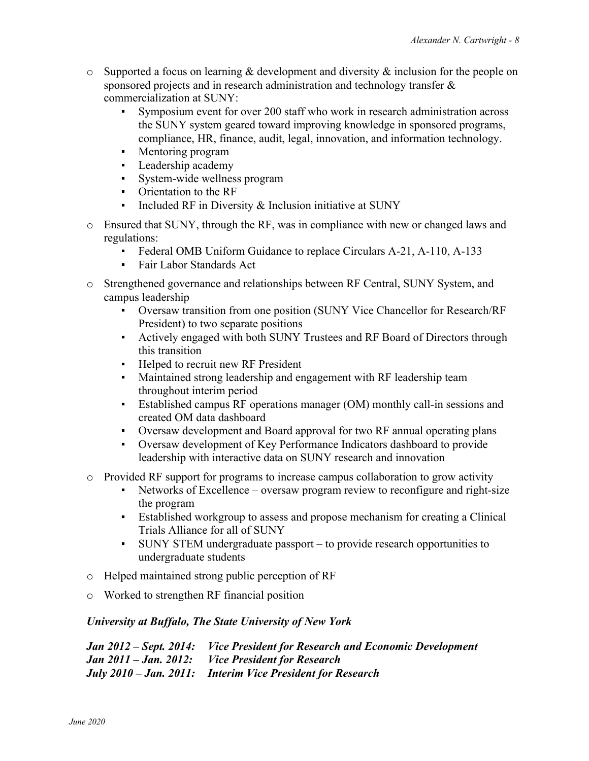- o Supported a focus on learning & development and diversity & inclusion for the people on sponsored projects and in research administration and technology transfer & commercialization at SUNY:
	- Symposium event for over 200 staff who work in research administration across the SUNY system geared toward improving knowledge in sponsored programs, compliance, HR, finance, audit, legal, innovation, and information technology.
	- Mentoring program
	- Leadership academy<br>• Svstem-wide wellnes
	- System-wide wellness program
	- Orientation to the RF
	- **•** Included RF in Diversity  $&$  Inclusion initiative at SUNY
- o Ensured that SUNY, through the RF, was in compliance with new or changed laws and regulations:
	- Federal OMB Uniform Guidance to replace Circulars A-21, A-110, A-133
	- Fair Labor Standards Act
- o Strengthened governance and relationships between RF Central, SUNY System, and campus leadership
	- Oversaw transition from one position (SUNY Vice Chancellor for Research/RF President) to two separate positions
	- Actively engaged with both SUNY Trustees and RF Board of Directors through this transition
	- **•** Helped to recruit new RF President
	- Maintained strong leadership and engagement with RF leadership team throughout interim period
	- Established campus RF operations manager (OM) monthly call-in sessions and created OM data dashboard
	- Oversaw development and Board approval for two RF annual operating plans
	- Oversaw development of Key Performance Indicators dashboard to provide leadership with interactive data on SUNY research and innovation
- o Provided RF support for programs to increase campus collaboration to grow activity
	- Networks of Excellence oversaw program review to reconfigure and right-size the program
	- Established workgroup to assess and propose mechanism for creating a Clinical Trials Alliance for all of SUNY
	- SUNY STEM undergraduate passport to provide research opportunities to undergraduate students
- o Helped maintained strong public perception of RF
- o Worked to strengthen RF financial position

### *University at Buffalo, The State University of New York*

*Jan 2012 – Sept. 2014: Vice President for Research and Economic Development Jan 2011 – Jan. 2012: Vice President for Research July 2010 – Jan. 2011: Interim Vice President for Research*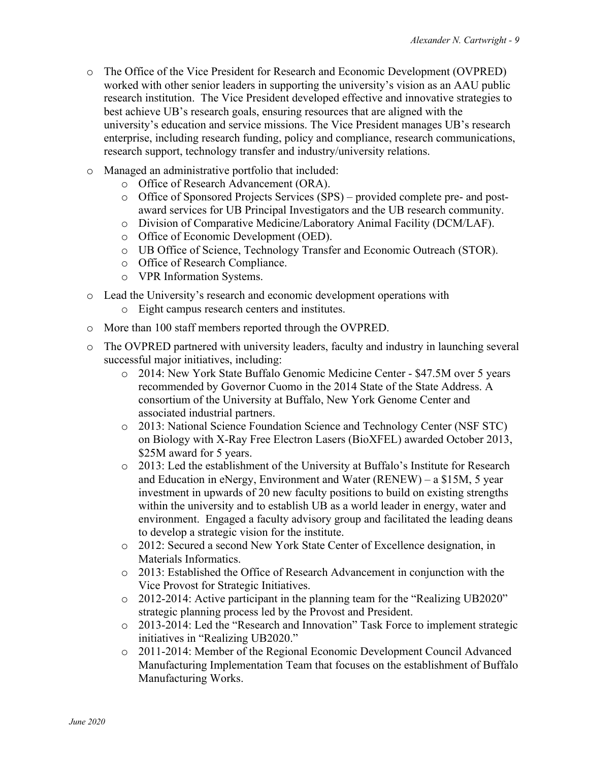- o The Office of the Vice President for Research and Economic Development (OVPRED) worked with other senior leaders in supporting the university's vision as an AAU public research institution. The Vice President developed effective and innovative strategies to best achieve UB's research goals, ensuring resources that are aligned with the university's education and service missions. The Vice President manages UB's research enterprise, including research funding, policy and compliance, research communications, research support, technology transfer and industry/university relations.
- o Managed an administrative portfolio that included:
	- o Office of Research Advancement (ORA).
	- o Office of Sponsored Projects Services (SPS) provided complete pre- and postaward services for UB Principal Investigators and the UB research community.
	- o Division of Comparative Medicine/Laboratory Animal Facility (DCM/LAF).
	- o Office of Economic Development (OED).
	- o UB Office of Science, Technology Transfer and Economic Outreach (STOR).
	- o Office of Research Compliance.
	- o VPR Information Systems.
- o Lead the University's research and economic development operations with
	- o Eight campus research centers and institutes.
- o More than 100 staff members reported through the OVPRED.
- o The OVPRED partnered with university leaders, faculty and industry in launching several successful major initiatives, including:
	- o 2014: New York State Buffalo Genomic Medicine Center \$47.5M over 5 years recommended by Governor Cuomo in the 2014 State of the State Address. A consortium of the University at Buffalo, New York Genome Center and associated industrial partners.
	- o 2013: National Science Foundation Science and Technology Center (NSF STC) on Biology with X-Ray Free Electron Lasers (BioXFEL) awarded October 2013, \$25M award for 5 years.
	- o 2013: Led the establishment of the University at Buffalo's Institute for Research and Education in eNergy, Environment and Water (RENEW) – a \$15M, 5 year investment in upwards of 20 new faculty positions to build on existing strengths within the university and to establish UB as a world leader in energy, water and environment. Engaged a faculty advisory group and facilitated the leading deans to develop a strategic vision for the institute.
	- o 2012: Secured a second New York State Center of Excellence designation, in Materials Informatics.
	- o 2013: Established the Office of Research Advancement in conjunction with the Vice Provost for Strategic Initiatives.
	- o 2012-2014: Active participant in the planning team for the "Realizing UB2020" strategic planning process led by the Provost and President.
	- o 2013-2014: Led the "Research and Innovation" Task Force to implement strategic initiatives in "Realizing UB2020."
	- o 2011-2014: Member of the Regional Economic Development Council Advanced Manufacturing Implementation Team that focuses on the establishment of Buffalo Manufacturing Works.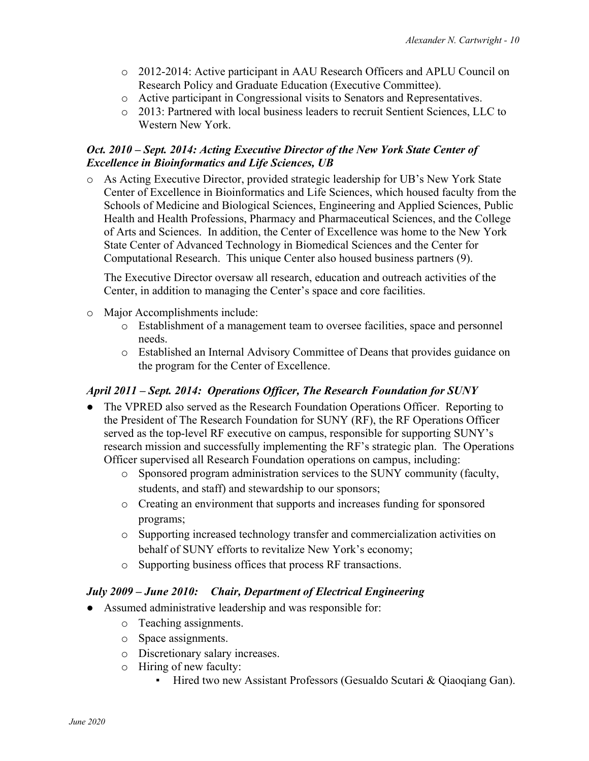- o 2012-2014: Active participant in AAU Research Officers and APLU Council on Research Policy and Graduate Education (Executive Committee).
- o Active participant in Congressional visits to Senators and Representatives.
- o 2013: Partnered with local business leaders to recruit Sentient Sciences, LLC to Western New York.

#### *Oct. 2010 – Sept. 2014: Acting Executive Director of the New York State Center of Excellence in Bioinformatics and Life Sciences, UB*

o As Acting Executive Director, provided strategic leadership for UB's New York State Center of Excellence in Bioinformatics and Life Sciences, which housed faculty from the Schools of Medicine and Biological Sciences, Engineering and Applied Sciences, Public Health and Health Professions, Pharmacy and Pharmaceutical Sciences, and the College of Arts and Sciences. In addition, the Center of Excellence was home to the New York State Center of Advanced Technology in Biomedical Sciences and the Center for Computational Research. This unique Center also housed business partners (9).

The Executive Director oversaw all research, education and outreach activities of the Center, in addition to managing the Center's space and core facilities.

- o Major Accomplishments include:
	- o Establishment of a management team to oversee facilities, space and personnel needs.
	- o Established an Internal Advisory Committee of Deans that provides guidance on the program for the Center of Excellence.

### *April 2011 – Sept. 2014: Operations Officer, The Research Foundation for SUNY*

- The VPRED also served as the Research Foundation Operations Officer. Reporting to the President of The Research Foundation for SUNY (RF), the RF Operations Officer served as the top-level RF executive on campus, responsible for supporting SUNY's research mission and successfully implementing the RF's strategic plan. The Operations Officer supervised all Research Foundation operations on campus, including:
	- o Sponsored program administration services to the SUNY community (faculty, students, and staff) and stewardship to our sponsors;
	- o Creating an environment that supports and increases funding for sponsored programs;
	- o Supporting increased technology transfer and commercialization activities on behalf of SUNY efforts to revitalize New York's economy;
	- o Supporting business offices that process RF transactions.

### *July 2009 – June 2010: Chair, Department of Electrical Engineering*

- Assumed administrative leadership and was responsible for:
	- o Teaching assignments.
	- o Space assignments.
	- o Discretionary salary increases.
	- o Hiring of new faculty:
		- Hired two new Assistant Professors (Gesualdo Scutari & Qiaoqiang Gan).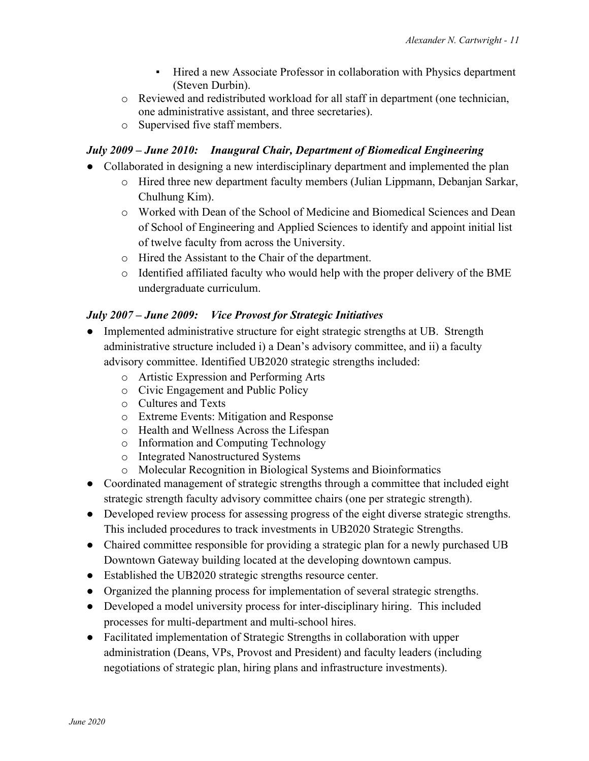- Hired a new Associate Professor in collaboration with Physics department (Steven Durbin).
- o Reviewed and redistributed workload for all staff in department (one technician, one administrative assistant, and three secretaries).
- o Supervised five staff members.

#### *July 2009 – June 2010: Inaugural Chair, Department of Biomedical Engineering*

- Collaborated in designing a new interdisciplinary department and implemented the plan
	- o Hired three new department faculty members (Julian Lippmann, Debanjan Sarkar, Chulhung Kim).
	- o Worked with Dean of the School of Medicine and Biomedical Sciences and Dean of School of Engineering and Applied Sciences to identify and appoint initial list of twelve faculty from across the University.
	- o Hired the Assistant to the Chair of the department.
	- o Identified affiliated faculty who would help with the proper delivery of the BME undergraduate curriculum.

### *July 2007 – June 2009: Vice Provost for Strategic Initiatives*

- Implemented administrative structure for eight strategic strengths at UB. Strength administrative structure included i) a Dean's advisory committee, and ii) a faculty advisory committee. Identified UB2020 strategic strengths included:
	- o Artistic Expression and Performing Arts
	- o Civic Engagement and Public Policy
	- o Cultures and Texts
	- o Extreme Events: Mitigation and Response
	- o Health and Wellness Across the Lifespan
	- o Information and Computing Technology
	- o Integrated Nanostructured Systems
	- o Molecular Recognition in Biological Systems and Bioinformatics
- Coordinated management of strategic strengths through a committee that included eight strategic strength faculty advisory committee chairs (one per strategic strength).
- Developed review process for assessing progress of the eight diverse strategic strengths. This included procedures to track investments in UB2020 Strategic Strengths.
- Chaired committee responsible for providing a strategic plan for a newly purchased UB Downtown Gateway building located at the developing downtown campus.
- Established the UB2020 strategic strengths resource center.
- Organized the planning process for implementation of several strategic strengths.
- Developed a model university process for inter-disciplinary hiring. This included processes for multi-department and multi-school hires.
- Facilitated implementation of Strategic Strengths in collaboration with upper administration (Deans, VPs, Provost and President) and faculty leaders (including negotiations of strategic plan, hiring plans and infrastructure investments).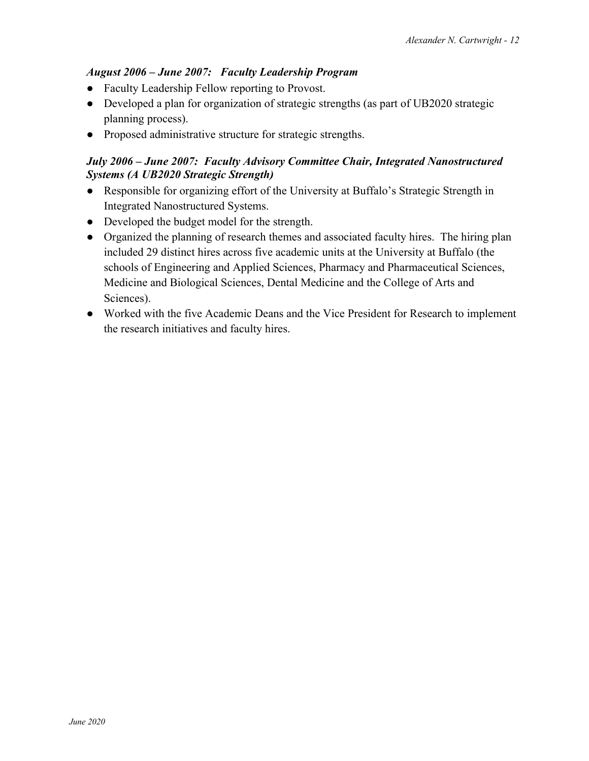# *August 2006 – June 2007: Faculty Leadership Program*

- Faculty Leadership Fellow reporting to Provost.
- Developed a plan for organization of strategic strengths (as part of UB2020 strategic planning process).
- Proposed administrative structure for strategic strengths.

### *July 2006 – June 2007: Faculty Advisory Committee Chair, Integrated Nanostructured Systems (A UB2020 Strategic Strength)*

- Responsible for organizing effort of the University at Buffalo's Strategic Strength in Integrated Nanostructured Systems.
- Developed the budget model for the strength.
- Organized the planning of research themes and associated faculty hires. The hiring plan included 29 distinct hires across five academic units at the University at Buffalo (the schools of Engineering and Applied Sciences, Pharmacy and Pharmaceutical Sciences, Medicine and Biological Sciences, Dental Medicine and the College of Arts and Sciences).
- Worked with the five Academic Deans and the Vice President for Research to implement the research initiatives and faculty hires.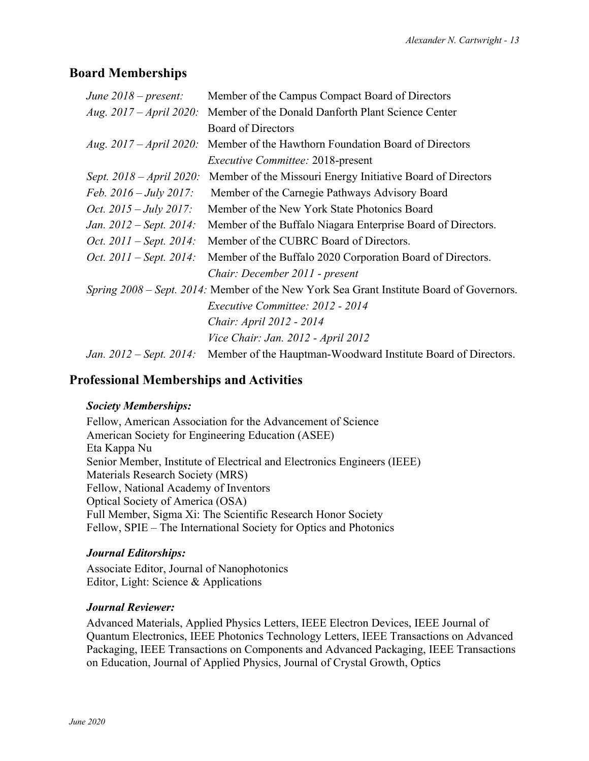# **Board Memberships**

| June $2018$ – present:            | Member of the Campus Compact Board of Directors                                          |
|-----------------------------------|------------------------------------------------------------------------------------------|
| Aug. $2017 - April 2020$ :        | Member of the Donald Danforth Plant Science Center                                       |
|                                   | <b>Board of Directors</b>                                                                |
| <i>Aug.</i> $2017 - April 2020$ : | Member of the Hawthorn Foundation Board of Directors                                     |
|                                   | <i>Executive Committee: 2018-present</i>                                                 |
| Sept. 2018 – April 2020:          | Member of the Missouri Energy Initiative Board of Directors                              |
| Feb. $2016 - July 2017$ :         | Member of the Carnegie Pathways Advisory Board                                           |
| <i>Oct.</i> $2015 - July 2017$ :  | Member of the New York State Photonics Board                                             |
| Jan. 2012 – Sept. 2014:           | Member of the Buffalo Niagara Enterprise Board of Directors.                             |
| Oct. $2011 -$ Sept. $2014$ :      | Member of the CUBRC Board of Directors.                                                  |
| <i>Oct.</i> $2011 - Sept. 2014$ : | Member of the Buffalo 2020 Corporation Board of Directors.                               |
|                                   | Chair: December 2011 - present                                                           |
|                                   | Spring 2008 – Sept. 2014: Member of the New York Sea Grant Institute Board of Governors. |
|                                   | Executive Committee: 2012 - 2014                                                         |
|                                   | Chair: April 2012 - 2014                                                                 |
|                                   | Vice Chair: Jan. 2012 - April 2012                                                       |
| Jan. $2012 - Sept. 2014$ :        | Member of the Hauptman-Woodward Institute Board of Directors.                            |

# **Professional Memberships and Activities**

### *Society Memberships:*

 Fellow, American Association for the Advancement of Science American Society for Engineering Education (ASEE) Eta Kappa Nu Senior Member, Institute of Electrical and Electronics Engineers (IEEE) Materials Research Society (MRS) Fellow, National Academy of Inventors Optical Society of America (OSA) Full Member, Sigma Xi: The Scientific Research Honor Society Fellow, SPIE – The International Society for Optics and Photonics

### *Journal Editorships:*

Associate Editor, Journal of Nanophotonics Editor, Light: Science & Applications

#### *Journal Reviewer:*

Advanced Materials, Applied Physics Letters, IEEE Electron Devices, IEEE Journal of Quantum Electronics, IEEE Photonics Technology Letters, IEEE Transactions on Advanced Packaging, IEEE Transactions on Components and Advanced Packaging, IEEE Transactions on Education, Journal of Applied Physics, Journal of Crystal Growth, Optics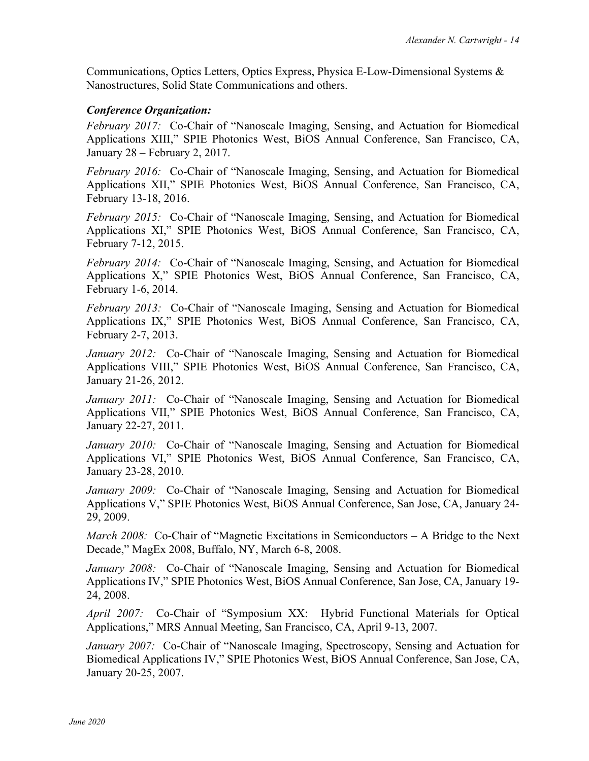Communications, Optics Letters, Optics Express, Physica E*-*Low-Dimensional Systems & Nanostructures, Solid State Communications and others.

#### *Conference Organization:*

*February 2017:* Co-Chair of "Nanoscale Imaging, Sensing, and Actuation for Biomedical Applications XIII," SPIE Photonics West, BiOS Annual Conference, San Francisco, CA, January 28 – February 2, 2017.

*February 2016:* Co-Chair of "Nanoscale Imaging, Sensing, and Actuation for Biomedical Applications XII," SPIE Photonics West, BiOS Annual Conference, San Francisco, CA, February 13-18, 2016.

*February 2015:* Co-Chair of "Nanoscale Imaging, Sensing, and Actuation for Biomedical Applications XI," SPIE Photonics West, BiOS Annual Conference, San Francisco, CA, February 7-12, 2015.

*February 2014:* Co-Chair of "Nanoscale Imaging, Sensing, and Actuation for Biomedical Applications X," SPIE Photonics West, BiOS Annual Conference, San Francisco, CA, February 1-6, 2014.

*February 2013:* Co-Chair of "Nanoscale Imaging, Sensing and Actuation for Biomedical Applications IX," SPIE Photonics West, BiOS Annual Conference, San Francisco, CA, February 2-7, 2013.

*January 2012:* Co-Chair of "Nanoscale Imaging, Sensing and Actuation for Biomedical Applications VIII," SPIE Photonics West, BiOS Annual Conference, San Francisco, CA, January 21-26, 2012.

*January 2011:* Co-Chair of "Nanoscale Imaging, Sensing and Actuation for Biomedical Applications VII," SPIE Photonics West, BiOS Annual Conference, San Francisco, CA, January 22-27, 2011.

*January 2010:* Co-Chair of "Nanoscale Imaging, Sensing and Actuation for Biomedical Applications VI," SPIE Photonics West, BiOS Annual Conference, San Francisco, CA, January 23-28, 2010.

*January 2009:* Co-Chair of "Nanoscale Imaging, Sensing and Actuation for Biomedical Applications V," SPIE Photonics West, BiOS Annual Conference, San Jose, CA, January 24- 29, 2009.

*March 2008:* Co-Chair of "Magnetic Excitations in Semiconductors – A Bridge to the Next Decade," MagEx 2008, Buffalo, NY, March 6-8, 2008.

*January 2008:* Co-Chair of "Nanoscale Imaging, Sensing and Actuation for Biomedical Applications IV," SPIE Photonics West, BiOS Annual Conference, San Jose, CA, January 19- 24, 2008.

*April 2007:* Co-Chair of "Symposium XX: Hybrid Functional Materials for Optical Applications," MRS Annual Meeting, San Francisco, CA, April 9-13, 2007.

*January 2007:* Co-Chair of "Nanoscale Imaging, Spectroscopy, Sensing and Actuation for Biomedical Applications IV," SPIE Photonics West, BiOS Annual Conference, San Jose, CA, January 20-25, 2007.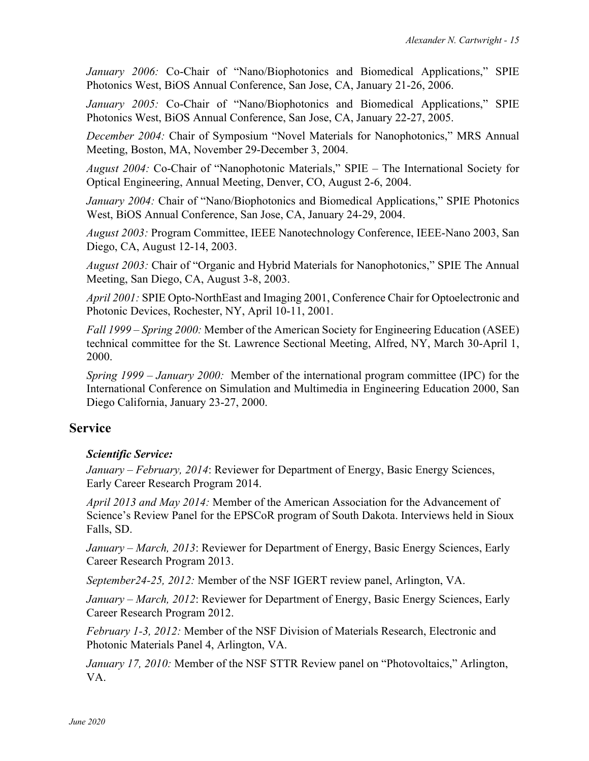*January 2006:* Co-Chair of "Nano/Biophotonics and Biomedical Applications," SPIE Photonics West, BiOS Annual Conference, San Jose, CA, January 21-26, 2006.

*January 2005:* Co-Chair of "Nano/Biophotonics and Biomedical Applications," SPIE Photonics West, BiOS Annual Conference, San Jose, CA, January 22-27, 2005.

*December 2004:* Chair of Symposium "Novel Materials for Nanophotonics," MRS Annual Meeting, Boston, MA, November 29-December 3, 2004.

*August 2004:* Co-Chair of "Nanophotonic Materials," SPIE – The International Society for Optical Engineering, Annual Meeting, Denver, CO, August 2-6, 2004.

*January 2004:* Chair of "Nano/Biophotonics and Biomedical Applications," SPIE Photonics West, BiOS Annual Conference, San Jose, CA, January 24-29, 2004.

*August 2003:* Program Committee, IEEE Nanotechnology Conference, IEEE-Nano 2003, San Diego, CA, August 12-14, 2003.

*August 2003:* Chair of "Organic and Hybrid Materials for Nanophotonics," SPIE The Annual Meeting, San Diego, CA, August 3-8, 2003.

*April 2001:* SPIE Opto-NorthEast and Imaging 2001, Conference Chair for Optoelectronic and Photonic Devices, Rochester, NY, April 10-11, 2001.

*Fall 1999 – Spring 2000:* Member of the American Society for Engineering Education (ASEE) technical committee for the St. Lawrence Sectional Meeting, Alfred, NY, March 30-April 1, 2000.

*Spring 1999 – January 2000:* Member of the international program committee (IPC) for the International Conference on Simulation and Multimedia in Engineering Education 2000, San Diego California, January 23-27, 2000.

# **Service**

# *Scientific Service:*

*January – February, 2014*: Reviewer for Department of Energy, Basic Energy Sciences, Early Career Research Program 2014.

*April 2013 and May 2014:* Member of the American Association for the Advancement of Science's Review Panel for the EPSCoR program of South Dakota. Interviews held in Sioux Falls, SD.

*January – March, 2013*: Reviewer for Department of Energy, Basic Energy Sciences, Early Career Research Program 2013.

*September24-25, 2012:* Member of the NSF IGERT review panel, Arlington, VA.

*January – March, 2012*: Reviewer for Department of Energy, Basic Energy Sciences, Early Career Research Program 2012.

*February 1-3, 2012:* Member of the NSF Division of Materials Research, Electronic and Photonic Materials Panel 4, Arlington, VA.

*January 17, 2010:* Member of the NSF STTR Review panel on "Photovoltaics," Arlington, VA.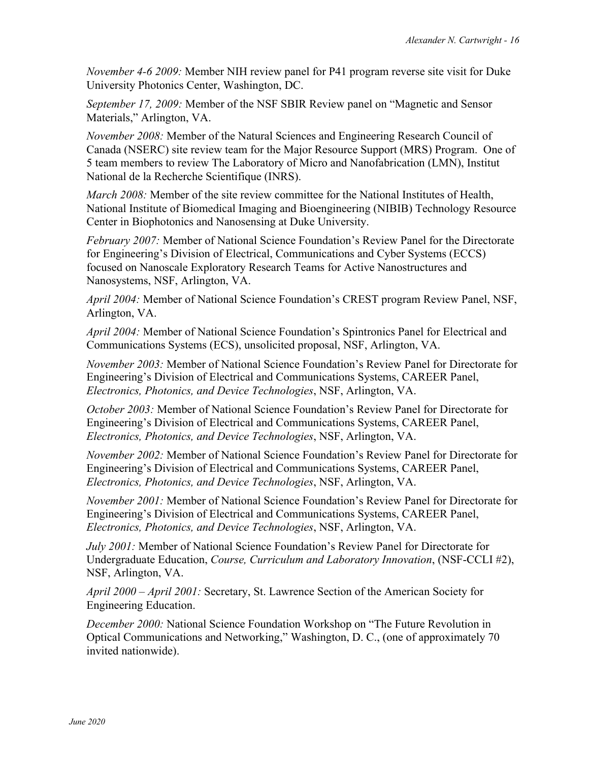*November 4-6 2009:* Member NIH review panel for P41 program reverse site visit for Duke University Photonics Center, Washington, DC.

*September 17, 2009:* Member of the NSF SBIR Review panel on "Magnetic and Sensor Materials," Arlington, VA.

*November 2008:* Member of the Natural Sciences and Engineering Research Council of Canada (NSERC) site review team for the Major Resource Support (MRS) Program. One of 5 team members to review The Laboratory of Micro and Nanofabrication (LMN), Institut National de la Recherche Scientifique (INRS).

*March 2008:* Member of the site review committee for the National Institutes of Health, National Institute of Biomedical Imaging and Bioengineering (NIBIB) Technology Resource Center in Biophotonics and Nanosensing at Duke University.

*February 2007:* Member of National Science Foundation's Review Panel for the Directorate for Engineering's Division of Electrical, Communications and Cyber Systems (ECCS) focused on Nanoscale Exploratory Research Teams for Active Nanostructures and Nanosystems, NSF, Arlington, VA.

*April 2004:* Member of National Science Foundation's CREST program Review Panel, NSF, Arlington, VA.

*April 2004:* Member of National Science Foundation's Spintronics Panel for Electrical and Communications Systems (ECS), unsolicited proposal, NSF, Arlington, VA.

*November 2003:* Member of National Science Foundation's Review Panel for Directorate for Engineering's Division of Electrical and Communications Systems, CAREER Panel, *Electronics, Photonics, and Device Technologies*, NSF, Arlington, VA.

*October 2003:* Member of National Science Foundation's Review Panel for Directorate for Engineering's Division of Electrical and Communications Systems, CAREER Panel, *Electronics, Photonics, and Device Technologies*, NSF, Arlington, VA.

*November 2002:* Member of National Science Foundation's Review Panel for Directorate for Engineering's Division of Electrical and Communications Systems, CAREER Panel, *Electronics, Photonics, and Device Technologies*, NSF, Arlington, VA.

*November 2001:* Member of National Science Foundation's Review Panel for Directorate for Engineering's Division of Electrical and Communications Systems, CAREER Panel, *Electronics, Photonics, and Device Technologies*, NSF, Arlington, VA.

*July 2001:* Member of National Science Foundation's Review Panel for Directorate for Undergraduate Education, *Course, Curriculum and Laboratory Innovation*, (NSF-CCLI #2), NSF, Arlington, VA.

*April 2000 – April 2001:* Secretary, St. Lawrence Section of the American Society for Engineering Education.

*December 2000:* National Science Foundation Workshop on "The Future Revolution in Optical Communications and Networking," Washington, D. C., (one of approximately 70 invited nationwide).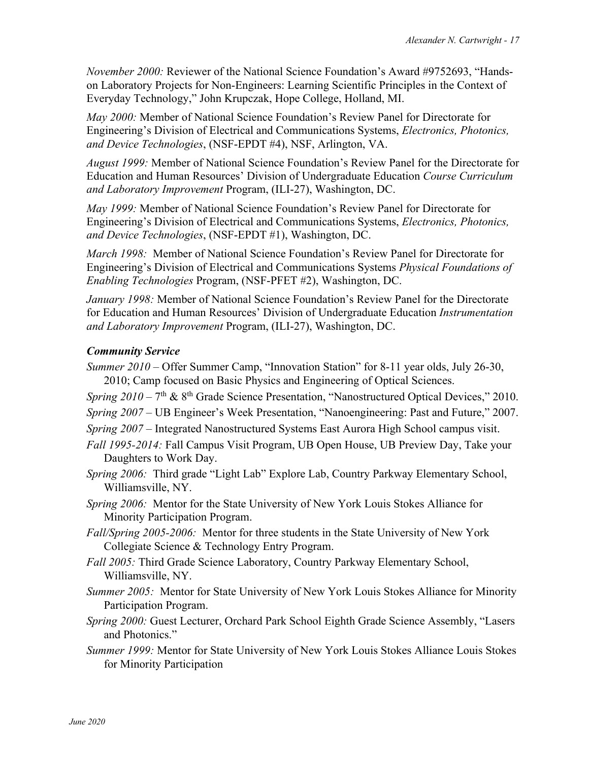*November 2000:* Reviewer of the National Science Foundation's Award #9752693, "Handson Laboratory Projects for Non-Engineers: Learning Scientific Principles in the Context of Everyday Technology," John Krupczak, Hope College, Holland, MI.

*May 2000:* Member of National Science Foundation's Review Panel for Directorate for Engineering's Division of Electrical and Communications Systems, *Electronics, Photonics, and Device Technologies*, (NSF-EPDT #4), NSF, Arlington, VA.

*August 1999:* Member of National Science Foundation's Review Panel for the Directorate for Education and Human Resources' Division of Undergraduate Education *Course Curriculum and Laboratory Improvement* Program, (ILI-27), Washington, DC.

*May 1999:* Member of National Science Foundation's Review Panel for Directorate for Engineering's Division of Electrical and Communications Systems, *Electronics, Photonics, and Device Technologies*, (NSF-EPDT #1), Washington, DC.

*March 1998:* Member of National Science Foundation's Review Panel for Directorate for Engineering's Division of Electrical and Communications Systems *Physical Foundations of Enabling Technologies* Program, (NSF-PFET #2), Washington, DC.

*January 1998:* Member of National Science Foundation's Review Panel for the Directorate for Education and Human Resources' Division of Undergraduate Education *Instrumentation and Laboratory Improvement* Program, (ILI-27), Washington, DC.

### *Community Service*

- *Summer 2010* Offer Summer Camp, "Innovation Station" for 8-11 year olds, July 26-30, 2010; Camp focused on Basic Physics and Engineering of Optical Sciences.
- *Spring 2010* 7<sup>th</sup> & 8<sup>th</sup> Grade Science Presentation, "Nanostructured Optical Devices," 2010.
- *Spring 2007 –* UB Engineer's Week Presentation, "Nanoengineering: Past and Future," 2007.
- *Spring 2007 –* Integrated Nanostructured Systems East Aurora High School campus visit.
- *Fall 1995-2014:* Fall Campus Visit Program, UB Open House, UB Preview Day, Take your Daughters to Work Day.
- *Spring 2006:* Third grade "Light Lab" Explore Lab, Country Parkway Elementary School, Williamsville, NY.
- *Spring 2006:* Mentor for the State University of New York Louis Stokes Alliance for Minority Participation Program.
- *Fall/Spring 2005-2006:* Mentor for three students in the State University of New York Collegiate Science & Technology Entry Program.
- *Fall 2005:* Third Grade Science Laboratory, Country Parkway Elementary School, Williamsville, NY.
- *Summer 2005:* Mentor for State University of New York Louis Stokes Alliance for Minority Participation Program.
- *Spring 2000:* Guest Lecturer, Orchard Park School Eighth Grade Science Assembly, "Lasers and Photonics."
- *Summer 1999:* Mentor for State University of New York Louis Stokes Alliance Louis Stokes for Minority Participation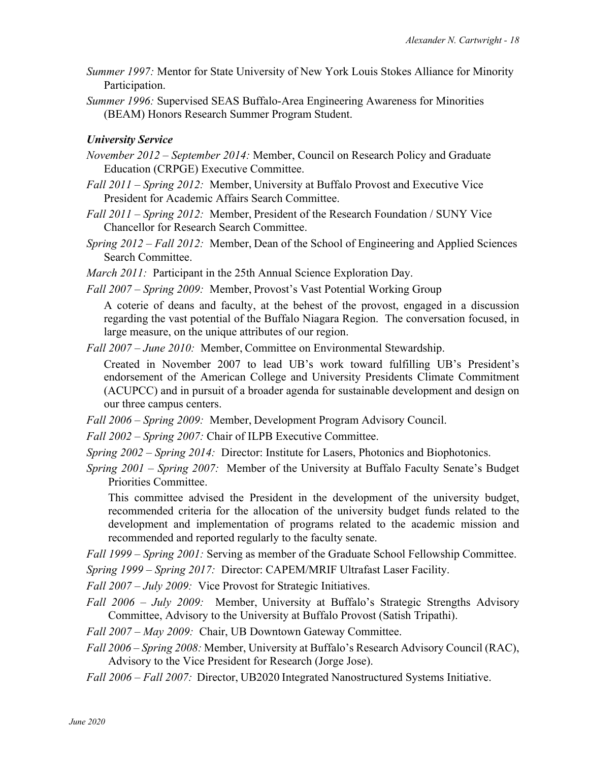- *Summer 1997:* Mentor for State University of New York Louis Stokes Alliance for Minority Participation.
- *Summer 1996:* Supervised SEAS Buffalo-Area Engineering Awareness for Minorities (BEAM) Honors Research Summer Program Student.

### *University Service*

- *November 2012 – September 2014:* Member, Council on Research Policy and Graduate Education (CRPGE) Executive Committee.
- *Fall 2011 – Spring 2012:* Member, University at Buffalo Provost and Executive Vice President for Academic Affairs Search Committee.
- *Fall 2011 – Spring 2012:* Member, President of the Research Foundation / SUNY Vice Chancellor for Research Search Committee.
- *Spring 2012 – Fall 2012:* Member, Dean of the School of Engineering and Applied Sciences Search Committee.
- *March 2011:* Participant in the 25th Annual Science Exploration Day.
- *Fall 2007 – Spring 2009:* Member, Provost's Vast Potential Working Group

A coterie of deans and faculty, at the behest of the provost, engaged in a discussion regarding the vast potential of the Buffalo Niagara Region. The conversation focused, in large measure, on the unique attributes of our region.

*Fall 2007 – June 2010:* Member, Committee on Environmental Stewardship.

Created in November 2007 to lead UB's work toward fulfilling UB's President's endorsement of the American College and University Presidents Climate Commitment (ACUPCC) and in pursuit of a broader agenda for sustainable development and design on our three campus centers.

- *Fall 2006 – Spring 2009:* Member, Development Program Advisory Council.
- *Fall 2002 – Spring 2007:* Chair of ILPB Executive Committee.
- *Spring 2002 – Spring 2014:* Director: Institute for Lasers, Photonics and Biophotonics.
- *Spring 2001 – Spring 2007:* Member of the University at Buffalo Faculty Senate's Budget Priorities Committee.

This committee advised the President in the development of the university budget, recommended criteria for the allocation of the university budget funds related to the development and implementation of programs related to the academic mission and recommended and reported regularly to the faculty senate.

*Fall 1999 – Spring 2001:* Serving as member of the Graduate School Fellowship Committee.

*Spring 1999 – Spring 2017:* Director: CAPEM/MRIF Ultrafast Laser Facility.

*Fall 2007 – July 2009:* Vice Provost for Strategic Initiatives.

- *Fall 2006 – July 2009:* Member, University at Buffalo's Strategic Strengths Advisory Committee, Advisory to the University at Buffalo Provost (Satish Tripathi).
- *Fall 2007 – May 2009:* Chair, UB Downtown Gateway Committee.
- *Fall 2006 – Spring 2008:* Member, University at Buffalo's Research Advisory Council (RAC), Advisory to the Vice President for Research (Jorge Jose).
- *Fall 2006 – Fall 2007:* Director, UB2020 Integrated Nanostructured Systems Initiative.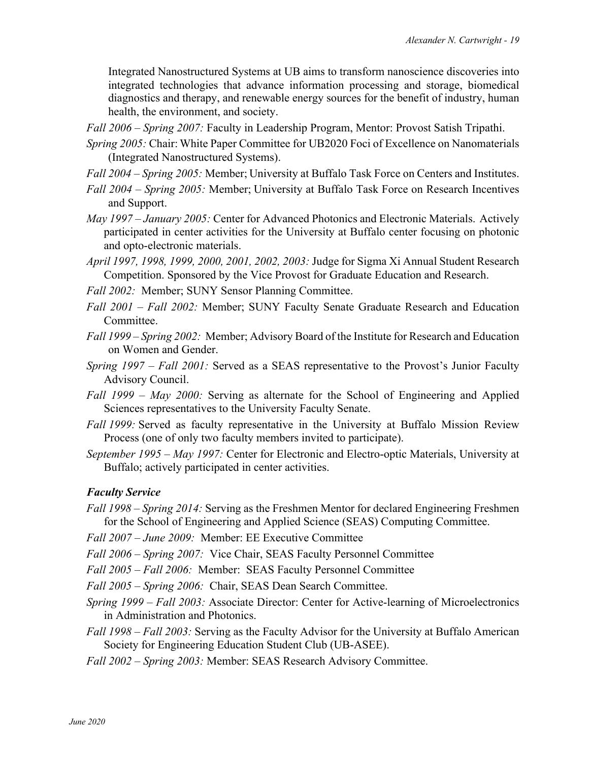Integrated Nanostructured Systems at UB aims to transform nanoscience discoveries into integrated technologies that advance information processing and storage, biomedical diagnostics and therapy, and renewable energy sources for the benefit of industry, human health, the environment, and society.

*Fall 2006 – Spring 2007:* Faculty in Leadership Program, Mentor: Provost Satish Tripathi.

- *Spring 2005:* Chair: White Paper Committee for UB2020 Foci of Excellence on Nanomaterials (Integrated Nanostructured Systems).
- *Fall 2004 – Spring 2005:* Member; University at Buffalo Task Force on Centers and Institutes.
- *Fall 2004 – Spring 2005:* Member; University at Buffalo Task Force on Research Incentives and Support.
- *May 1997 – January 2005:* Center for Advanced Photonics and Electronic Materials. Actively participated in center activities for the University at Buffalo center focusing on photonic and opto-electronic materials.
- *April 1997, 1998, 1999, 2000, 2001, 2002, 2003:* Judge for Sigma Xi Annual Student Research Competition. Sponsored by the Vice Provost for Graduate Education and Research.
- *Fall 2002:* Member; SUNY Sensor Planning Committee.
- *Fall 2001 – Fall 2002:* Member; SUNY Faculty Senate Graduate Research and Education Committee.
- *Fall 1999 – Spring 2002:* Member; Advisory Board of the Institute for Research and Education on Women and Gender.
- *Spring 1997 – Fall 2001:* Served as a SEAS representative to the Provost's Junior Faculty Advisory Council.
- *Fall 1999 – May 2000:* Serving as alternate for the School of Engineering and Applied Sciences representatives to the University Faculty Senate.
- *Fall 1999:* Served as faculty representative in the University at Buffalo Mission Review Process (one of only two faculty members invited to participate).
- *September 1995 – May 1997:* Center for Electronic and Electro-optic Materials, University at Buffalo; actively participated in center activities.

### *Faculty Service*

- *Fall 1998 – Spring 2014:* Serving as the Freshmen Mentor for declared Engineering Freshmen for the School of Engineering and Applied Science (SEAS) Computing Committee.
- *Fall 2007 – June 2009:* Member: EE Executive Committee

*Fall 2006 – Spring 2007:* Vice Chair, SEAS Faculty Personnel Committee

- *Fall 2005 – Fall 2006:* Member: SEAS Faculty Personnel Committee
- *Fall 2005 – Spring 2006:* Chair, SEAS Dean Search Committee.
- *Spring 1999 – Fall 2003:* Associate Director: Center for Active-learning of Microelectronics in Administration and Photonics.
- *Fall 1998 – Fall 2003:* Serving as the Faculty Advisor for the University at Buffalo American Society for Engineering Education Student Club (UB-ASEE).

*Fall 2002 – Spring 2003:* Member: SEAS Research Advisory Committee.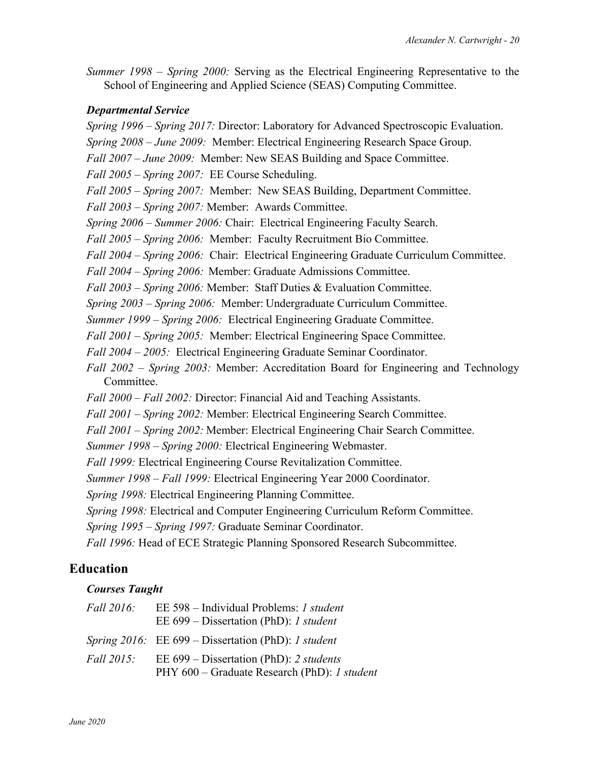*Summer 1998 – Spring 2000:* Serving as the Electrical Engineering Representative to the School of Engineering and Applied Science (SEAS) Computing Committee.

#### *Departmental Service*

*Spring 1996 – Spring 2017:* Director: Laboratory for Advanced Spectroscopic Evaluation. *Spring 2008 – June 2009:* Member: Electrical Engineering Research Space Group. *Fall 2007 – June 2009:* Member: New SEAS Building and Space Committee. *Fall 2005 – Spring 2007:* EE Course Scheduling. *Fall 2005 – Spring 2007:* Member: New SEAS Building, Department Committee.

*Fall 2003 – Spring 2007:* Member:Awards Committee.

*Spring 2006 – Summer 2006:* Chair: Electrical Engineering Faculty Search.

*Fall 2005 – Spring 2006:* Member: Faculty Recruitment Bio Committee.

*Fall 2004 – Spring 2006:* Chair:Electrical Engineering Graduate Curriculum Committee.

*Fall 2004 – Spring 2006:* Member: Graduate Admissions Committee.

*Fall 2003 – Spring 2006:* Member:Staff Duties & Evaluation Committee.

*Spring 2003 – Spring 2006:* Member: Undergraduate Curriculum Committee.

*Summer 1999 – Spring 2006:* Electrical Engineering Graduate Committee.

*Fall 2001 – Spring 2005:* Member: Electrical Engineering Space Committee.

*Fall 2004 – 2005:* Electrical Engineering Graduate Seminar Coordinator.

*Fall 2002 – Spring 2003:* Member: Accreditation Board for Engineering and Technology Committee.

*Fall 2000 – Fall 2002:* Director: Financial Aid and Teaching Assistants.

*Fall 2001 – Spring 2002:* Member: Electrical Engineering Search Committee.

*Fall 2001 – Spring 2002:* Member: Electrical Engineering Chair Search Committee.

*Summer 1998 – Spring 2000:* Electrical Engineering Webmaster.

*Fall 1999:* Electrical Engineering Course Revitalization Committee.

*Summer 1998 – Fall 1999:* Electrical Engineering Year 2000 Coordinator.

*Spring 1998:* Electrical Engineering Planning Committee.

*Spring 1998:* Electrical and Computer Engineering Curriculum Reform Committee.

*Spring 1995 – Spring 1997:* Graduate Seminar Coordinator.

*Fall 1996:* Head of ECE Strategic Planning Sponsored Research Subcommittee.

# **Education**

### *Courses Taught*

| <i>Fall</i> 2016: | EE 598 – Individual Problems: 1 student<br>EE 699 – Dissertation (PhD): 1 student         |
|-------------------|-------------------------------------------------------------------------------------------|
|                   | Spring 2016: EE 699 – Dissertation (PhD): 1 student                                       |
| <i>Fall</i> 2015: | EE $699$ – Dissertation (PhD): 2 students<br>PHY 600 – Graduate Research (PhD): 1 student |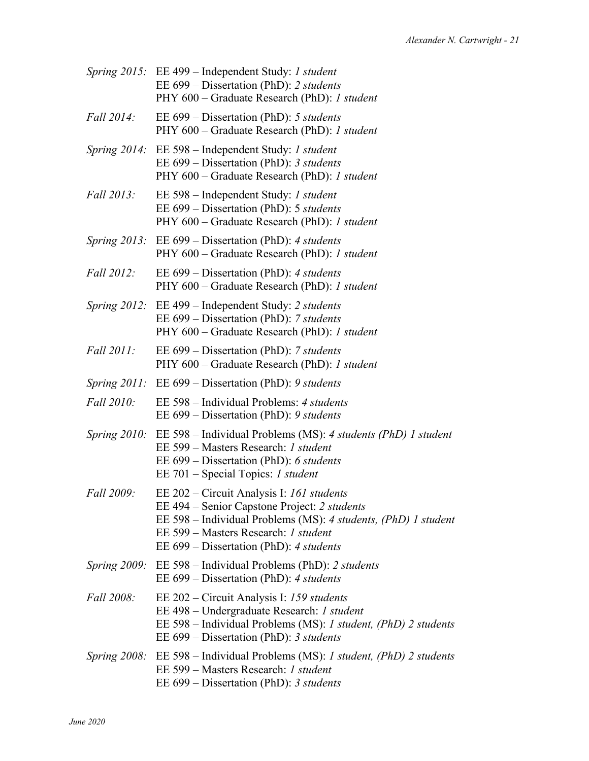|                   | Spring 2015: EE 499 – Independent Study: 1 student<br>EE $699$ – Dissertation (PhD): 2 students<br>PHY 600 - Graduate Research (PhD): 1 student                                                                                                |
|-------------------|------------------------------------------------------------------------------------------------------------------------------------------------------------------------------------------------------------------------------------------------|
| Fall 2014:        | EE 699 – Dissertation (PhD): 5 students<br>PHY 600 – Graduate Research (PhD): 1 student                                                                                                                                                        |
|                   | <i>Spring 2014:</i> EE 598 – Independent Study: <i>1 student</i><br>EE 699 - Dissertation (PhD): 3 students<br>PHY 600 - Graduate Research (PhD): 1 student                                                                                    |
| Fall 2013:        | EE 598 – Independent Study: 1 student<br>EE 699 – Dissertation (PhD): 5 students<br>PHY 600 - Graduate Research (PhD): 1 student                                                                                                               |
|                   | <i>Spring 2013:</i> EE 699 – Dissertation (PhD): 4 <i>students</i><br>PHY 600 - Graduate Research (PhD): 1 student                                                                                                                             |
| Fall 2012:        | EE $699$ – Dissertation (PhD): 4 students<br>PHY 600 – Graduate Research (PhD): 1 student                                                                                                                                                      |
|                   | Spring 2012: EE 499 – Independent Study: 2 students<br>EE 699 – Dissertation (PhD): 7 students<br>PHY 600 – Graduate Research (PhD): 1 student                                                                                                 |
| <i>Fall</i> 2011: | EE 699 – Dissertation (PhD): 7 students<br>PHY 600 – Graduate Research (PhD): 1 student                                                                                                                                                        |
| Spring $2011$ :   | EE $699$ – Dissertation (PhD): 9 students                                                                                                                                                                                                      |
| Fall 2010:        | EE 598 – Individual Problems: 4 students<br>EE $699$ – Dissertation (PhD): 9 students                                                                                                                                                          |
|                   | Spring 2010: EE 598 – Individual Problems (MS): 4 students (PhD) 1 student<br>EE 599 - Masters Research: 1 student<br>EE $699$ – Dissertation (PhD): 6 students<br>EE 701 – Special Topics: <i>1 student</i>                                   |
| Fall 2009:        | EE 202 – Circuit Analysis I: 161 students<br>EE 494 – Senior Capstone Project: 2 students<br>EE 598 - Individual Problems (MS): 4 students, (PhD) 1 student<br>EE 599 – Masters Research: 1 student<br>EE 699 – Dissertation (PhD): 4 students |
|                   | Spring 2009: EE 598 – Individual Problems (PhD): 2 students<br>EE 699 – Dissertation (PhD): 4 students                                                                                                                                         |
| Fall 2008:        | EE 202 – Circuit Analysis I: 159 students<br>EE 498 - Undergraduate Research: 1 student<br>EE 598 – Individual Problems (MS): 1 student, (PhD) 2 students<br>EE $699$ – Dissertation (PhD): 3 students                                         |
|                   | Spring 2008: EE 598 – Individual Problems (MS): 1 student, (PhD) 2 students<br>EE 599 – Masters Research: 1 student<br>EE 699 – Dissertation (PhD): 3 students                                                                                 |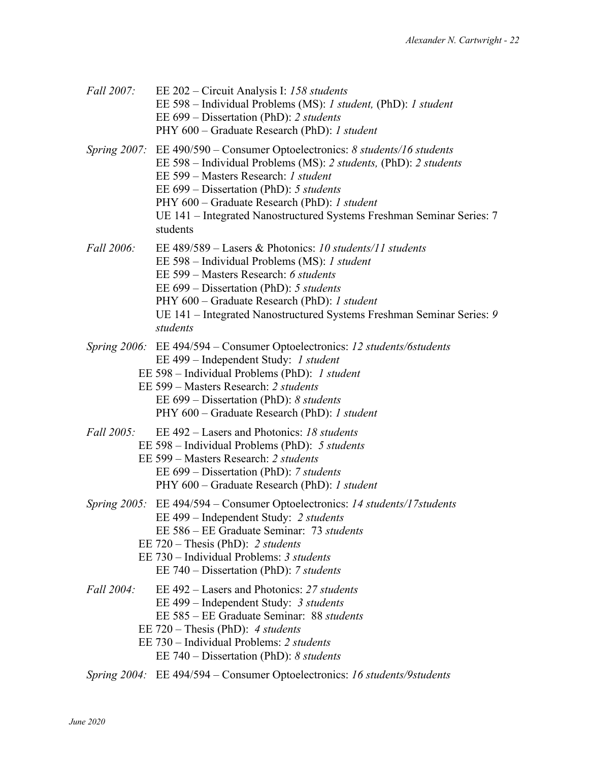| Fall 2007:        | EE 202 – Circuit Analysis I: 158 students<br>EE 598 – Individual Problems (MS): 1 student, (PhD): 1 student<br>EE 699 – Dissertation (PhD): 2 students<br>PHY 600 – Graduate Research (PhD): 1 student                                                                                                                                                                   |
|-------------------|--------------------------------------------------------------------------------------------------------------------------------------------------------------------------------------------------------------------------------------------------------------------------------------------------------------------------------------------------------------------------|
|                   | Spring 2007: EE 490/590 – Consumer Optoelectronics: 8 students/16 students<br>EE 598 - Individual Problems (MS): 2 students, (PhD): 2 students<br>EE 599 – Masters Research: 1 student<br>EE $699$ – Dissertation (PhD): 5 students<br>PHY 600 – Graduate Research (PhD): 1 student<br>UE 141 - Integrated Nanostructured Systems Freshman Seminar Series: 7<br>students |
| <i>Fall</i> 2006: | EE 489/589 – Lasers & Photonics: 10 students/11 students<br>EE 598 – Individual Problems (MS): 1 student<br>EE 599 - Masters Research: 6 students<br>EE 699 – Dissertation (PhD): 5 students<br>PHY 600 – Graduate Research (PhD): 1 student<br>UE 141 - Integrated Nanostructured Systems Freshman Seminar Series: 9<br>students                                        |
|                   | Spring 2006: EE 494/594 – Consumer Optoelectronics: 12 students/6students<br>EE 499 – Independent Study: 1 student<br>EE 598 – Individual Problems (PhD): 1 student<br>EE 599 – Masters Research: 2 students<br>EE $699$ – Dissertation (PhD): 8 students<br>PHY 600 - Graduate Research (PhD): 1 student                                                                |
|                   | Fall 2005: EE 492 – Lasers and Photonics: 18 students<br>EE 598 – Individual Problems (PhD): 5 students<br>EE 599 – Masters Research: 2 students<br>EE 699 – Dissertation (PhD): 7 students<br>PHY 600 – Graduate Research (PhD): 1 student                                                                                                                              |
|                   | Spring 2005: EE 494/594 – Consumer Optoelectronics: 14 students/17 students<br>EE 499 – Independent Study: 2 students<br>EE 586 – EE Graduate Seminar: 73 students<br>EE $720$ – Thesis (PhD): 2 students<br>EE 730 – Individual Problems: 3 students<br>EE 740 – Dissertation (PhD): 7 students                                                                         |
| Fall 2004:        | EE 492 – Lasers and Photonics: 27 students<br>EE 499 – Independent Study: 3 students<br>EE 585 – EE Graduate Seminar: 88 students<br>EE $720$ – Thesis (PhD): 4 students<br>EE 730 – Individual Problems: 2 students<br>EE $740$ – Dissertation (PhD): 8 students                                                                                                        |
|                   | Spring 2004: EE 494/594 – Consumer Optoelectronics: 16 students/9 students                                                                                                                                                                                                                                                                                               |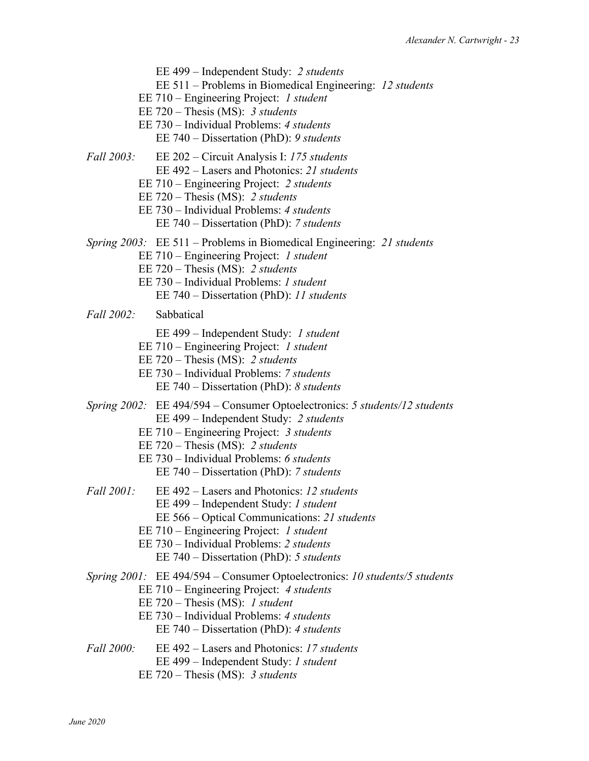EE 499 – Independent Study: *2 students* EE 511 – Problems in Biomedical Engineering: *12 students* EE 710 – Engineering Project: *1 student* EE 720 – Thesis (MS): *3 students* EE 730 – Individual Problems: *4 students* EE 740 – Dissertation (PhD): *9 students Fall 2003:* EE 202 – Circuit Analysis I: *175 students* EE 492 – Lasers and Photonics: *21 students* EE 710 – Engineering Project: *2 students* EE 720 – Thesis (MS): *2 students* EE 730 – Individual Problems: *4 students* EE 740 – Dissertation (PhD): *7 students Spring 2003:* EE 511 – Problems in Biomedical Engineering: *21 students* EE 710 – Engineering Project: *1 student* EE 720 – Thesis (MS): *2 students* EE 730 – Individual Problems: *1 student* EE 740 – Dissertation (PhD): *11 students Fall 2002:* Sabbatical EE 499 – Independent Study: *1 student* EE 710 – Engineering Project: *1 student* EE 720 – Thesis (MS): *2 students* EE 730 – Individual Problems: *7 students* EE 740 – Dissertation (PhD): *8 students Spring 2002:* EE 494/594 – Consumer Optoelectronics: *5 students/12 students* EE 499 – Independent Study: *2 students* EE 710 – Engineering Project: *3 students* EE 720 – Thesis (MS): *2 students* EE 730 – Individual Problems: *6 students* EE 740 – Dissertation (PhD): *7 students Fall 2001:* EE 492 – Lasers and Photonics: *12 students* EE 499 – Independent Study: *1 student* EE 566 – Optical Communications: *21 students* EE 710 – Engineering Project: *1 student* EE 730 – Individual Problems: *2 students* EE 740 – Dissertation (PhD): *5 students Spring 2001:* EE 494/594 – Consumer Optoelectronics: *10 students/5 students* EE 710 – Engineering Project: *4 students* EE 720 – Thesis (MS): *1 student* EE 730 – Individual Problems: *4 students* EE 740 – Dissertation (PhD): *4 students Fall 2000:* EE 492 – Lasers and Photonics: *17 students* EE 499 – Independent Study: *1 student*

EE 720 – Thesis (MS): *3 students*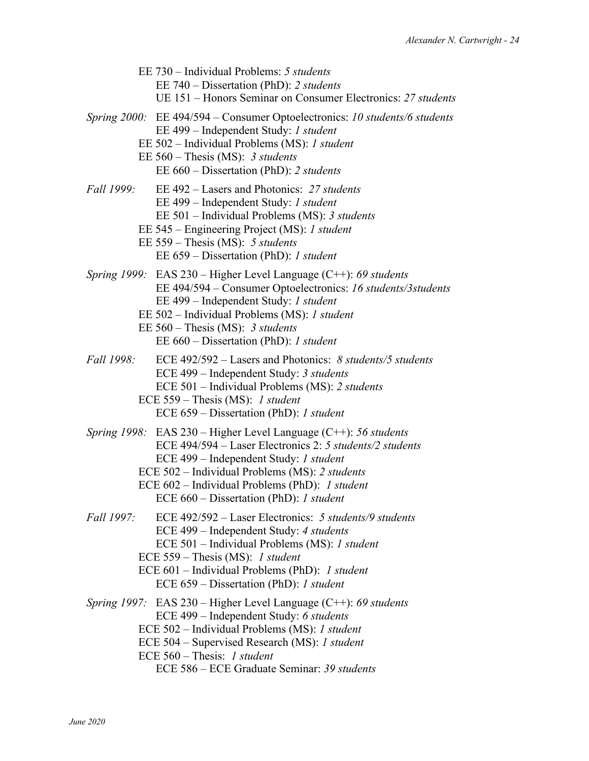|            | EE 730 – Individual Problems: 5 students<br>EE 740 – Dissertation (PhD): 2 students<br>UE 151 – Honors Seminar on Consumer Electronics: 27 students                                                                                                                                                                       |
|------------|---------------------------------------------------------------------------------------------------------------------------------------------------------------------------------------------------------------------------------------------------------------------------------------------------------------------------|
|            | Spring 2000: EE 494/594 – Consumer Optoelectronics: 10 students/6 students<br>EE 499 - Independent Study: 1 student<br>EE 502 – Individual Problems (MS): 1 student<br>EE $560$ – Thesis (MS): 3 students<br>EE 660 – Dissertation (PhD): 2 students                                                                      |
| Fall 1999: | EE 492 – Lasers and Photonics: 27 students<br>EE 499 - Independent Study: 1 student<br>EE 501 - Individual Problems (MS): 3 students<br>EE 545 – Engineering Project (MS): 1 student<br>EE $559$ – Thesis (MS): 5 students<br>EE 659 – Dissertation (PhD): 1 student                                                      |
|            | Spring 1999: EAS $230$ – Higher Level Language (C++): 69 students<br>EE 494/594 - Consumer Optoelectronics: 16 students/3 students<br>EE 499 – Independent Study: 1 student<br>EE 502 - Individual Problems (MS): 1 student<br>EE $560$ – Thesis (MS): 3 students<br>EE 660 - Dissertation (PhD): 1 student               |
| Fall 1998: | ECE $492/592 -$ Lasers and Photonics: 8 students/5 students<br>ECE 499 - Independent Study: 3 students<br>ECE 501 - Individual Problems (MS): 2 students<br>ECE $559$ – Thesis (MS): 1 student<br>ECE 659 – Dissertation (PhD): 1 student                                                                                 |
|            | Spring $1998$ : EAS $230$ – Higher Level Language (C++): 56 students<br>ECE 494/594 – Laser Electronics 2: 5 students/2 students<br>ECE 499 - Independent Study: 1 student<br>ECE 502 – Individual Problems (MS): 2 students<br>ECE 602 – Individual Problems (PhD): 1 student<br>ECE 660 – Dissertation (PhD): 1 student |
| Fall 1997: | ECE 492/592 – Laser Electronics: 5 students/9 students<br>ECE 499 - Independent Study: 4 students<br>ECE 501 - Individual Problems (MS): 1 student<br>ECE $559$ – Thesis (MS): 1 student<br>ECE 601 – Individual Problems (PhD): 1 student<br>ECE 659 – Dissertation (PhD): 1 student                                     |
|            | Spring 1997: EAS $230$ – Higher Level Language (C++): 69 students<br>ECE 499 - Independent Study: 6 students<br>ECE 502 - Individual Problems (MS): 1 student<br>ECE 504 – Supervised Research (MS): 1 student<br>ECE 560 - Thesis: 1 student<br>ECE 586 - ECE Graduate Seminar: 39 students                              |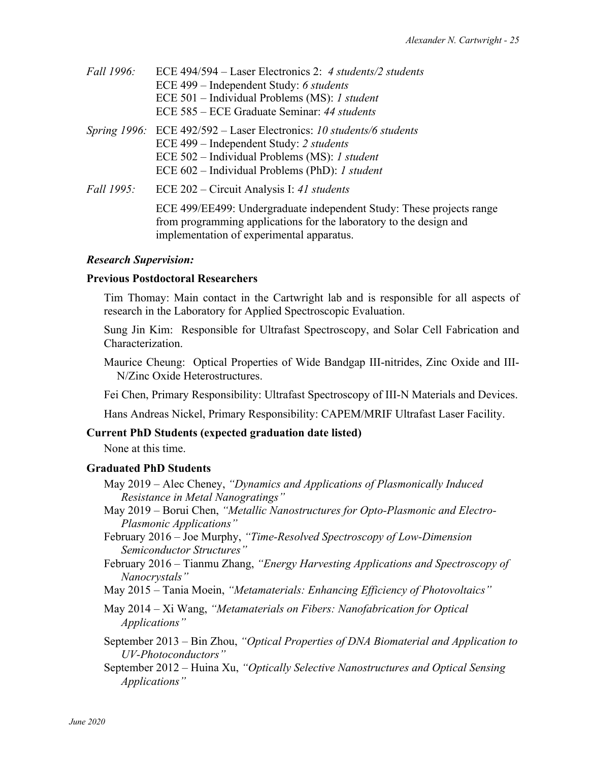| Fall 1996:        | ECE $494/594$ – Laser Electronics 2: 4 students/2 students<br>ECE 499 – Independent Study: 6 students<br>ECE 501 - Individual Problems (MS): 1 student<br>ECE 585 – ECE Graduate Seminar: 44 students                                |
|-------------------|--------------------------------------------------------------------------------------------------------------------------------------------------------------------------------------------------------------------------------------|
|                   | Spring 1996: ECE 492/592 – Laser Electronics: 10 students/6 students<br>ECE 499 - Independent Study: 2 students<br>ECE 502 - Individual Problems (MS): 1 student<br>ECE 602 – Individual Problems (PhD): <i>I student</i>            |
| <i>Fall 1995:</i> | ECE 202 – Circuit Analysis I: 41 students<br>ECE 499/EE499: Undergraduate independent Study: These projects range<br>from programming applications for the laboratory to the design and<br>implementation of experimental apparatus. |

#### *Research Supervision:*

#### **Previous Postdoctoral Researchers**

Tim Thomay: Main contact in the Cartwright lab and is responsible for all aspects of research in the Laboratory for Applied Spectroscopic Evaluation.

Sung Jin Kim: Responsible for Ultrafast Spectroscopy, and Solar Cell Fabrication and Characterization.

Maurice Cheung: Optical Properties of Wide Bandgap III-nitrides, Zinc Oxide and III-N/Zinc Oxide Heterostructures.

Fei Chen, Primary Responsibility: Ultrafast Spectroscopy of III-N Materials and Devices.

Hans Andreas Nickel, Primary Responsibility: CAPEM/MRIF Ultrafast Laser Facility.

#### **Current PhD Students (expected graduation date listed)**

None at this time.

#### **Graduated PhD Students**

- May 2019 Alec Cheney, *"Dynamics and Applications of Plasmonically Induced Resistance in Metal Nanogratings"*
- May 2019 Borui Chen, *"Metallic Nanostructures for Opto-Plasmonic and Electro-Plasmonic Applications"*
- February 2016 Joe Murphy, *"Time-Resolved Spectroscopy of Low-Dimension Semiconductor Structures"*
- February 2016 Tianmu Zhang, *"Energy Harvesting Applications and Spectroscopy of Nanocrystals"*
- May 2015 Tania Moein, *"Metamaterials: Enhancing Efficiency of Photovoltaics"*
- May 2014 Xi Wang, *"Metamaterials on Fibers: Nanofabrication for Optical Applications"*
- September 2013 Bin Zhou, *"Optical Properties of DNA Biomaterial and Application to UV-Photoconductors"*
- September 2012 Huina Xu, *"Optically Selective Nanostructures and Optical Sensing Applications"*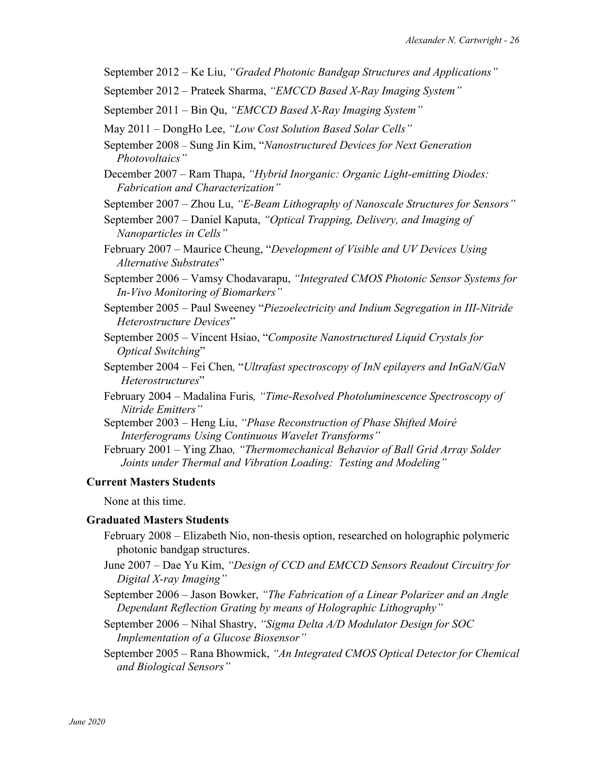- September 2012 Ke Liu, *"Graded Photonic Bandgap Structures and Applications"*
- September 2012 Prateek Sharma, *"EMCCD Based X-Ray Imaging System"*
- September 2011 Bin Qu, *"EMCCD Based X-Ray Imaging System"*
- May 2011 DongHo Lee, *"Low Cost Solution Based Solar Cells"*
- September 2008 Sung Jin Kim, "*Nanostructured Devices for Next Generation Photovoltaics"*
- December 2007 Ram Thapa, *"Hybrid Inorganic: Organic Light-emitting Diodes: Fabrication and Characterization"*
- September 2007 Zhou Lu, *"E-Beam Lithography of Nanoscale Structures for Sensors"*
- September 2007 Daniel Kaputa, *"Optical Trapping, Delivery, and Imaging of Nanoparticles in Cells"*
- February 2007 Maurice Cheung, "*Development of Visible and UV Devices Using Alternative Substrates*"
- September 2006 Vamsy Chodavarapu, *"Integrated CMOS Photonic Sensor Systems for In-Vivo Monitoring of Biomarkers"*
- September 2005 Paul Sweeney "*Piezoelectricity and Indium Segregation in III-Nitride Heterostructure Devices*"
- September 2005 Vincent Hsiao, "*Composite Nanostructured Liquid Crystals for Optical Switching*"
- September 2004 Fei Chen*,* "*Ultrafast spectroscopy of InN epilayers and InGaN/GaN Heterostructures*"
- February 2004 Madalina Furis*, "Time-Resolved Photoluminescence Spectroscopy of Nitride Emitters"*
- September 2003 Heng Liu, *"Phase Reconstruction of Phase Shifted Moiré Interferograms Using Continuous Wavelet Transforms"*
- February 2001 Ying Zhao*, "Thermomechanical Behavior of Ball Grid Array Solder Joints under Thermal and Vibration Loading: Testing and Modeling"*

#### **Current Masters Students**

None at this time.

#### **Graduated Masters Students**

- February 2008 Elizabeth Nio, non-thesis option, researched on holographic polymeric photonic bandgap structures.
- June 2007 Dae Yu Kim, *"Design of CCD and EMCCD Sensors Readout Circuitry for Digital X-ray Imaging"*
- September 2006 Jason Bowker, *"The Fabrication of a Linear Polarizer and an Angle Dependant Reflection Grating by means of Holographic Lithography"*
- September 2006 Nihal Shastry, *"Sigma Delta A/D Modulator Design for SOC Implementation of a Glucose Biosensor"*
- September 2005 Rana Bhowmick, *"An Integrated CMOS Optical Detector for Chemical and Biological Sensors"*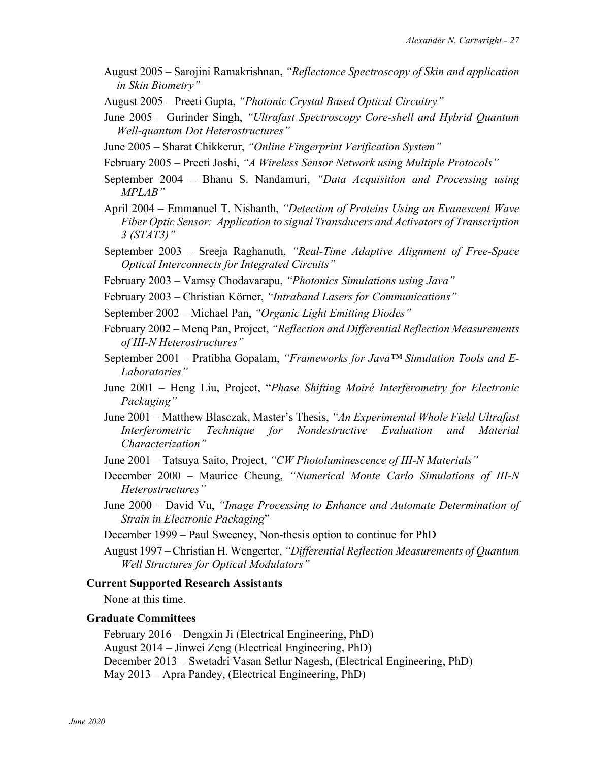- August 2005 Sarojini Ramakrishnan, *"Reflectance Spectroscopy of Skin and application in Skin Biometry"*
- August 2005 Preeti Gupta, *"Photonic Crystal Based Optical Circuitry"*
- June 2005 Gurinder Singh, *"Ultrafast Spectroscopy Core-shell and Hybrid Quantum Well-quantum Dot Heterostructures"*
- June 2005 Sharat Chikkerur, *"Online Fingerprint Verification System"*
- February 2005 Preeti Joshi, *"A Wireless Sensor Network using Multiple Protocols"*
- September 2004 Bhanu S. Nandamuri, *"Data Acquisition and Processing using MPLAB"*
- April 2004 Emmanuel T. Nishanth, *"Detection of Proteins Using an Evanescent Wave Fiber Optic Sensor: Application to signal Transducers and Activators of Transcription 3 (STAT3)"*
- September 2003 Sreeja Raghanuth, *"Real-Time Adaptive Alignment of Free-Space Optical Interconnects for Integrated Circuits"*
- February 2003 Vamsy Chodavarapu, *"Photonics Simulations using Java"*
- February 2003 Christian Körner, *"Intraband Lasers for Communications"*
- September 2002 Michael Pan, *"Organic Light Emitting Diodes"*
- February 2002 Menq Pan, Project, *"Reflection and Differential Reflection Measurements of III-N Heterostructures"*
- September 2001 Pratibha Gopalam, *"Frameworks for Java™ Simulation Tools and E-Laboratories"*
- June 2001 Heng Liu, Project, "*Phase Shifting Moiré Interferometry for Electronic Packaging"*
- June 2001 Matthew Blasczak, Master's Thesis, *"An Experimental Whole Field Ultrafast Interferometric Technique for Nondestructive Evaluation and Material Characterization"*
- June 2001 Tatsuya Saito, Project, *"CW Photoluminescence of III-N Materials"*
- December 2000 Maurice Cheung, *"Numerical Monte Carlo Simulations of III-N Heterostructures"*
- June 2000 David Vu, *"Image Processing to Enhance and Automate Determination of Strain in Electronic Packaging*"

December 1999 – Paul Sweeney, Non-thesis option to continue for PhD

August 1997 – Christian H. Wengerter, *"Differential Reflection Measurements of Quantum Well Structures for Optical Modulators"*

#### **Current Supported Research Assistants**

None at this time.

## **Graduate Committees**

February 2016 – Dengxin Ji (Electrical Engineering, PhD) August 2014 – Jinwei Zeng (Electrical Engineering, PhD) December 2013 – Swetadri Vasan Setlur Nagesh, (Electrical Engineering, PhD) May 2013 – Apra Pandey, (Electrical Engineering, PhD)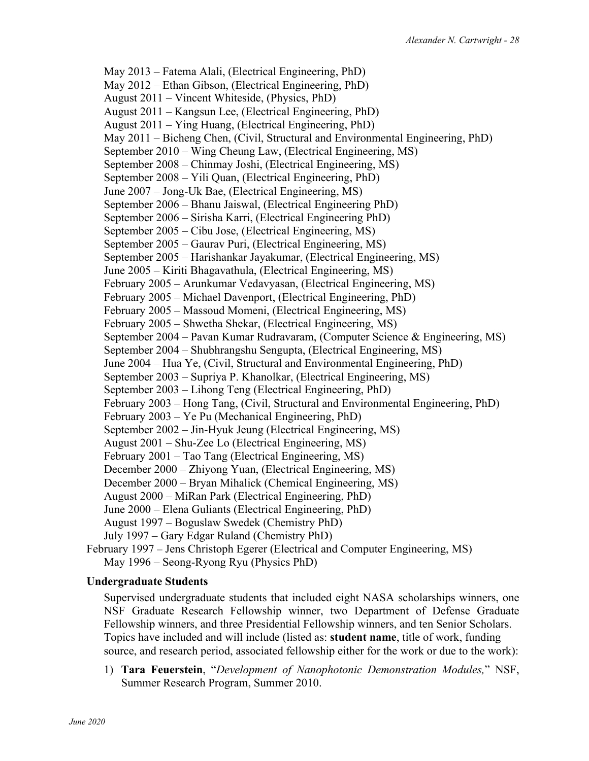May 2013 – Fatema Alali, (Electrical Engineering, PhD) May 2012 – Ethan Gibson, (Electrical Engineering, PhD) August 2011 – Vincent Whiteside, (Physics, PhD) August 2011 – Kangsun Lee, (Electrical Engineering, PhD) August 2011 – Ying Huang, (Electrical Engineering, PhD) May 2011 – Bicheng Chen, (Civil, Structural and Environmental Engineering, PhD) September 2010 – Wing Cheung Law, (Electrical Engineering, MS) September 2008 – Chinmay Joshi, (Electrical Engineering, MS) September 2008 – Yili Quan, (Electrical Engineering, PhD) June 2007 – Jong-Uk Bae, (Electrical Engineering, MS) September 2006 – Bhanu Jaiswal, (Electrical Engineering PhD) September 2006 – Sirisha Karri, (Electrical Engineering PhD) September 2005 – Cibu Jose, (Electrical Engineering, MS) September 2005 – Gaurav Puri, (Electrical Engineering, MS) September 2005 – Harishankar Jayakumar, (Electrical Engineering, MS) June 2005 – Kiriti Bhagavathula, (Electrical Engineering, MS) February 2005 – Arunkumar Vedavyasan, (Electrical Engineering, MS) February 2005 – Michael Davenport, (Electrical Engineering, PhD) February 2005 – Massoud Momeni, (Electrical Engineering, MS) February 2005 – Shwetha Shekar, (Electrical Engineering, MS) September 2004 – Pavan Kumar Rudravaram, (Computer Science & Engineering, MS) September 2004 – Shubhrangshu Sengupta, (Electrical Engineering, MS) June 2004 – Hua Ye, (Civil, Structural and Environmental Engineering, PhD) September 2003 – Supriya P. Khanolkar, (Electrical Engineering, MS) September 2003 – Lihong Teng (Electrical Engineering, PhD) February 2003 – Hong Tang, (Civil, Structural and Environmental Engineering, PhD) February 2003 – Ye Pu (Mechanical Engineering, PhD) September 2002 – Jin-Hyuk Jeung (Electrical Engineering, MS) August 2001 – Shu-Zee Lo (Electrical Engineering, MS) February 2001 – Tao Tang (Electrical Engineering, MS) December 2000 – Zhiyong Yuan, (Electrical Engineering, MS) December 2000 – Bryan Mihalick (Chemical Engineering, MS) August 2000 – MiRan Park (Electrical Engineering, PhD) June 2000 – Elena Guliants (Electrical Engineering, PhD) August 1997 – Boguslaw Swedek (Chemistry PhD) July 1997 – Gary Edgar Ruland (Chemistry PhD) February 1997 – Jens Christoph Egerer (Electrical and Computer Engineering, MS) May 1996 – Seong-Ryong Ryu (Physics PhD)

### **Undergraduate Students**

Supervised undergraduate students that included eight NASA scholarships winners, one NSF Graduate Research Fellowship winner, two Department of Defense Graduate Fellowship winners, and three Presidential Fellowship winners, and ten Senior Scholars. Topics have included and will include (listed as: **student name**, title of work, funding source, and research period, associated fellowship either for the work or due to the work):

1) **Tara Feuerstein**, "*Development of Nanophotonic Demonstration Modules,*" NSF, Summer Research Program, Summer 2010.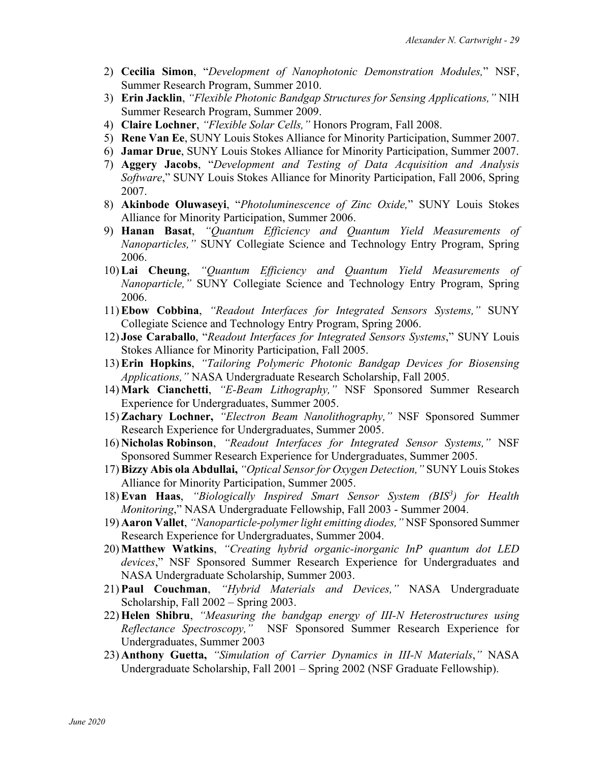- 2) **Cecilia Simon**, "*Development of Nanophotonic Demonstration Modules,*" NSF, Summer Research Program, Summer 2010.
- 3) **Erin Jacklin**, *"Flexible Photonic Bandgap Structures for Sensing Applications,"* NIH Summer Research Program, Summer 2009.
- 4) **Claire Lochner**, *"Flexible Solar Cells,"* Honors Program, Fall 2008.
- 5) **Rene Van Ee**, SUNY Louis Stokes Alliance for Minority Participation, Summer 2007.
- 6) **Jamar Drue**, SUNY Louis Stokes Alliance for Minority Participation, Summer 2007.
- 7) **Aggery Jacobs**, "*Development and Testing of Data Acquisition and Analysis Software*," SUNY Louis Stokes Alliance for Minority Participation, Fall 2006, Spring 2007.
- 8) **Akinbode Oluwaseyi**, "*Photoluminescence of Zinc Oxide,*" SUNY Louis Stokes Alliance for Minority Participation, Summer 2006.
- 9) **Hanan Basat**, *"Quantum Efficiency and Quantum Yield Measurements of Nanoparticles,"* SUNY Collegiate Science and Technology Entry Program, Spring 2006.
- 10) **Lai Cheung**, *"Quantum Efficiency and Quantum Yield Measurements of Nanoparticle,"* SUNY Collegiate Science and Technology Entry Program, Spring 2006.
- 11) **Ebow Cobbina**, *"Readout Interfaces for Integrated Sensors Systems,"* SUNY Collegiate Science and Technology Entry Program, Spring 2006.
- 12) **Jose Caraballo**, "*Readout Interfaces for Integrated Sensors Systems*," SUNY Louis Stokes Alliance for Minority Participation, Fall 2005.
- 13) **Erin Hopkins**, *"Tailoring Polymeric Photonic Bandgap Devices for Biosensing Applications,"* NASA Undergraduate Research Scholarship, Fall 2005.
- 14) **Mark Cianchetti**, *"E-Beam Lithography,"* NSF Sponsored Summer Research Experience for Undergraduates, Summer 2005.
- 15) **Zachary Lochner,** *"Electron Beam Nanolithography,"* NSF Sponsored Summer Research Experience for Undergraduates, Summer 2005.
- 16) **Nicholas Robinson**, *"Readout Interfaces for Integrated Sensor Systems,"* NSF Sponsored Summer Research Experience for Undergraduates, Summer 2005.
- 17) **Bizzy Abis ola Abdullai,** *"Optical Sensor for Oxygen Detection,"* SUNY Louis Stokes Alliance for Minority Participation, Summer 2005.
- 18) **Evan Haas**, *"Biologically Inspired Smart Sensor System (BIS3 ) for Health Monitoring*," NASA Undergraduate Fellowship, Fall 2003 - Summer 2004.
- 19) **Aaron Vallet**, *"Nanoparticle-polymer light emitting diodes,"* NSF Sponsored Summer Research Experience for Undergraduates, Summer 2004.
- 20) **Matthew Watkins**, *"Creating hybrid organic-inorganic InP quantum dot LED devices*," NSF Sponsored Summer Research Experience for Undergraduates and NASA Undergraduate Scholarship, Summer 2003.
- 21) **Paul Couchman**, *"Hybrid Materials and Devices,"* NASA Undergraduate Scholarship, Fall 2002 – Spring 2003.
- 22) **Helen Shibru**, *"Measuring the bandgap energy of III-N Heterostructures using Reflectance Spectroscopy,"* NSF Sponsored Summer Research Experience for Undergraduates, Summer 2003
- 23) **Anthony Guetta,** *"Simulation of Carrier Dynamics in III-N Materials*,*"* NASA Undergraduate Scholarship, Fall 2001 – Spring 2002 (NSF Graduate Fellowship).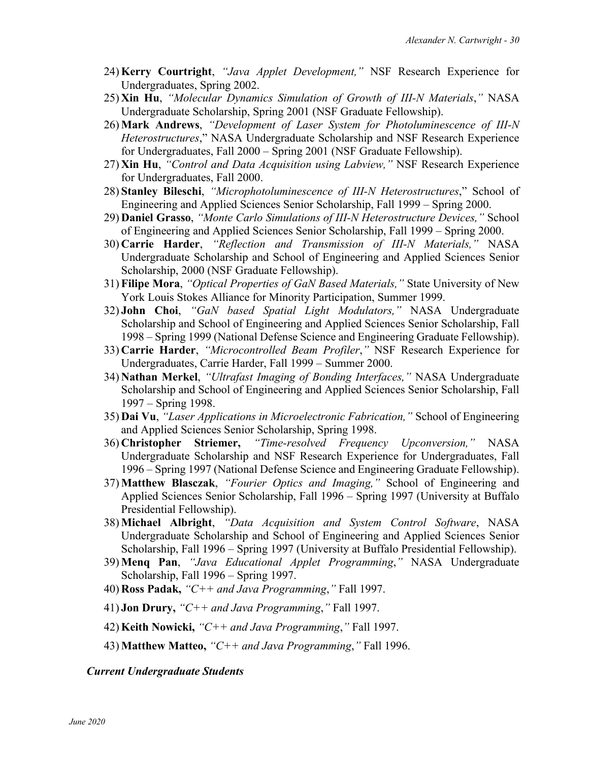- 24) **Kerry Courtright**, *"Java Applet Development,"* NSF Research Experience for Undergraduates, Spring 2002.
- 25) **Xin Hu**, *"Molecular Dynamics Simulation of Growth of III-N Materials*,*"* NASA Undergraduate Scholarship, Spring 2001 (NSF Graduate Fellowship).
- 26) **Mark Andrews**, *"Development of Laser System for Photoluminescence of III-N Heterostructures*," NASA Undergraduate Scholarship and NSF Research Experience for Undergraduates, Fall 2000 – Spring 2001 (NSF Graduate Fellowship).
- 27) **Xin Hu**, *"Control and Data Acquisition using Labview,"* NSF Research Experience for Undergraduates, Fall 2000.
- 28) **Stanley Bileschi**, *"Microphotoluminescence of III-N Heterostructures*," School of Engineering and Applied Sciences Senior Scholarship, Fall 1999 – Spring 2000.
- 29) **Daniel Grasso**, *"Monte Carlo Simulations of III-N Heterostructure Devices,"* School of Engineering and Applied Sciences Senior Scholarship, Fall 1999 – Spring 2000.
- 30) **Carrie Harder**, *"Reflection and Transmission of III-N Materials,"* NASA Undergraduate Scholarship and School of Engineering and Applied Sciences Senior Scholarship, 2000 (NSF Graduate Fellowship).
- 31) **Filipe Mora**, *"Optical Properties of GaN Based Materials,"* State University of New York Louis Stokes Alliance for Minority Participation, Summer 1999.
- 32) **John Choi**, *"GaN based Spatial Light Modulators,"* NASA Undergraduate Scholarship and School of Engineering and Applied Sciences Senior Scholarship, Fall 1998 – Spring 1999 (National Defense Science and Engineering Graduate Fellowship).
- 33) **Carrie Harder**, *"Microcontrolled Beam Profiler*,*"* NSF Research Experience for Undergraduates, Carrie Harder, Fall 1999 – Summer 2000.
- 34) **Nathan Merkel**, *"Ultrafast Imaging of Bonding Interfaces,"* NASA Undergraduate Scholarship and School of Engineering and Applied Sciences Senior Scholarship, Fall 1997 – Spring 1998.
- 35) **Dai Vu**, *"Laser Applications in Microelectronic Fabrication,"* School of Engineering and Applied Sciences Senior Scholarship, Spring 1998.
- 36) **Christopher Striemer,** *"Time-resolved Frequency Upconversion,"* NASA Undergraduate Scholarship and NSF Research Experience for Undergraduates, Fall 1996 – Spring 1997 (National Defense Science and Engineering Graduate Fellowship).
- 37) **Matthew Blasczak**, *"Fourier Optics and Imaging,"* School of Engineering and Applied Sciences Senior Scholarship, Fall 1996 – Spring 1997 (University at Buffalo Presidential Fellowship).
- 38) **Michael Albright**, *"Data Acquisition and System Control Software*, NASA Undergraduate Scholarship and School of Engineering and Applied Sciences Senior Scholarship, Fall 1996 – Spring 1997 (University at Buffalo Presidential Fellowship).
- 39) **Menq Pan**, *"Java Educational Applet Programming*,*"* NASA Undergraduate Scholarship, Fall 1996 – Spring 1997.
- 40) **Ross Padak,** *"C++ and Java Programming*,*"* Fall 1997.
- 41) **Jon Drury,** *"C++ and Java Programming*,*"* Fall 1997.
- 42) **Keith Nowicki,** *"C++ and Java Programming*,*"* Fall 1997.
- 43) **Matthew Matteo,** *"C++ and Java Programming*,*"* Fall 1996.

*Current Undergraduate Students*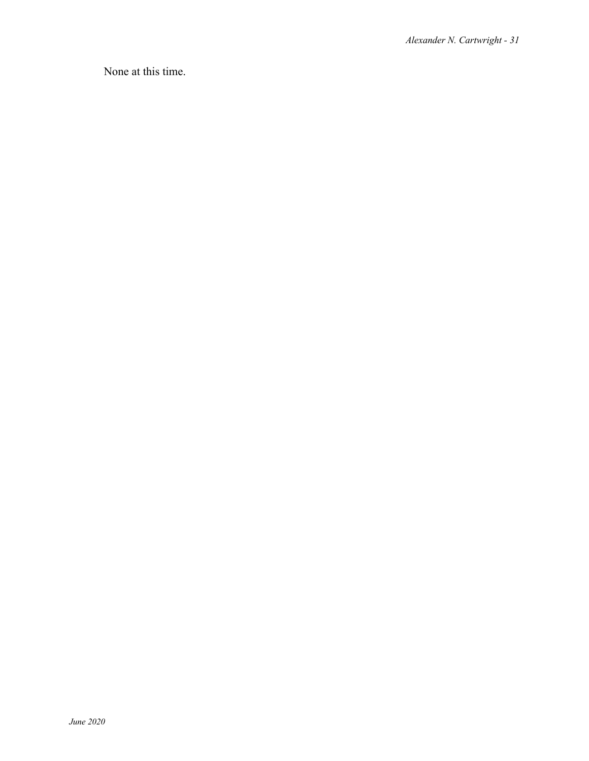None at this time.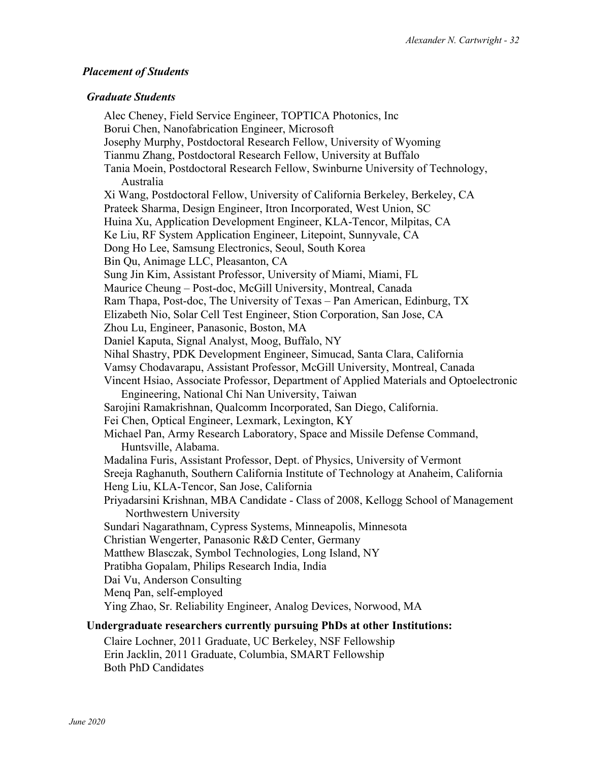#### *Placement of Students*

#### *Graduate Students*

Alec Cheney, Field Service Engineer, TOPTICA Photonics, Inc Borui Chen, Nanofabrication Engineer, Microsoft Josephy Murphy, Postdoctoral Research Fellow, University of Wyoming Tianmu Zhang, Postdoctoral Research Fellow, University at Buffalo Tania Moein, Postdoctoral Research Fellow, Swinburne University of Technology, Australia Xi Wang, Postdoctoral Fellow, University of California Berkeley, Berkeley, CA Prateek Sharma, Design Engineer, Itron Incorporated, West Union, SC Huina Xu, Application Development Engineer, KLA-Tencor, Milpitas, CA Ke Liu, RF System Application Engineer, Litepoint, Sunnyvale, CA Dong Ho Lee, Samsung Electronics, Seoul, South Korea Bin Qu, Animage LLC, Pleasanton, CA Sung Jin Kim, Assistant Professor, University of Miami, Miami, FL Maurice Cheung – Post-doc, McGill University, Montreal, Canada Ram Thapa, Post-doc, The University of Texas – Pan American, Edinburg, TX Elizabeth Nio, Solar Cell Test Engineer, Stion Corporation, San Jose, CA Zhou Lu, Engineer, Panasonic, Boston, MA Daniel Kaputa, Signal Analyst, Moog, Buffalo, NY Nihal Shastry, PDK Development Engineer, Simucad, Santa Clara, California Vamsy Chodavarapu, Assistant Professor, McGill University, Montreal, Canada Vincent Hsiao, Associate Professor, Department of Applied Materials and Optoelectronic Engineering, National Chi Nan University, Taiwan Sarojini Ramakrishnan, Qualcomm Incorporated, San Diego, California. Fei Chen, Optical Engineer, Lexmark, Lexington, KY Michael Pan, Army Research Laboratory, Space and Missile Defense Command, Huntsville, Alabama. Madalina Furis, Assistant Professor, Dept. of Physics, University of Vermont Sreeja Raghanuth, Southern California Institute of Technology at Anaheim, California Heng Liu, KLA-Tencor, San Jose, California Priyadarsini Krishnan, MBA Candidate - Class of 2008, Kellogg School of Management Northwestern University Sundari Nagarathnam, Cypress Systems, Minneapolis, Minnesota Christian Wengerter, Panasonic R&D Center, Germany Matthew Blasczak, Symbol Technologies, Long Island, NY Pratibha Gopalam, Philips Research India, India Dai Vu, Anderson Consulting Menq Pan, self-employed Ying Zhao, Sr. Reliability Engineer, Analog Devices, Norwood, MA

### **Undergraduate researchers currently pursuing PhDs at other Institutions:**

Claire Lochner, 2011 Graduate, UC Berkeley, NSF Fellowship Erin Jacklin, 2011 Graduate, Columbia, SMART Fellowship Both PhD Candidates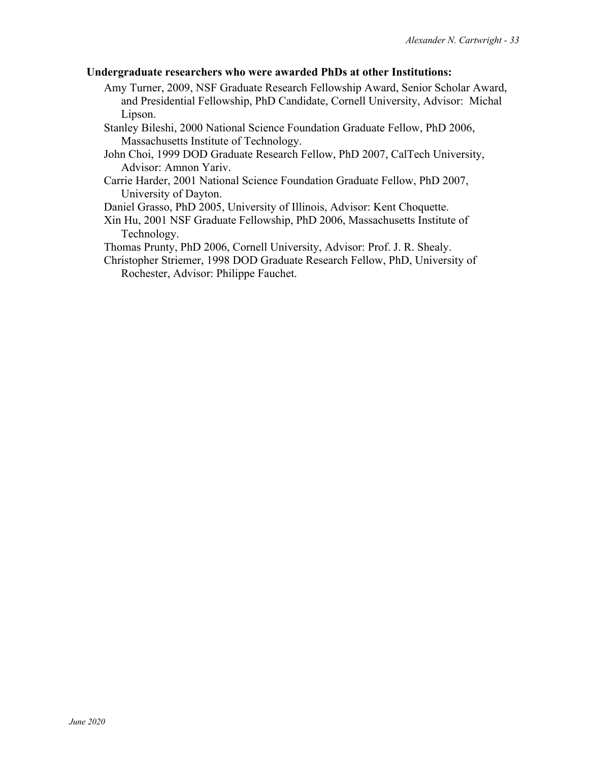#### **Undergraduate researchers who were awarded PhDs at other Institutions:**

- Amy Turner, 2009, NSF Graduate Research Fellowship Award, Senior Scholar Award, and Presidential Fellowship, PhD Candidate, Cornell University, Advisor: Michal Lipson.
- Stanley Bileshi, 2000 National Science Foundation Graduate Fellow, PhD 2006, Massachusetts Institute of Technology.
- John Choi, 1999 DOD Graduate Research Fellow, PhD 2007, CalTech University, Advisor: Amnon Yariv.
- Carrie Harder, 2001 National Science Foundation Graduate Fellow, PhD 2007, University of Dayton.

Daniel Grasso, PhD 2005, University of Illinois, Advisor: Kent Choquette.

Xin Hu, 2001 NSF Graduate Fellowship, PhD 2006, Massachusetts Institute of Technology.

Thomas Prunty, PhD 2006, Cornell University, Advisor: Prof. J. R. Shealy.

Christopher Striemer, 1998 DOD Graduate Research Fellow, PhD, University of Rochester, Advisor: Philippe Fauchet.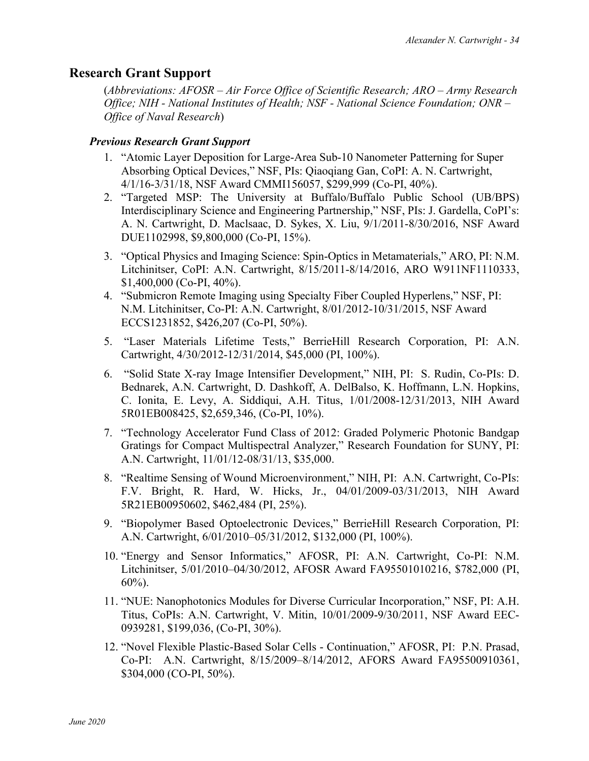# **Research Grant Support**

(*Abbreviations: AFOSR – Air Force Office of Scientific Research; ARO – Army Research Office; NIH - National Institutes of Health; NSF - National Science Foundation; ONR – Office of Naval Research*)

### *Previous Research Grant Support*

- 1. "Atomic Layer Deposition for Large-Area Sub-10 Nanometer Patterning for Super Absorbing Optical Devices," NSF, PIs: Qiaoqiang Gan, CoPI: A. N. Cartwright, 4/1/16-3/31/18, NSF Award CMMI156057, \$299,999 (Co-PI, 40%).
- 2. "Targeted MSP: The University at Buffalo/Buffalo Public School (UB/BPS) Interdisciplinary Science and Engineering Partnership," NSF, PIs: J. Gardella, CoPI's: A. N. Cartwright, D. Maclsaac, D. Sykes, X. Liu, 9/1/2011-8/30/2016, NSF Award DUE1102998, \$9,800,000 (Co-PI, 15%).
- 3. "Optical Physics and Imaging Science: Spin-Optics in Metamaterials," ARO, PI: N.M. Litchinitser, CoPI: A.N. Cartwright, 8/15/2011-8/14/2016, ARO W911NF1110333, \$1,400,000 (Co-PI, 40%).
- 4. "Submicron Remote Imaging using Specialty Fiber Coupled Hyperlens," NSF, PI: N.M. Litchinitser, Co-PI: A.N. Cartwright, 8/01/2012-10/31/2015, NSF Award ECCS1231852, \$426,207 (Co-PI, 50%).
- 5. "Laser Materials Lifetime Tests," BerrieHill Research Corporation, PI: A.N. Cartwright, 4/30/2012-12/31/2014, \$45,000 (PI, 100%).
- 6. "Solid State X-ray Image Intensifier Development," NIH, PI: S. Rudin, Co-PIs: D. Bednarek, A.N. Cartwright, D. Dashkoff, A. DelBalso, K. Hoffmann, L.N. Hopkins, C. Ionita, E. Levy, A. Siddiqui, A.H. Titus, 1/01/2008-12/31/2013, NIH Award 5R01EB008425, \$2,659,346, (Co-PI, 10%).
- 7. "Technology Accelerator Fund Class of 2012: Graded Polymeric Photonic Bandgap Gratings for Compact Multispectral Analyzer," Research Foundation for SUNY, PI: A.N. Cartwright, 11/01/12-08/31/13, \$35,000.
- 8. "Realtime Sensing of Wound Microenvironment," NIH, PI: A.N. Cartwright, Co-PIs: F.V. Bright, R. Hard, W. Hicks, Jr., 04/01/2009-03/31/2013, NIH Award 5R21EB00950602, \$462,484 (PI, 25%).
- 9. "Biopolymer Based Optoelectronic Devices," BerrieHill Research Corporation, PI: A.N. Cartwright, 6/01/2010–05/31/2012, \$132,000 (PI, 100%).
- 10. "Energy and Sensor Informatics," AFOSR, PI: A.N. Cartwright, Co-PI: N.M. Litchinitser, 5/01/2010–04/30/2012, AFOSR Award FA95501010216, \$782,000 (PI, 60%).
- 11. "NUE: Nanophotonics Modules for Diverse Curricular Incorporation," NSF, PI: A.H. Titus, CoPIs: A.N. Cartwright, V. Mitin, 10/01/2009-9/30/2011, NSF Award EEC-0939281, \$199,036, (Co-PI, 30%).
- 12. "Novel Flexible Plastic-Based Solar Cells Continuation," AFOSR, PI: P.N. Prasad, Co-PI: A.N. Cartwright, 8/15/2009–8/14/2012, AFORS Award FA95500910361, \$304,000 (CO-PI, 50%).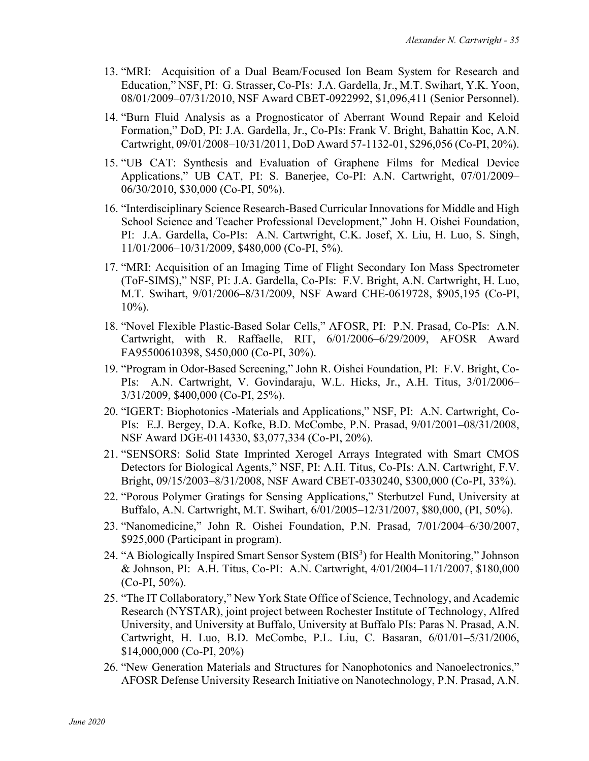- 13. "MRI: Acquisition of a Dual Beam/Focused Ion Beam System for Research and Education," NSF, PI: G. Strasser, Co-PIs: J.A. Gardella, Jr., M.T. Swihart, Y.K. Yoon, 08/01/2009–07/31/2010, NSF Award CBET-0922992, \$1,096,411 (Senior Personnel).
- 14. "Burn Fluid Analysis as a Prognosticator of Aberrant Wound Repair and Keloid Formation," DoD, PI: J.A. Gardella, Jr., Co-PIs: Frank V. Bright, Bahattin Koc, A.N. Cartwright, 09/01/2008–10/31/2011, DoD Award 57-1132-01, \$296,056 (Co-PI, 20%).
- 15. "UB CAT: Synthesis and Evaluation of Graphene Films for Medical Device Applications," UB CAT, PI: S. Banerjee, Co-PI: A.N. Cartwright, 07/01/2009– 06/30/2010, \$30,000 (Co-PI, 50%).
- 16. "Interdisciplinary Science Research-Based Curricular Innovations for Middle and High School Science and Teacher Professional Development," John H. Oishei Foundation, PI: J.A. Gardella, Co-PIs: A.N. Cartwright, C.K. Josef, X. Liu, H. Luo, S. Singh, 11/01/2006–10/31/2009, \$480,000 (Co-PI, 5%).
- 17. "MRI: Acquisition of an Imaging Time of Flight Secondary Ion Mass Spectrometer (ToF-SIMS)," NSF, PI: J.A. Gardella, Co-PIs: F.V. Bright, A.N. Cartwright, H. Luo, M.T. Swihart, 9/01/2006–8/31/2009, NSF Award CHE-0619728, \$905,195 (Co-PI,  $10\%$ ).
- 18. "Novel Flexible Plastic-Based Solar Cells," AFOSR, PI: P.N. Prasad, Co-PIs: A.N. Cartwright, with R. Raffaelle, RIT, 6/01/2006–6/29/2009, AFOSR Award FA95500610398, \$450,000 (Co-PI, 30%).
- 19. "Program in Odor-Based Screening," John R. Oishei Foundation, PI: F.V. Bright, Co-PIs: A.N. Cartwright, V. Govindaraju, W.L. Hicks, Jr., A.H. Titus, 3/01/2006– 3/31/2009, \$400,000 (Co-PI, 25%).
- 20. "IGERT: Biophotonics -Materials and Applications," NSF, PI: A.N. Cartwright, Co-PIs: E.J. Bergey, D.A. Kofke, B.D. McCombe, P.N. Prasad, 9/01/2001–08/31/2008, NSF Award DGE-0114330, \$3,077,334 (Co-PI, 20%).
- 21. "SENSORS: Solid State Imprinted Xerogel Arrays Integrated with Smart CMOS Detectors for Biological Agents," NSF, PI: A.H. Titus, Co-PIs: A.N. Cartwright, F.V. Bright, 09/15/2003–8/31/2008, NSF Award CBET-0330240, \$300,000 (Co-PI, 33%).
- 22. "Porous Polymer Gratings for Sensing Applications," Sterbutzel Fund, University at Buffalo, A.N. Cartwright, M.T. Swihart, 6/01/2005–12/31/2007, \$80,000, (PI, 50%).
- 23. "Nanomedicine," John R. Oishei Foundation, P.N. Prasad, 7/01/2004–6/30/2007, \$925,000 (Participant in program).
- 24. "A Biologically Inspired Smart Sensor System (BIS<sup>3</sup>) for Health Monitoring," Johnson & Johnson, PI: A.H. Titus, Co-PI: A.N. Cartwright, 4/01/2004–11/1/2007, \$180,000  $(Co-PI, 50\%).$
- 25. "The IT Collaboratory," New York State Office of Science, Technology, and Academic Research (NYSTAR), joint project between Rochester Institute of Technology, Alfred University, and University at Buffalo, University at Buffalo PIs: Paras N. Prasad, A.N. Cartwright, H. Luo, B.D. McCombe, P.L. Liu, C. Basaran, 6/01/01–5/31/2006, \$14,000,000 (Co-PI, 20%)
- 26. "New Generation Materials and Structures for Nanophotonics and Nanoelectronics," AFOSR Defense University Research Initiative on Nanotechnology, P.N. Prasad, A.N.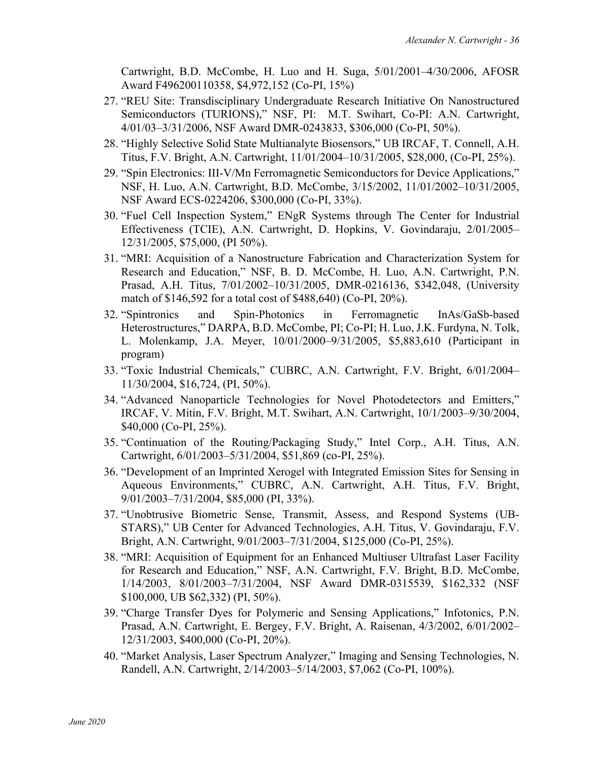Cartwright, B.D. McCombe, H. Luo and H. Suga, 5/01/2001–4/30/2006, AFOSR Award F496200110358, \$4,972,152 (Co-PI, 15%)

- 27. "REU Site: Transdisciplinary Undergraduate Research Initiative On Nanostructured Semiconductors (TURIONS)," NSF, PI: M.T. Swihart, Co-PI: A.N. Cartwright, 4/01/03–3/31/2006, NSF Award DMR-0243833, \$306,000 (Co-PI, 50%).
- 28. "Highly Selective Solid State Multianalyte Biosensors," UB IRCAF, T. Connell, A.H. Titus, F.V. Bright, A.N. Cartwright, 11/01/2004–10/31/2005, \$28,000, (Co-PI, 25%).
- 29. "Spin Electronics: III-V/Mn Ferromagnetic Semiconductors for Device Applications," NSF, H. Luo, A.N. Cartwright, B.D. McCombe, 3/15/2002, 11/01/2002–10/31/2005, NSF Award ECS-0224206, \$300,000 (Co-PI, 33%).
- 30. "Fuel Cell Inspection System," ENgR Systems through The Center for Industrial Effectiveness (TCIE), A.N. Cartwright, D. Hopkins, V. Govindaraju, 2/01/2005– 12/31/2005, \$75,000, (PI 50%).
- 31. "MRI: Acquisition of a Nanostructure Fabrication and Characterization System for Research and Education," NSF, B. D. McCombe, H. Luo, A.N. Cartwright, P.N. Prasad, A.H. Titus, 7/01/2002–10/31/2005, DMR-0216136, \$342,048, (University match of \$146,592 for a total cost of \$488,640) (Co-PI, 20%).
- 32. "Spintronics and Spin-Photonics in Ferromagnetic InAs/GaSb-based Heterostructures," DARPA, B.D. McCombe, PI; Co-PI; H. Luo, J.K. Furdyna, N. Tolk, L. Molenkamp, J.A. Meyer, 10/01/2000–9/31/2005, \$5,883,610 (Participant in program)
- 33. "Toxic Industrial Chemicals," CUBRC, A.N. Cartwright, F.V. Bright, 6/01/2004– 11/30/2004, \$16,724, (PI, 50%).
- 34. "Advanced Nanoparticle Technologies for Novel Photodetectors and Emitters," IRCAF, V. Mitin, F.V. Bright, M.T. Swihart, A.N. Cartwright, 10/1/2003–9/30/2004, \$40,000 (Co-PI, 25%).
- 35. "Continuation of the Routing/Packaging Study," Intel Corp., A.H. Titus, A.N. Cartwright, 6/01/2003–5/31/2004, \$51,869 (co-PI, 25%).
- 36. "Development of an Imprinted Xerogel with Integrated Emission Sites for Sensing in Aqueous Environments," CUBRC, A.N. Cartwright, A.H. Titus, F.V. Bright, 9/01/2003–7/31/2004, \$85,000 (PI, 33%).
- 37. "Unobtrusive Biometric Sense, Transmit, Assess, and Respond Systems (UB-STARS)," UB Center for Advanced Technologies, A.H. Titus, V. Govindaraju, F.V. Bright, A.N. Cartwright, 9/01/2003–7/31/2004, \$125,000 (Co-PI, 25%).
- 38. "MRI: Acquisition of Equipment for an Enhanced Multiuser Ultrafast Laser Facility for Research and Education," NSF, A.N. Cartwright, F.V. Bright, B.D. McCombe, 1/14/2003, 8/01/2003–7/31/2004, NSF Award DMR-0315539, \$162,332 (NSF \$100,000, UB \$62,332) (PI, 50%).
- 39. "Charge Transfer Dyes for Polymeric and Sensing Applications," Infotonics, P.N. Prasad, A.N. Cartwright, E. Bergey, F.V. Bright, A. Raisenan, 4/3/2002, 6/01/2002– 12/31/2003, \$400,000 (Co-PI, 20%).
- 40. "Market Analysis, Laser Spectrum Analyzer," Imaging and Sensing Technologies, N. Randell, A.N. Cartwright, 2/14/2003–5/14/2003, \$7,062 (Co-PI, 100%).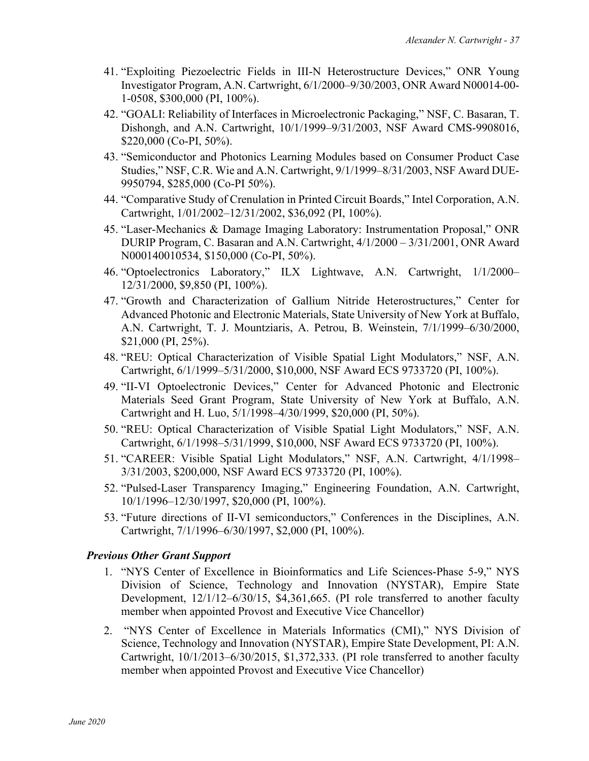- 41. "Exploiting Piezoelectric Fields in III-N Heterostructure Devices," ONR Young Investigator Program, A.N. Cartwright, 6/1/2000–9/30/2003, ONR Award N00014-00- 1-0508, \$300,000 (PI, 100%).
- 42. "GOALI: Reliability of Interfaces in Microelectronic Packaging," NSF, C. Basaran, T. Dishongh, and A.N. Cartwright, 10/1/1999–9/31/2003, NSF Award CMS-9908016, \$220,000 (Co-PI, 50%).
- 43. "Semiconductor and Photonics Learning Modules based on Consumer Product Case Studies," NSF, C.R. Wie and A.N. Cartwright, 9/1/1999–8/31/2003, NSF Award DUE-9950794, \$285,000 (Co-PI 50%).
- 44. "Comparative Study of Crenulation in Printed Circuit Boards," Intel Corporation, A.N. Cartwright, 1/01/2002–12/31/2002, \$36,092 (PI, 100%).
- 45. "Laser-Mechanics & Damage Imaging Laboratory: Instrumentation Proposal," ONR DURIP Program, C. Basaran and A.N. Cartwright, 4/1/2000 – 3/31/2001, ONR Award N000140010534, \$150,000 (Co-PI, 50%).
- 46. "Optoelectronics Laboratory," ILX Lightwave, A.N. Cartwright, 1/1/2000– 12/31/2000, \$9,850 (PI, 100%).
- 47. "Growth and Characterization of Gallium Nitride Heterostructures," Center for Advanced Photonic and Electronic Materials, State University of New York at Buffalo, A.N. Cartwright, T. J. Mountziaris, A. Petrou, B. Weinstein, 7/1/1999–6/30/2000, \$21,000 (PI, 25%).
- 48. "REU: Optical Characterization of Visible Spatial Light Modulators," NSF, A.N. Cartwright, 6/1/1999–5/31/2000, \$10,000, NSF Award ECS 9733720 (PI, 100%).
- 49. "II-VI Optoelectronic Devices," Center for Advanced Photonic and Electronic Materials Seed Grant Program, State University of New York at Buffalo, A.N. Cartwright and H. Luo, 5/1/1998–4/30/1999, \$20,000 (PI, 50%).
- 50. "REU: Optical Characterization of Visible Spatial Light Modulators," NSF, A.N. Cartwright, 6/1/1998–5/31/1999, \$10,000, NSF Award ECS 9733720 (PI, 100%).
- 51. "CAREER: Visible Spatial Light Modulators," NSF, A.N. Cartwright, 4/1/1998– 3/31/2003, \$200,000, NSF Award ECS 9733720 (PI, 100%).
- 52. "Pulsed-Laser Transparency Imaging," Engineering Foundation, A.N. Cartwright, 10/1/1996–12/30/1997, \$20,000 (PI, 100%).
- 53. "Future directions of II-VI semiconductors," Conferences in the Disciplines, A.N. Cartwright, 7/1/1996–6/30/1997, \$2,000 (PI, 100%).

### *Previous Other Grant Support*

- 1. "NYS Center of Excellence in Bioinformatics and Life Sciences-Phase 5-9," NYS Division of Science, Technology and Innovation (NYSTAR), Empire State Development, 12/1/12–6/30/15, \$4,361,665. (PI role transferred to another faculty member when appointed Provost and Executive Vice Chancellor)
- 2. "NYS Center of Excellence in Materials Informatics (CMI)," NYS Division of Science, Technology and Innovation (NYSTAR), Empire State Development, PI: A.N. Cartwright, 10/1/2013–6/30/2015, \$1,372,333. (PI role transferred to another faculty member when appointed Provost and Executive Vice Chancellor)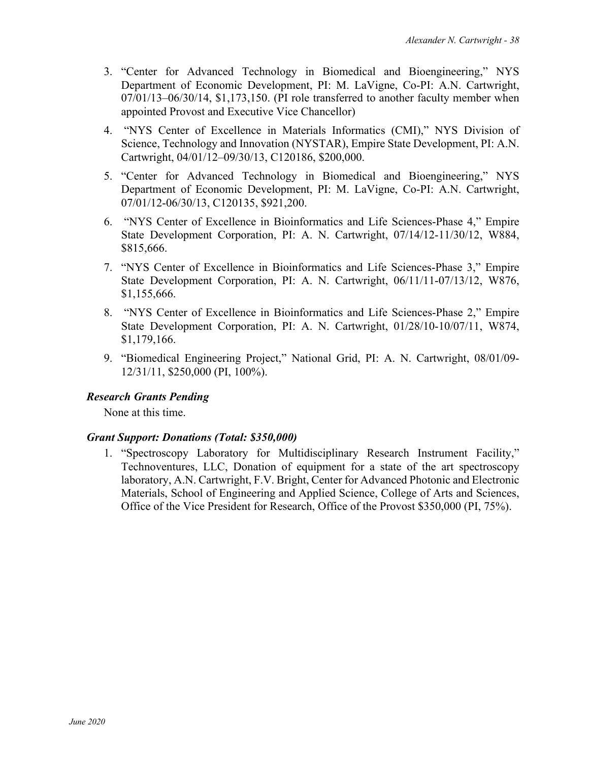- 3. "Center for Advanced Technology in Biomedical and Bioengineering," NYS Department of Economic Development, PI: M. LaVigne, Co-PI: A.N. Cartwright, 07/01/13–06/30/14, \$1,173,150. (PI role transferred to another faculty member when appointed Provost and Executive Vice Chancellor)
- 4. "NYS Center of Excellence in Materials Informatics (CMI)," NYS Division of Science, Technology and Innovation (NYSTAR), Empire State Development, PI: A.N. Cartwright, 04/01/12–09/30/13, C120186, \$200,000.
- 5. "Center for Advanced Technology in Biomedical and Bioengineering," NYS Department of Economic Development, PI: M. LaVigne, Co-PI: A.N. Cartwright, 07/01/12-06/30/13, C120135, \$921,200.
- 6. "NYS Center of Excellence in Bioinformatics and Life Sciences-Phase 4," Empire State Development Corporation, PI: A. N. Cartwright, 07/14/12-11/30/12, W884, \$815,666.
- 7. "NYS Center of Excellence in Bioinformatics and Life Sciences-Phase 3," Empire State Development Corporation, PI: A. N. Cartwright, 06/11/11-07/13/12, W876, \$1,155,666.
- 8. "NYS Center of Excellence in Bioinformatics and Life Sciences-Phase 2," Empire State Development Corporation, PI: A. N. Cartwright, 01/28/10-10/07/11, W874, \$1,179,166.
- 9. "Biomedical Engineering Project," National Grid, PI: A. N. Cartwright, 08/01/09- 12/31/11, \$250,000 (PI, 100%).

### *Research Grants Pending*

None at this time.

### *Grant Support: Donations (Total: \$350,000)*

1. "Spectroscopy Laboratory for Multidisciplinary Research Instrument Facility," Technoventures, LLC, Donation of equipment for a state of the art spectroscopy laboratory, A.N. Cartwright, F.V. Bright, Center for Advanced Photonic and Electronic Materials, School of Engineering and Applied Science, College of Arts and Sciences, Office of the Vice President for Research, Office of the Provost \$350,000 (PI, 75%).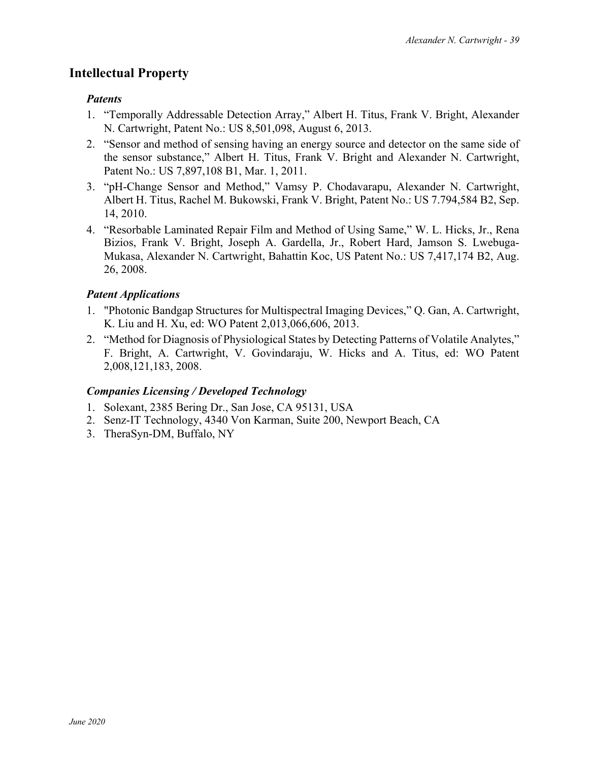# **Intellectual Property**

## *Patents*

- 1. "Temporally Addressable Detection Array," Albert H. Titus, Frank V. Bright, Alexander N. Cartwright, Patent No.: US 8,501,098, August 6, 2013.
- 2. "Sensor and method of sensing having an energy source and detector on the same side of the sensor substance," Albert H. Titus, Frank V. Bright and Alexander N. Cartwright, Patent No.: US 7,897,108 B1, Mar. 1, 2011.
- 3. "pH-Change Sensor and Method," Vamsy P. Chodavarapu, Alexander N. Cartwright, Albert H. Titus, Rachel M. Bukowski, Frank V. Bright, Patent No.: US 7.794,584 B2, Sep. 14, 2010.
- 4. "Resorbable Laminated Repair Film and Method of Using Same," W. L. Hicks, Jr., Rena Bizios, Frank V. Bright, Joseph A. Gardella, Jr., Robert Hard, Jamson S. Lwebuga-Mukasa, Alexander N. Cartwright, Bahattin Koc, US Patent No.: US 7,417,174 B2, Aug. 26, 2008.

# *Patent Applications*

- 1. "Photonic Bandgap Structures for Multispectral Imaging Devices," Q. Gan, A. Cartwright, K. Liu and H. Xu, ed: WO Patent 2,013,066,606, 2013.
- 2. "Method for Diagnosis of Physiological States by Detecting Patterns of Volatile Analytes," F. Bright, A. Cartwright, V. Govindaraju, W. Hicks and A. Titus, ed: WO Patent 2,008,121,183, 2008.

# *Companies Licensing / Developed Technology*

- 1. Solexant, 2385 Bering Dr., San Jose, CA 95131, USA
- 2. Senz-IT Technology, 4340 Von Karman, Suite 200, Newport Beach, CA
- 3. TheraSyn-DM, Buffalo, NY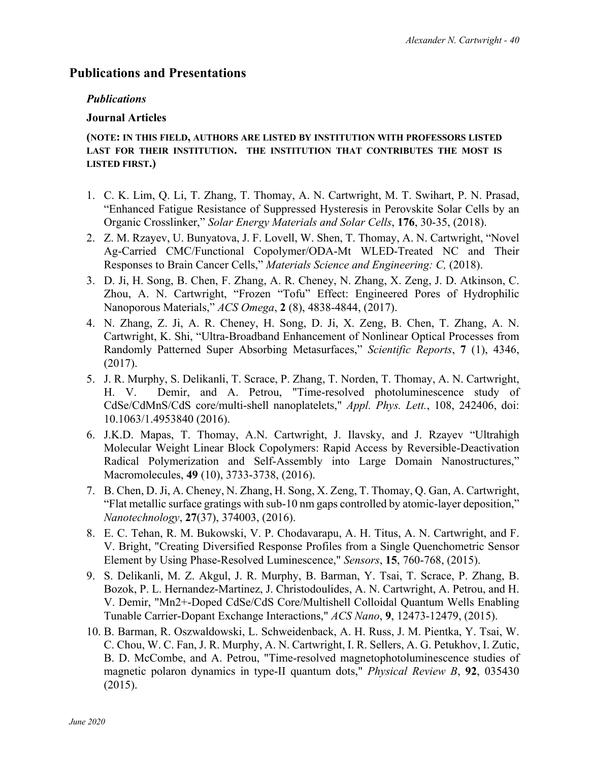# **Publications and Presentations**

## *Publications*

## **Journal Articles**

### **(NOTE: IN THIS FIELD, AUTHORS ARE LISTED BY INSTITUTION WITH PROFESSORS LISTED LAST FOR THEIR INSTITUTION. THE INSTITUTION THAT CONTRIBUTES THE MOST IS LISTED FIRST.)**

- 1. C. K. Lim, Q. Li, T. Zhang, T. Thomay, A. N. Cartwright, M. T. Swihart, P. N. Prasad, "Enhanced Fatigue Resistance of Suppressed Hysteresis in Perovskite Solar Cells by an Organic Crosslinker," *Solar Energy Materials and Solar Cells*, **176**, 30-35, (2018).
- 2. Z. M. Rzayev, U. Bunyatova, J. F. Lovell, W. Shen, T. Thomay, A. N. Cartwright, "Novel Ag-Carried CMC/Functional Copolymer/ODA-Mt WLED-Treated NC and Their Responses to Brain Cancer Cells," *Materials Science and Engineering: C,* (2018).
- 3. D. Ji, H. Song, B. Chen, F. Zhang, A. R. Cheney, N. Zhang, X. Zeng, J. D. Atkinson, C. Zhou, A. N. Cartwright, "Frozen "Tofu" Effect: Engineered Pores of Hydrophilic Nanoporous Materials," *ACS Omega*, **2** (8), 4838-4844, (2017).
- 4. N. Zhang, Z. Ji, A. R. Cheney, H. Song, D. Ji, X. Zeng, B. Chen, T. Zhang, A. N. Cartwright, K. Shi, "Ultra-Broadband Enhancement of Nonlinear Optical Processes from Randomly Patterned Super Absorbing Metasurfaces," *Scientific Reports*, **7** (1), 4346, (2017).
- 5. J. R. Murphy, S. Delikanli, T. Scrace, P. Zhang, T. Norden, T. Thomay, A. N. Cartwright, H. V. Demir, and A. Petrou, "Time-resolved photoluminescence study of CdSe/CdMnS/CdS core/multi-shell nanoplatelets," *Appl. Phys. Lett.*, 108, 242406, doi: 10.1063/1.4953840 (2016).
- 6. J.K.D. Mapas, T. Thomay, A.N. Cartwright, J. Ilavsky, and J. Rzayev "Ultrahigh Molecular Weight Linear Block Copolymers: Rapid Access by Reversible-Deactivation Radical Polymerization and Self-Assembly into Large Domain Nanostructures," Macromolecules, **49** (10), 3733-3738, (2016).
- 7. B. Chen, D. Ji, A. Cheney, N. Zhang, H. Song, X. Zeng, T. Thomay, Q. Gan, A. Cartwright, "Flat metallic surface gratings with sub-10 nm gaps controlled by atomic-layer deposition," *Nanotechnology*, **27**(37), 374003, (2016).
- 8. E. C. Tehan, R. M. Bukowski, V. P. Chodavarapu, A. H. Titus, A. N. Cartwright, and F. V. Bright, "Creating Diversified Response Profiles from a Single Quenchometric Sensor Element by Using Phase-Resolved Luminescence," *Sensors*, **15**, 760-768, (2015).
- 9. S. Delikanli, M. Z. Akgul, J. R. Murphy, B. Barman, Y. Tsai, T. Scrace, P. Zhang, B. Bozok, P. L. Hernandez-Martinez, J. Christodoulides, A. N. Cartwright, A. Petrou, and H. V. Demir, "Mn2+-Doped CdSe/CdS Core/Multishell Colloidal Quantum Wells Enabling Tunable Carrier-Dopant Exchange Interactions," *ACS Nano*, **9**, 12473-12479, (2015).
- 10. B. Barman, R. Oszwaldowski, L. Schweidenback, A. H. Russ, J. M. Pientka, Y. Tsai, W. C. Chou, W. C. Fan, J. R. Murphy, A. N. Cartwright, I. R. Sellers, A. G. Petukhov, I. Zutic, B. D. McCombe, and A. Petrou, "Time-resolved magnetophotoluminescence studies of magnetic polaron dynamics in type-II quantum dots," *Physical Review B*, **92**, 035430 (2015).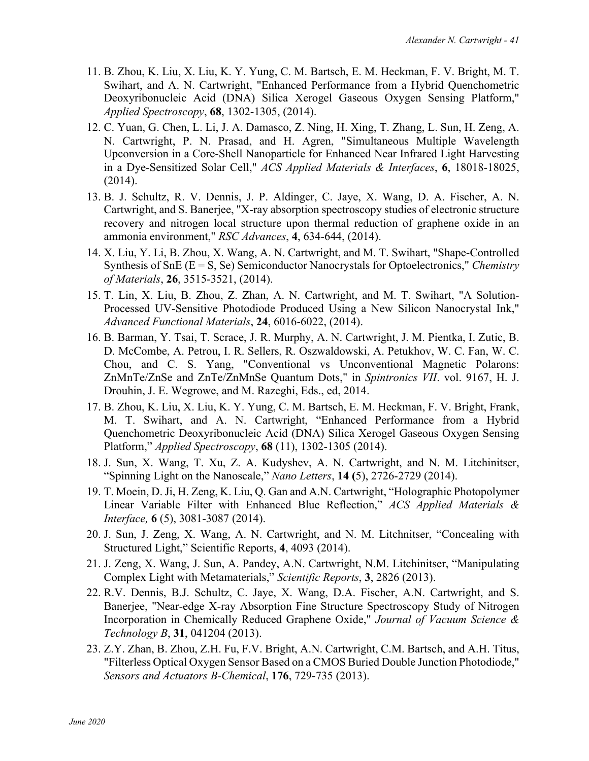- 11. B. Zhou, K. Liu, X. Liu, K. Y. Yung, C. M. Bartsch, E. M. Heckman, F. V. Bright, M. T. Swihart, and A. N. Cartwright, "Enhanced Performance from a Hybrid Quenchometric Deoxyribonucleic Acid (DNA) Silica Xerogel Gaseous Oxygen Sensing Platform," *Applied Spectroscopy*, **68**, 1302-1305, (2014).
- 12. C. Yuan, G. Chen, L. Li, J. A. Damasco, Z. Ning, H. Xing, T. Zhang, L. Sun, H. Zeng, A. N. Cartwright, P. N. Prasad, and H. Agren, "Simultaneous Multiple Wavelength Upconversion in a Core-Shell Nanoparticle for Enhanced Near Infrared Light Harvesting in a Dye-Sensitized Solar Cell," *ACS Applied Materials & Interfaces*, **6**, 18018-18025, (2014).
- 13. B. J. Schultz, R. V. Dennis, J. P. Aldinger, C. Jaye, X. Wang, D. A. Fischer, A. N. Cartwright, and S. Banerjee, "X-ray absorption spectroscopy studies of electronic structure recovery and nitrogen local structure upon thermal reduction of graphene oxide in an ammonia environment," *RSC Advances*, **4**, 634-644, (2014).
- 14. X. Liu, Y. Li, B. Zhou, X. Wang, A. N. Cartwright, and M. T. Swihart, "Shape-Controlled Synthesis of SnE (E = S, Se) Semiconductor Nanocrystals for Optoelectronics," *Chemistry of Materials*, **26**, 3515-3521, (2014).
- 15. T. Lin, X. Liu, B. Zhou, Z. Zhan, A. N. Cartwright, and M. T. Swihart, "A Solution-Processed UV-Sensitive Photodiode Produced Using a New Silicon Nanocrystal Ink," *Advanced Functional Materials*, **24**, 6016-6022, (2014).
- 16. B. Barman, Y. Tsai, T. Scrace, J. R. Murphy, A. N. Cartwright, J. M. Pientka, I. Zutic, B. D. McCombe, A. Petrou, I. R. Sellers, R. Oszwaldowski, A. Petukhov, W. C. Fan, W. C. Chou, and C. S. Yang, "Conventional vs Unconventional Magnetic Polarons: ZnMnTe/ZnSe and ZnTe/ZnMnSe Quantum Dots," in *Spintronics VII*. vol. 9167, H. J. Drouhin, J. E. Wegrowe, and M. Razeghi, Eds., ed, 2014.
- 17. B. Zhou, K. Liu, X. Liu, K. Y. Yung, C. M. Bartsch, E. M. Heckman, F. V. Bright, Frank, M. T. Swihart, and A. N. Cartwright, "Enhanced Performance from a Hybrid Quenchometric Deoxyribonucleic Acid (DNA) Silica Xerogel Gaseous Oxygen Sensing Platform," *Applied Spectroscopy*, **68** (11), 1302-1305 (2014).
- 18. J. Sun, X. Wang, T. Xu, Z. A. Kudyshev, A. N. Cartwright, and N. M. Litchinitser, "Spinning Light on the Nanoscale," *Nano Letters*, **14 (**5), 2726-2729 (2014).
- 19. T. Moein, D. Ji, H. Zeng, K. Liu, Q. Gan and A.N. Cartwright, "Holographic Photopolymer Linear Variable Filter with Enhanced Blue Reflection," *ACS Applied Materials & Interface,* **6** (5), 3081-3087 (2014).
- 20. J. Sun, J. Zeng, X. Wang, A. N. Cartwright, and N. M. Litchnitser, "Concealing with Structured Light," Scientific Reports, **4**, 4093 (2014).
- 21. J. Zeng, X. Wang, J. Sun, A. Pandey, A.N. Cartwright, N.M. Litchinitser, "Manipulating Complex Light with Metamaterials," *Scientific Reports*, **3**, 2826 (2013).
- 22. R.V. Dennis, B.J. Schultz, C. Jaye, X. Wang, D.A. Fischer, A.N. Cartwright, and S. Banerjee, "Near-edge X-ray Absorption Fine Structure Spectroscopy Study of Nitrogen Incorporation in Chemically Reduced Graphene Oxide," *Journal of Vacuum Science & Technology B*, **31**, 041204 (2013).
- 23. Z.Y. Zhan, B. Zhou, Z.H. Fu, F.V. Bright, A.N. Cartwright, C.M. Bartsch, and A.H. Titus, "Filterless Optical Oxygen Sensor Based on a CMOS Buried Double Junction Photodiode," *Sensors and Actuators B-Chemical*, **176**, 729-735 (2013).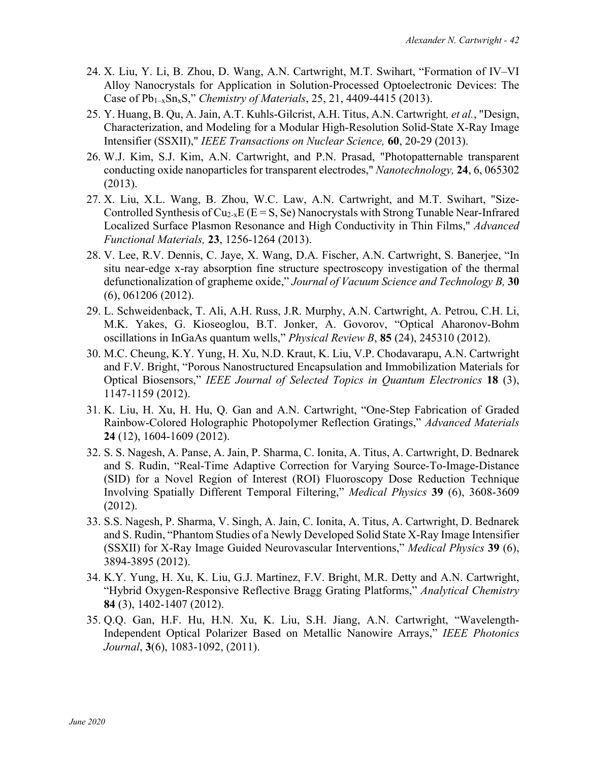- 24. X. Liu, Y. Li, B. Zhou, D. Wang, A.N. Cartwright, M.T. Swihart, "Formation of IV–VI Alloy Nanocrystals for Application in Solution-Processed Optoelectronic Devices: The Case of Pb1–xSnxS," *Chemistry of Materials*, 25, 21, 4409-4415 (2013).
- 25. Y. Huang, B. Qu, A. Jain, A.T. Kuhls-Gilcrist, A.H. Titus, A.N. Cartwright*, et al.*, "Design, Characterization, and Modeling for a Modular High-Resolution Solid-State X-Ray Image Intensifier (SSXII)," *IEEE Transactions on Nuclear Science,* **60**, 20-29 (2013).
- 26. W.J. Kim, S.J. Kim, A.N. Cartwright, and P.N. Prasad, "Photopatternable transparent conducting oxide nanoparticles for transparent electrodes," *Nanotechnology,* **24**, 6, 065302 (2013).
- 27. X. Liu, X.L. Wang, B. Zhou, W.C. Law, A.N. Cartwright, and M.T. Swihart, "Size-Controlled Synthesis of  $Cu_{2-x}E$  ( $E = S$ , Se) Nanocrystals with Strong Tunable Near-Infrared Localized Surface Plasmon Resonance and High Conductivity in Thin Films," *Advanced Functional Materials,* **23**, 1256-1264 (2013).
- 28. V. Lee, R.V. Dennis, C. Jaye, X. Wang, D.A. Fischer, A.N. Cartwright, S. Banerjee, "In situ near-edge x-ray absorption fine structure spectroscopy investigation of the thermal defunctionalization of grapheme oxide," *Journal of Vacuum Science and Technology B,* **30** (6), 061206 (2012).
- 29. L. Schweidenback, T. Ali, A.H. Russ, J.R. Murphy, A.N. Cartwright, A. Petrou, C.H. Li, M.K. Yakes, G. Kioseoglou, B.T. Jonker, A. Govorov, "Optical Aharonov-Bohm oscillations in InGaAs quantum wells," *Physical Review B*, **85** (24), 245310 (2012).
- 30. M.C. Cheung, K.Y. Yung, H. Xu, N.D. Kraut, K. Liu, V.P. Chodavarapu, A.N. Cartwright and F.V. Bright, "Porous Nanostructured Encapsulation and Immobilization Materials for Optical Biosensors," *IEEE Journal of Selected Topics in Quantum Electronics* **18** (3), 1147-1159 (2012).
- 31. K. Liu, H. Xu, H. Hu, Q. Gan and A.N. Cartwright, "One-Step Fabrication of Graded Rainbow-Colored Holographic Photopolymer Reflection Gratings," *Advanced Materials* **24** (12), 1604-1609 (2012).
- 32. S. S. Nagesh, A. Panse, A. Jain, P. Sharma, C. Ionita, A. Titus, A. Cartwright, D. Bednarek and S. Rudin, "Real-Time Adaptive Correction for Varying Source-To-Image-Distance (SID) for a Novel Region of Interest (ROI) Fluoroscopy Dose Reduction Technique Involving Spatially Different Temporal Filtering," *Medical Physics* **39** (6), 3608-3609 (2012).
- 33. S.S. Nagesh, P. Sharma, V. Singh, A. Jain, C. Ionita, A. Titus, A. Cartwright, D. Bednarek and S. Rudin, "Phantom Studies of a Newly Developed Solid State X-Ray Image Intensifier (SSXII) for X-Ray Image Guided Neurovascular Interventions," *Medical Physics* **39** (6), 3894-3895 (2012).
- 34. K.Y. Yung, H. Xu, K. Liu, G.J. Martinez, F.V. Bright, M.R. Detty and A.N. Cartwright, "Hybrid Oxygen-Responsive Reflective Bragg Grating Platforms," *Analytical Chemistry*  **84** (3), 1402-1407 (2012).
- 35. Q.Q. Gan, H.F. Hu, H.N. Xu, K. Liu, S.H. Jiang, A.N. Cartwright, "Wavelength-Independent Optical Polarizer Based on Metallic Nanowire Arrays," *IEEE Photonics Journal*, **3**(6), 1083-1092, (2011).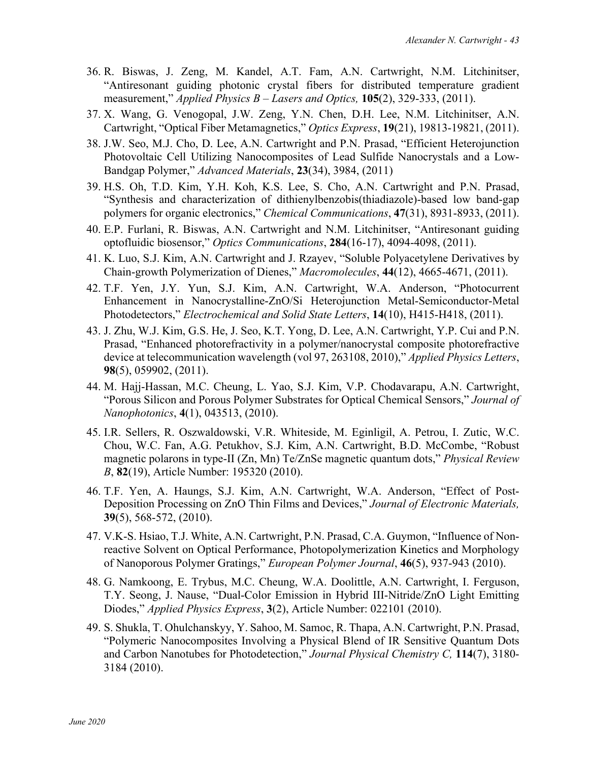- 36. R. Biswas, J. Zeng, M. Kandel, A.T. Fam, A.N. Cartwright, N.M. Litchinitser, "Antiresonant guiding photonic crystal fibers for distributed temperature gradient measurement," *Applied Physics B – Lasers and Optics,* **105**(2), 329-333, (2011).
- 37. X. Wang, G. Venogopal, J.W. Zeng, Y.N. Chen, D.H. Lee, N.M. Litchinitser, A.N. Cartwright, "Optical Fiber Metamagnetics," *Optics Express*, **19**(21), 19813-19821, (2011).
- 38. J.W. Seo, M.J. Cho, D. Lee, A.N. Cartwright and P.N. Prasad, "Efficient Heterojunction Photovoltaic Cell Utilizing Nanocomposites of Lead Sulfide Nanocrystals and a Low-Bandgap Polymer," *Advanced Materials*, **23**(34), 3984, (2011)
- 39. H.S. Oh, T.D. Kim, Y.H. Koh, K.S. Lee, S. Cho, A.N. Cartwright and P.N. Prasad, "Synthesis and characterization of dithienylbenzobis(thiadiazole)-based low band-gap polymers for organic electronics," *Chemical Communications*, **47**(31), 8931-8933, (2011).
- 40. E.P. Furlani, R. Biswas, A.N. Cartwright and N.M. Litchinitser, "Antiresonant guiding optofluidic biosensor," *Optics Communications*, **284**(16-17), 4094-4098, (2011).
- 41. K. Luo, S.J. Kim, A.N. Cartwright and J. Rzayev, "Soluble Polyacetylene Derivatives by Chain-growth Polymerization of Dienes," *Macromolecules*, **44**(12), 4665-4671, (2011).
- 42. T.F. Yen, J.Y. Yun, S.J. Kim, A.N. Cartwright, W.A. Anderson, "Photocurrent Enhancement in Nanocrystalline-ZnO/Si Heterojunction Metal-Semiconductor-Metal Photodetectors," *Electrochemical and Solid State Letters*, **14**(10), H415-H418, (2011).
- 43. J. Zhu, W.J. Kim, G.S. He, J. Seo, K.T. Yong, D. Lee, A.N. Cartwright, Y.P. Cui and P.N. Prasad, "Enhanced photorefractivity in a polymer/nanocrystal composite photorefractive device at telecommunication wavelength (vol 97, 263108, 2010)," *Applied Physics Letters*, **98**(5), 059902, (2011).
- 44. M. Hajj-Hassan, M.C. Cheung, L. Yao, S.J. Kim, V.P. Chodavarapu, A.N. Cartwright, "Porous Silicon and Porous Polymer Substrates for Optical Chemical Sensors," *Journal of Nanophotonics*, **4**(1), 043513, (2010).
- 45. I.R. Sellers, R. Oszwaldowski, V.R. Whiteside, M. Eginligil, A. Petrou, I. Zutic, W.C. Chou, W.C. Fan, A.G. Petukhov, S.J. Kim, A.N. Cartwright, B.D. McCombe, "Robust magnetic polarons in type-II (Zn, Mn) Te/ZnSe magnetic quantum dots," *Physical Review B*, **82**(19), Article Number: 195320 (2010).
- 46. T.F. Yen, A. Haungs, S.J. Kim, A.N. Cartwright, W.A. Anderson, "Effect of Post-Deposition Processing on ZnO Thin Films and Devices," *Journal of Electronic Materials,*  **39**(5), 568-572, (2010).
- 47. V.K-S. Hsiao, T.J. White, A.N. Cartwright, P.N. Prasad, C.A. Guymon, "Influence of Nonreactive Solvent on Optical Performance, Photopolymerization Kinetics and Morphology of Nanoporous Polymer Gratings," *European Polymer Journal*, **46**(5), 937-943 (2010).
- 48. G. Namkoong, E. Trybus, M.C. Cheung, W.A. Doolittle, A.N. Cartwright, I. Ferguson, T.Y. Seong, J. Nause, "Dual-Color Emission in Hybrid III-Nitride/ZnO Light Emitting Diodes," *Applied Physics Express*, **3**(2), Article Number: 022101 (2010).
- 49. S. Shukla, T. Ohulchanskyy, Y. Sahoo, M. Samoc, R. Thapa, A.N. Cartwright, P.N. Prasad, "Polymeric Nanocomposites Involving a Physical Blend of IR Sensitive Quantum Dots and Carbon Nanotubes for Photodetection," *Journal Physical Chemistry C,* **114**(7), 3180- 3184 (2010).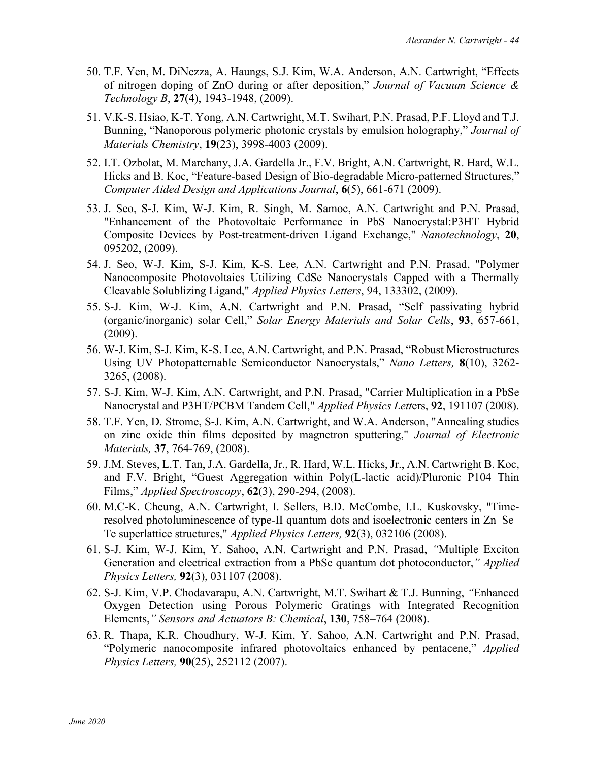- 50. T.F. Yen, M. DiNezza, A. Haungs, S.J. Kim, W.A. Anderson, A.N. Cartwright, "Effects of nitrogen doping of ZnO during or after deposition," *Journal of Vacuum Science & Technology B*, **27**(4), 1943-1948, (2009).
- 51. V.K-S. Hsiao, K-T. Yong, A.N. Cartwright, M.T. Swihart, P.N. Prasad, P.F. Lloyd and T.J. Bunning, "Nanoporous polymeric photonic crystals by emulsion holography," *Journal of Materials Chemistry*, **19**(23), 3998-4003 (2009).
- 52. I.T. Ozbolat, M. Marchany, J.A. Gardella Jr., F.V. Bright, A.N. Cartwright, R. Hard, W.L. Hicks and B. Koc, "Feature-based Design of Bio-degradable Micro-patterned Structures," *Computer Aided Design and Applications Journal*, **6**(5), 661-671 (2009).
- 53. J. Seo, S-J. Kim, W-J. Kim, R. Singh, M. Samoc, A.N. Cartwright and P.N. Prasad, "Enhancement of the Photovoltaic Performance in PbS Nanocrystal:P3HT Hybrid Composite Devices by Post-treatment-driven Ligand Exchange," *Nanotechnology*, **20**, 095202, (2009).
- 54. J. Seo, W-J. Kim, S-J. Kim, K-S. Lee, A.N. Cartwright and P.N. Prasad, "Polymer Nanocomposite Photovoltaics Utilizing CdSe Nanocrystals Capped with a Thermally Cleavable Solublizing Ligand," *Applied Physics Letters*, 94, 133302, (2009).
- 55. S-J. Kim, W-J. Kim, A.N. Cartwright and P.N. Prasad, "Self passivating hybrid (organic/inorganic) solar Cell," *Solar Energy Materials and Solar Cells*, **93**, 657-661, (2009).
- 56. W-J. Kim, S-J. Kim, K-S. Lee, A.N. Cartwright, and P.N. Prasad, "Robust Microstructures Using UV Photopatternable Semiconductor Nanocrystals," *Nano Letters,* **8**(10), 3262- 3265, (2008).
- 57. S-J. Kim, W-J. Kim, A.N. Cartwright, and P.N. Prasad, "Carrier Multiplication in a PbSe Nanocrystal and P3HT/PCBM Tandem Cell," *Applied Physics Lett*ers, **92**, 191107 (2008).
- 58. T.F. Yen, D. Strome, S-J. Kim, A.N. Cartwright, and W.A. Anderson, "Annealing studies on zinc oxide thin films deposited by magnetron sputtering," *Journal of Electronic Materials,* **37**, 764-769, (2008).
- 59. J.M. Steves, L.T. Tan, J.A. Gardella, Jr., R. Hard, W.L. Hicks, Jr., A.N. Cartwright B. Koc, and F.V. Bright, "Guest Aggregation within Poly(L-lactic acid)/Pluronic P104 Thin Films," *Applied Spectroscopy*, **62**(3), 290-294, (2008).
- 60. M.C-K. Cheung, A.N. Cartwright, I. Sellers, B.D. McCombe, I.L. Kuskovsky, "Timeresolved photoluminescence of type-II quantum dots and isoelectronic centers in Zn–Se– Te superlattice structures," *Applied Physics Letters,* **92**(3), 032106 (2008).
- 61. S-J. Kim, W-J. Kim, Y. Sahoo, A.N. Cartwright and P.N. Prasad, *"*Multiple Exciton Generation and electrical extraction from a PbSe quantum dot photoconductor,*" Applied Physics Letters,* **92**(3), 031107 (2008).
- 62. S-J. Kim, V.P. Chodavarapu, A.N. Cartwright, M.T. Swihart & T.J. Bunning, *"*Enhanced Oxygen Detection using Porous Polymeric Gratings with Integrated Recognition Elements,*" Sensors and Actuators B: Chemical*, **130**, 758–764 (2008).
- 63. R. Thapa, K.R. Choudhury, W-J. Kim, Y. Sahoo, A.N. Cartwright and P.N. Prasad, "Polymeric nanocomposite infrared photovoltaics enhanced by pentacene," *Applied Physics Letters,* **90**(25), 252112 (2007).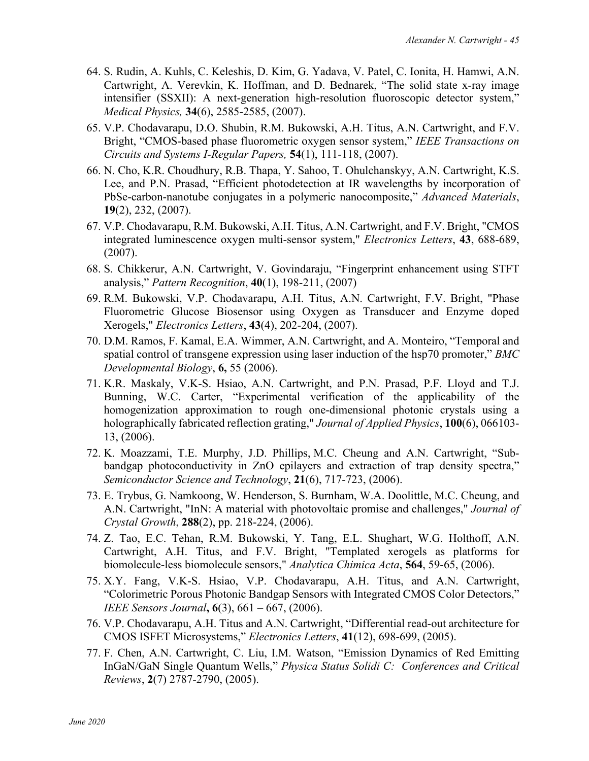- 64. S. Rudin, A. Kuhls, C. Keleshis, D. Kim, G. Yadava, V. Patel, C. Ionita, H. Hamwi, A.N. Cartwright, A. Verevkin, K. Hoffman, and D. Bednarek, "The solid state x-ray image intensifier (SSXII): A next-generation high-resolution fluoroscopic detector system," *Medical Physics,* **34**(6), 2585-2585, (2007).
- 65. V.P. Chodavarapu, D.O. Shubin, R.M. Bukowski, A.H. Titus, A.N. Cartwright, and F.V. Bright, "CMOS-based phase fluorometric oxygen sensor system," *IEEE Transactions on Circuits and Systems I-Regular Papers,* **54**(1), 111-118, (2007).
- 66. N. Cho, K.R. Choudhury, R.B. Thapa, Y. Sahoo, T. Ohulchanskyy, A.N. Cartwright, K.S. Lee, and P.N. Prasad, "Efficient photodetection at IR wavelengths by incorporation of PbSe-carbon-nanotube conjugates in a polymeric nanocomposite," *Advanced Materials*, **19**(2), 232, (2007).
- 67. V.P. Chodavarapu, R.M. Bukowski, A.H. Titus, A.N. Cartwright, and F.V. Bright, "CMOS integrated luminescence oxygen multi-sensor system," *Electronics Letters*, **43**, 688-689, (2007).
- 68. S. Chikkerur, A.N. Cartwright, V. Govindaraju, "Fingerprint enhancement using STFT analysis," *Pattern Recognition*, **40**(1), 198-211, (2007)
- 69. R.M. Bukowski, V.P. Chodavarapu, A.H. Titus, A.N. Cartwright, F.V. Bright, "Phase Fluorometric Glucose Biosensor using Oxygen as Transducer and Enzyme doped Xerogels," *Electronics Letters*, **43**(4), 202-204, (2007).
- 70. D.M. Ramos, F. Kamal, E.A. Wimmer, A.N. Cartwright, and A. Monteiro, "Temporal and spatial control of transgene expression using laser induction of the hsp70 promoter," *BMC Developmental Biology*, **6,** 55 (2006).
- 71. K.R. Maskaly, V.K-S. Hsiao, A.N. Cartwright, and P.N. Prasad, P.F. Lloyd and T.J. Bunning, W.C. Carter, "Experimental verification of the applicability of the homogenization approximation to rough one-dimensional photonic crystals using a holographically fabricated reflection grating," *Journal of Applied Physics*, **100**(6), 066103- 13, (2006).
- 72. K. Moazzami, T.E. Murphy, J.D. Phillips, M.C. Cheung and A.N. Cartwright, "Subbandgap photoconductivity in ZnO epilayers and extraction of trap density spectra," *Semiconductor Science and Technology*, **21**(6), 717-723, (2006).
- 73. E. Trybus, G. Namkoong, W. Henderson, S. Burnham, W.A. Doolittle, M.C. Cheung, and A.N. Cartwright, "InN: A material with photovoltaic promise and challenges," *Journal of Crystal Growth*, **288**(2), pp. 218-224, (2006).
- 74. Z. Tao, E.C. Tehan, R.M. Bukowski, Y. Tang, E.L. Shughart, W.G. Holthoff, A.N. Cartwright, A.H. Titus, and F.V. Bright, "Templated xerogels as platforms for biomolecule-less biomolecule sensors," *Analytica Chimica Acta*, **564**, 59-65, (2006).
- 75. X.Y. Fang, V.K-S. Hsiao, V.P. Chodavarapu, A.H. Titus, and A.N. Cartwright, "Colorimetric Porous Photonic Bandgap Sensors with Integrated CMOS Color Detectors," *IEEE Sensors Journal***, 6**(3), 661 – 667, (2006).
- 76. V.P. Chodavarapu, A.H. Titus and A.N. Cartwright, "Differential read-out architecture for CMOS ISFET Microsystems," *Electronics Letters*, **41**(12), 698-699, (2005).
- 77. F. Chen, A.N. Cartwright, C. Liu, I.M. Watson, "Emission Dynamics of Red Emitting InGaN/GaN Single Quantum Wells," *Physica Status Solidi C: Conferences and Critical Reviews*, **2**(7) 2787-2790, (2005).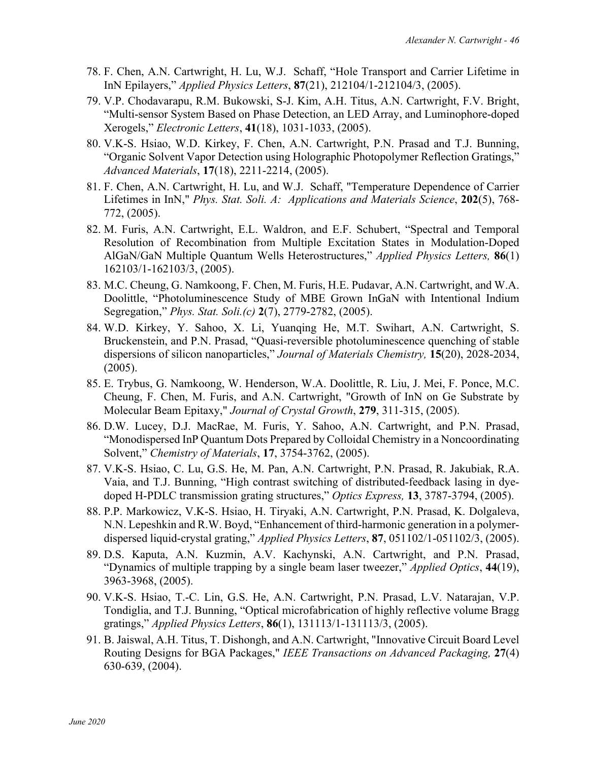- 78. F. Chen, A.N. Cartwright, H. Lu, W.J. Schaff, "Hole Transport and Carrier Lifetime in InN Epilayers," *Applied Physics Letters*, **87**(21), 212104/1-212104/3, (2005).
- 79. V.P. Chodavarapu, R.M. Bukowski, S-J. Kim, A.H. Titus, A.N. Cartwright, F.V. Bright, "Multi-sensor System Based on Phase Detection, an LED Array, and Luminophore-doped Xerogels," *Electronic Letters*, **41**(18), 1031-1033, (2005).
- 80. V.K-S. Hsiao, W.D. Kirkey, F. Chen, A.N. Cartwright, P.N. Prasad and T.J. Bunning, "Organic Solvent Vapor Detection using Holographic Photopolymer Reflection Gratings," *Advanced Materials*, **17**(18), 2211-2214, (2005).
- 81. F. Chen, A.N. Cartwright, H. Lu, and W.J. Schaff, "Temperature Dependence of Carrier Lifetimes in InN," *Phys. Stat. Soli. A: Applications and Materials Science*, **202**(5), 768- 772, (2005).
- 82. M. Furis, A.N. Cartwright, E.L. Waldron, and E.F. Schubert, "Spectral and Temporal Resolution of Recombination from Multiple Excitation States in Modulation-Doped AlGaN/GaN Multiple Quantum Wells Heterostructures," *Applied Physics Letters,* **86**(1) 162103/1-162103/3, (2005).
- 83. M.C. Cheung, G. Namkoong, F. Chen, M. Furis, H.E. Pudavar, A.N. Cartwright, and W.A. Doolittle, "Photoluminescence Study of MBE Grown InGaN with Intentional Indium Segregation," *Phys. Stat. Soli.(c)* **2**(7), 2779-2782, (2005).
- 84. W.D. Kirkey, Y. Sahoo, X. Li, Yuanqing He, M.T. Swihart, A.N. Cartwright, S. Bruckenstein, and P.N. Prasad, "Quasi-reversible photoluminescence quenching of stable dispersions of silicon nanoparticles," *Journal of Materials Chemistry,* **15**(20), 2028-2034, (2005).
- 85. E. Trybus, G. Namkoong, W. Henderson, W.A. Doolittle, R. Liu, J. Mei, F. Ponce, M.C. Cheung, F. Chen, M. Furis, and A.N. Cartwright, "Growth of InN on Ge Substrate by Molecular Beam Epitaxy," *Journal of Crystal Growth*, **279**, 311-315, (2005).
- 86. D.W. Lucey, D.J. MacRae, M. Furis, Y. Sahoo, A.N. Cartwright, and P.N. Prasad, "Monodispersed InP Quantum Dots Prepared by Colloidal Chemistry in a Noncoordinating Solvent," *Chemistry of Materials*, **17**, 3754-3762, (2005).
- 87. V.K-S. Hsiao, C. Lu, G.S. He, M. Pan, A.N. Cartwright, P.N. Prasad, R. Jakubiak, R.A. Vaia, and T.J. Bunning, "High contrast switching of distributed-feedback lasing in dyedoped H-PDLC transmission grating structures," *Optics Express,* **13**, 3787-3794, (2005).
- 88. P.P. Markowicz, V.K-S. Hsiao, H. Tiryaki, A.N. Cartwright, P.N. Prasad, K. Dolgaleva, N.N. Lepeshkin and R.W. Boyd, "Enhancement of third-harmonic generation in a polymerdispersed liquid-crystal grating," *Applied Physics Letters*, **87**, 051102/1-051102/3, (2005).
- 89. D.S. Kaputa, A.N. Kuzmin, A.V. Kachynski, A.N. Cartwright, and P.N. Prasad, "Dynamics of multiple trapping by a single beam laser tweezer," *Applied Optics*, **44**(19), 3963-3968, (2005).
- 90. V.K-S. Hsiao, T.-C. Lin, G.S. He, A.N. Cartwright, P.N. Prasad, L.V. Natarajan, V.P. Tondiglia, and T.J. Bunning, "Optical microfabrication of highly reflective volume Bragg gratings," *Applied Physics Letters*, **86**(1), 131113/1-131113/3, (2005).
- 91. B. Jaiswal, A.H. Titus, T. Dishongh, and A.N. Cartwright, "Innovative Circuit Board Level Routing Designs for BGA Packages," *IEEE Transactions on Advanced Packaging,* **27**(4) 630-639, (2004).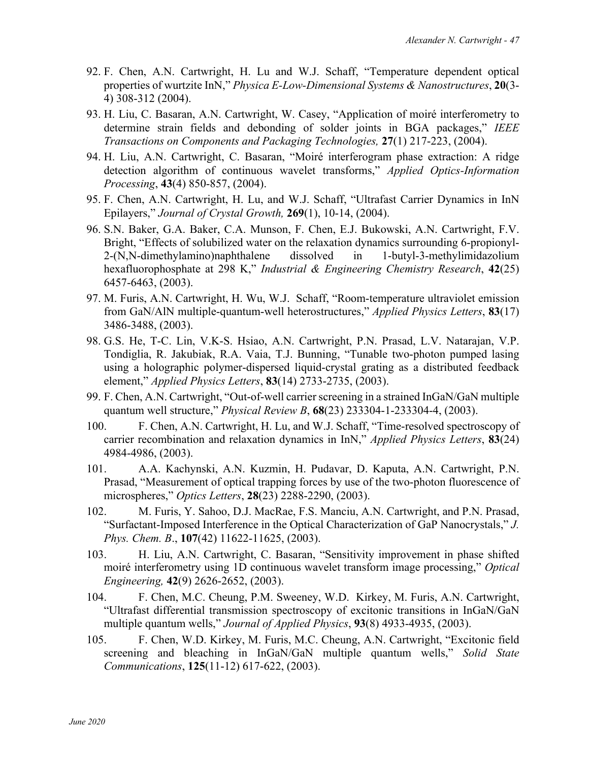- 92. F. Chen, A.N. Cartwright, H. Lu and W.J. Schaff, "Temperature dependent optical properties of wurtzite InN," *Physica E-Low-Dimensional Systems & Nanostructures*, **20**(3- 4) 308-312 (2004).
- 93. H. Liu, C. Basaran, A.N. Cartwright, W. Casey, "Application of moiré interferometry to determine strain fields and debonding of solder joints in BGA packages," *IEEE Transactions on Components and Packaging Technologies,* **27**(1) 217-223, (2004).
- 94. H. Liu, A.N. Cartwright, C. Basaran, "Moiré interferogram phase extraction: A ridge detection algorithm of continuous wavelet transforms," *Applied Optics-Information Processing*, **43**(4) 850-857, (2004).
- 95. F. Chen, A.N. Cartwright, H. Lu, and W.J. Schaff, "Ultrafast Carrier Dynamics in InN Epilayers," *Journal of Crystal Growth,* **269**(1), 10-14, (2004).
- 96. S.N. Baker, G.A. Baker, C.A. Munson, F. Chen, E.J. Bukowski, A.N. Cartwright, F.V. Bright, "Effects of solubilized water on the relaxation dynamics surrounding 6-propionyl-2-(N,N-dimethylamino)naphthalene dissolved in 1-butyl-3-methylimidazolium hexafluorophosphate at 298 K," *Industrial & Engineering Chemistry Research*, **42**(25) 6457-6463, (2003).
- 97. M. Furis, A.N. Cartwright, H. Wu, W.J. Schaff, "Room-temperature ultraviolet emission from GaN/AlN multiple-quantum-well heterostructures," *Applied Physics Letters*, **83**(17) 3486-3488, (2003).
- 98. G.S. He, T-C. Lin, V.K-S. Hsiao, A.N. Cartwright, P.N. Prasad, L.V. Natarajan, V.P. Tondiglia, R. Jakubiak, R.A. Vaia, T.J. Bunning, "Tunable two-photon pumped lasing using a holographic polymer-dispersed liquid-crystal grating as a distributed feedback element," *Applied Physics Letters*, **83**(14) 2733-2735, (2003).
- 99. F. Chen, A.N. Cartwright, "Out-of-well carrier screening in a strained InGaN/GaN multiple quantum well structure," *Physical Review B*, **68**(23) 233304-1-233304-4, (2003).
- 100. F. Chen, A.N. Cartwright, H. Lu, and W.J. Schaff, "Time-resolved spectroscopy of carrier recombination and relaxation dynamics in InN," *Applied Physics Letters*, **83**(24) 4984-4986, (2003).
- 101. A.A. Kachynski, A.N. Kuzmin, H. Pudavar, D. Kaputa, A.N. Cartwright, P.N. Prasad, "Measurement of optical trapping forces by use of the two-photon fluorescence of microspheres," *Optics Letters*, **28**(23) 2288-2290, (2003).
- 102. M. Furis, Y. Sahoo, D.J. MacRae, F.S. Manciu, A.N. Cartwright, and P.N. Prasad, "Surfactant-Imposed Interference in the Optical Characterization of GaP Nanocrystals," *J. Phys. Chem. B*., **107**(42) 11622-11625, (2003).
- 103. H. Liu, A.N. Cartwright, C. Basaran, "Sensitivity improvement in phase shifted moiré interferometry using 1D continuous wavelet transform image processing," *Optical Engineering,* **42**(9) 2626-2652, (2003).
- 104. F. Chen, M.C. Cheung, P.M. Sweeney, W.D. Kirkey, M. Furis, A.N. Cartwright, "Ultrafast differential transmission spectroscopy of excitonic transitions in InGaN/GaN multiple quantum wells," *Journal of Applied Physics*, **93**(8) 4933-4935, (2003).
- 105. F. Chen, W.D. Kirkey, M. Furis, M.C. Cheung, A.N. Cartwright, "Excitonic field screening and bleaching in InGaN/GaN multiple quantum wells," *Solid State Communications*, **125**(11-12) 617-622, (2003).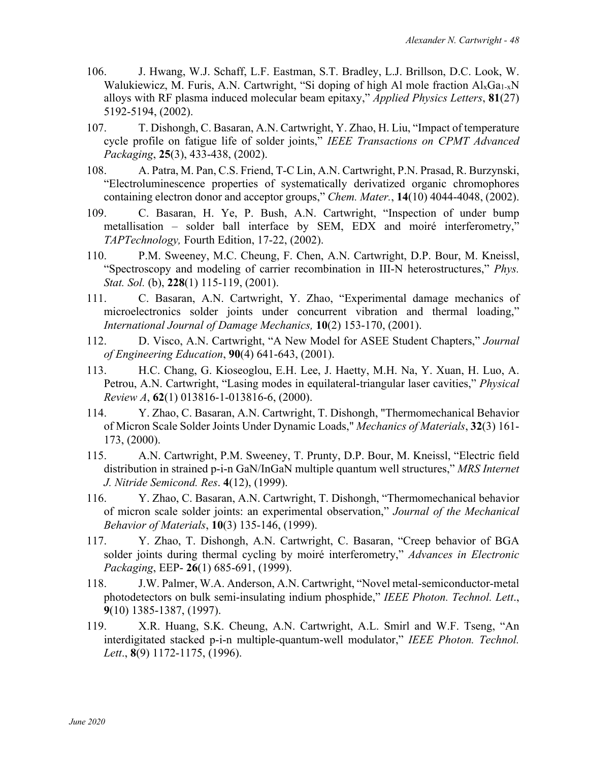- 106. J. Hwang, W.J. Schaff, L.F. Eastman, S.T. Bradley, L.J. Brillson, D.C. Look, W. Walukiewicz, M. Furis, A.N. Cartwright, "Si doping of high Al mole fraction  $Al_xGa_{1-x}N$ alloys with RF plasma induced molecular beam epitaxy," *Applied Physics Letters*, **81**(27) 5192-5194, (2002).
- 107. T. Dishongh, C. Basaran, A.N. Cartwright, Y. Zhao, H. Liu, "Impact of temperature cycle profile on fatigue life of solder joints," *IEEE Transactions on CPMT Advanced Packaging*, **25**(3), 433-438, (2002).
- 108. A. Patra, M. Pan, C.S. Friend, T-C Lin, A.N. Cartwright, P.N. Prasad, R. Burzynski, "Electroluminescence properties of systematically derivatized organic chromophores containing electron donor and acceptor groups," *Chem. Mater.*, **14**(10) 4044-4048, (2002).
- 109. C. Basaran, H. Ye, P. Bush, A.N. Cartwright, "Inspection of under bump metallisation – solder ball interface by SEM, EDX and moiré interferometry," *TAPTechnology,* Fourth Edition, 17-22, (2002).
- 110. P.M. Sweeney, M.C. Cheung, F. Chen, A.N. Cartwright, D.P. Bour, M. Kneissl, "Spectroscopy and modeling of carrier recombination in III-N heterostructures," *Phys. Stat. Sol.* (b), **228**(1) 115-119, (2001).
- 111. C. Basaran, A.N. Cartwright, Y. Zhao, "Experimental damage mechanics of microelectronics solder joints under concurrent vibration and thermal loading," *International Journal of Damage Mechanics,* **10**(2) 153-170, (2001).
- 112. D. Visco, A.N. Cartwright, "A New Model for ASEE Student Chapters," *Journal of Engineering Education*, **90**(4) 641-643, (2001).
- 113. H.C. Chang, G. Kioseoglou, E.H. Lee, J. Haetty, M.H. Na, Y. Xuan, H. Luo, A. Petrou, A.N. Cartwright, "Lasing modes in equilateral-triangular laser cavities," *Physical Review A*, **62**(1) 013816-1-013816-6, (2000).
- 114. Y. Zhao, C. Basaran, A.N. Cartwright, T. Dishongh, "Thermomechanical Behavior of Micron Scale Solder Joints Under Dynamic Loads," *Mechanics of Materials*, **32**(3) 161- 173, (2000).
- 115. A.N. Cartwright, P.M. Sweeney, T. Prunty, D.P. Bour, M. Kneissl, "Electric field distribution in strained p-i-n GaN/InGaN multiple quantum well structures," *MRS Internet J. Nitride Semicond. Res*. **4**(12), (1999).
- 116. Y. Zhao, C. Basaran, A.N. Cartwright, T. Dishongh, "Thermomechanical behavior of micron scale solder joints: an experimental observation," *Journal of the Mechanical Behavior of Materials*, **10**(3) 135-146, (1999).
- 117. Y. Zhao, T. Dishongh, A.N. Cartwright, C. Basaran, "Creep behavior of BGA solder joints during thermal cycling by moiré interferometry," *Advances in Electronic Packaging*, EEP- **26**(1) 685-691, (1999).
- 118. J.W. Palmer, W.A. Anderson, A.N. Cartwright, "Novel metal-semiconductor-metal photodetectors on bulk semi-insulating indium phosphide," *IEEE Photon. Technol. Lett*., **9**(10) 1385-1387, (1997).
- 119. X.R. Huang, S.K. Cheung, A.N. Cartwright, A.L. Smirl and W.F. Tseng, "An interdigitated stacked p-i-n multiple-quantum-well modulator," *IEEE Photon. Technol. Lett*., **8**(9) 1172-1175, (1996).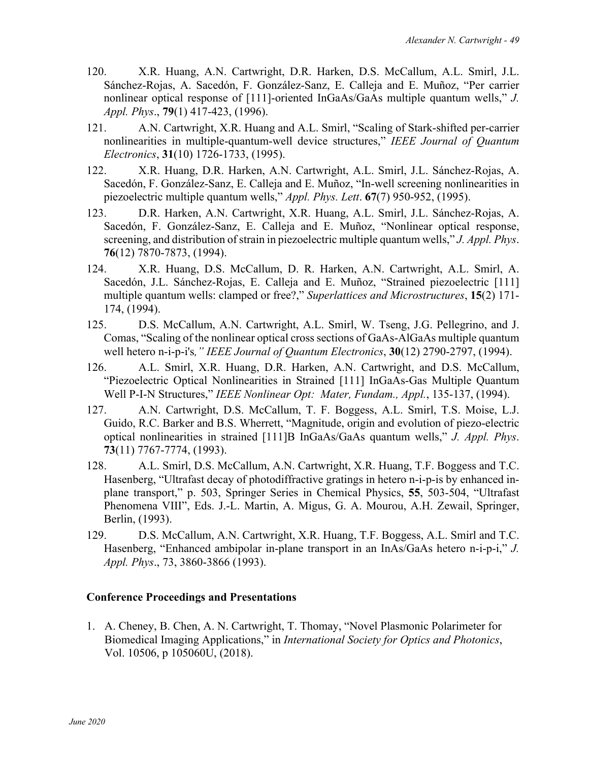- 120. X.R. Huang, A.N. Cartwright, D.R. Harken, D.S. McCallum, A.L. Smirl, J.L. Sánchez-Rojas, A. Sacedón, F. González-Sanz, E. Calleja and E. Muñoz, "Per carrier nonlinear optical response of [111]-oriented InGaAs/GaAs multiple quantum wells," *J. Appl. Phys*., **79**(1) 417-423, (1996).
- 121. A.N. Cartwright, X.R. Huang and A.L. Smirl, "Scaling of Stark-shifted per-carrier nonlinearities in multiple-quantum-well device structures," *IEEE Journal of Quantum Electronics*, **31**(10) 1726-1733, (1995).
- 122. X.R. Huang, D.R. Harken, A.N. Cartwright, A.L. Smirl, J.L. Sánchez-Rojas, A. Sacedón, F. González-Sanz, E. Calleja and E. Muñoz, "In-well screening nonlinearities in piezoelectric multiple quantum wells," *Appl. Phys. Lett*. **67**(7) 950-952, (1995).
- 123. D.R. Harken, A.N. Cartwright, X.R. Huang, A.L. Smirl, J.L. Sánchez-Rojas, A. Sacedón, F. González-Sanz, E. Calleja and E. Muñoz, "Nonlinear optical response, screening, and distribution of strain in piezoelectric multiple quantum wells," *J. Appl. Phys*. **76**(12) 7870-7873, (1994).
- 124. X.R. Huang, D.S. McCallum, D. R. Harken, A.N. Cartwright, A.L. Smirl, A. Sacedón, J.L. Sánchez-Rojas, E. Calleja and E. Muñoz, "Strained piezoelectric [111] multiple quantum wells: clamped or free?," *Superlattices and Microstructures*, **15**(2) 171- 174, (1994).
- 125. D.S. McCallum, A.N. Cartwright, A.L. Smirl, W. Tseng, J.G. Pellegrino, and J. Comas, "Scaling of the nonlinear optical cross sections of GaAs-AlGaAs multiple quantum well hetero n-i-p-i's*," IEEE Journal of Quantum Electronics*, **30**(12) 2790-2797, (1994).
- 126. A.L. Smirl, X.R. Huang, D.R. Harken, A.N. Cartwright, and D.S. McCallum, "Piezoelectric Optical Nonlinearities in Strained [111] InGaAs-Gas Multiple Quantum Well P-I-N Structures," *IEEE Nonlinear Opt: Mater, Fundam., Appl.*, 135-137, (1994).
- 127. A.N. Cartwright, D.S. McCallum, T. F. Boggess, A.L. Smirl, T.S. Moise, L.J. Guido, R.C. Barker and B.S. Wherrett, "Magnitude, origin and evolution of piezo-electric optical nonlinearities in strained [111]B InGaAs/GaAs quantum wells," *J. Appl. Phys*. **73**(11) 7767-7774, (1993).
- 128. A.L. Smirl, D.S. McCallum, A.N. Cartwright, X.R. Huang, T.F. Boggess and T.C. Hasenberg, "Ultrafast decay of photodiffractive gratings in hetero n-i-p-is by enhanced inplane transport," p. 503, Springer Series in Chemical Physics, **55**, 503-504, "Ultrafast Phenomena VIII", Eds. J.-L. Martin, A. Migus, G. A. Mourou, A.H. Zewail, Springer, Berlin, (1993).
- 129. D.S. McCallum, A.N. Cartwright, X.R. Huang, T.F. Boggess, A.L. Smirl and T.C. Hasenberg, "Enhanced ambipolar in-plane transport in an InAs/GaAs hetero n-i-p-i," *J. Appl. Phys*., 73, 3860-3866 (1993).

# **Conference Proceedings and Presentations**

1. A. Cheney, B. Chen, A. N. Cartwright, T. Thomay, "Novel Plasmonic Polarimeter for Biomedical Imaging Applications," in *International Society for Optics and Photonics*, Vol. 10506, p 105060U, (2018).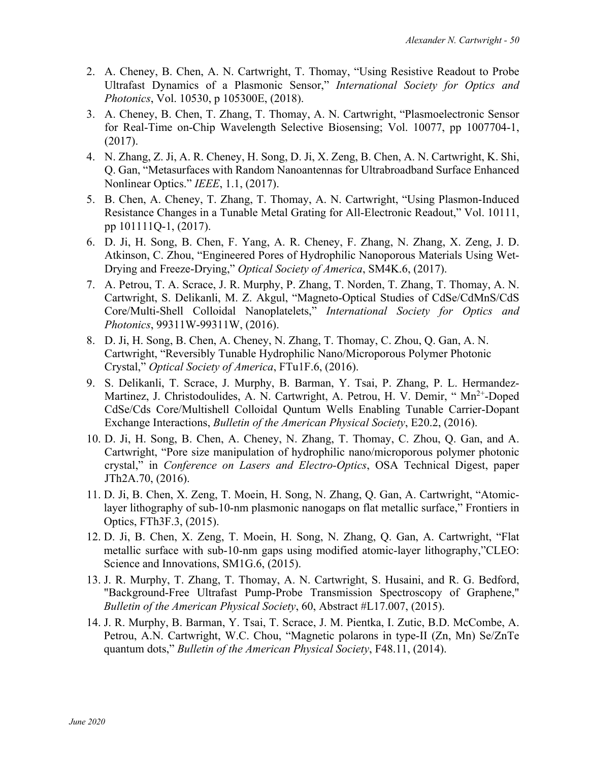- 2. A. Cheney, B. Chen, A. N. Cartwright, T. Thomay, "Using Resistive Readout to Probe Ultrafast Dynamics of a Plasmonic Sensor," *International Society for Optics and Photonics*, Vol. 10530, p 105300E, (2018).
- 3. A. Cheney, B. Chen, T. Zhang, T. Thomay, A. N. Cartwright, "Plasmoelectronic Sensor for Real-Time on-Chip Wavelength Selective Biosensing; Vol. 10077, pp 1007704-1, (2017).
- 4. N. Zhang, Z. Ji, A. R. Cheney, H. Song, D. Ji, X. Zeng, B. Chen, A. N. Cartwright, K. Shi, Q. Gan, "Metasurfaces with Random Nanoantennas for Ultrabroadband Surface Enhanced Nonlinear Optics." *IEEE*, 1.1, (2017).
- 5. B. Chen, A. Cheney, T. Zhang, T. Thomay, A. N. Cartwright, "Using Plasmon-Induced Resistance Changes in a Tunable Metal Grating for All-Electronic Readout," Vol. 10111, pp 101111Q-1, (2017).
- 6. D. Ji, H. Song, B. Chen, F. Yang, A. R. Cheney, F. Zhang, N. Zhang, X. Zeng, J. D. Atkinson, C. Zhou, "Engineered Pores of Hydrophilic Nanoporous Materials Using Wet-Drying and Freeze-Drying," *Optical Society of America*, SM4K.6, (2017).
- 7. A. Petrou, T. A. Scrace, J. R. Murphy, P. Zhang, T. Norden, T. Zhang, T. Thomay, A. N. Cartwright, S. Delikanli, M. Z. Akgul, "Magneto-Optical Studies of CdSe/CdMnS/CdS Core/Multi-Shell Colloidal Nanoplatelets," *International Society for Optics and Photonics*, 99311W-99311W, (2016).
- 8. D. Ji, H. Song, B. Chen, A. Cheney, N. Zhang, T. Thomay, C. Zhou, Q. Gan, A. N. Cartwright, "Reversibly Tunable Hydrophilic Nano/Microporous Polymer Photonic Crystal," *Optical Society of America*, FTu1F.6, (2016).
- 9. S. Delikanli, T. Scrace, J. Murphy, B. Barman, Y. Tsai, P. Zhang, P. L. Hermandez-Martinez, J. Christodoulides, A. N. Cartwright, A. Petrou, H. V. Demir, "Mn<sup>2+</sup>-Doped CdSe/Cds Core/Multishell Colloidal Quntum Wells Enabling Tunable Carrier-Dopant Exchange Interactions, *Bulletin of the American Physical Society*, E20.2, (2016).
- 10. D. Ji, H. Song, B. Chen, A. Cheney, N. Zhang, T. Thomay, C. Zhou, Q. Gan, and A. Cartwright, "Pore size manipulation of hydrophilic nano/microporous polymer photonic crystal," in *Conference on Lasers and Electro-Optics*, OSA Technical Digest, paper JTh2A.70, (2016).
- 11. D. Ji, B. Chen, X. Zeng, T. Moein, H. Song, N. Zhang, Q. Gan, A. Cartwright, "Atomiclayer lithography of sub-10-nm plasmonic nanogaps on flat metallic surface," Frontiers in Optics, FTh3F.3, (2015).
- 12. D. Ji, B. Chen, X. Zeng, T. Moein, H. Song, N. Zhang, Q. Gan, A. Cartwright, "Flat metallic surface with sub-10-nm gaps using modified atomic-layer lithography,"CLEO: Science and Innovations, SM1G.6, (2015).
- 13. J. R. Murphy, T. Zhang, T. Thomay, A. N. Cartwright, S. Husaini, and R. G. Bedford, "Background-Free Ultrafast Pump-Probe Transmission Spectroscopy of Graphene," *Bulletin of the American Physical Society*, 60, Abstract #L17.007, (2015).
- 14. J. R. Murphy, B. Barman, Y. Tsai, T. Scrace, J. M. Pientka, I. Zutic, B.D. McCombe, A. Petrou, A.N. Cartwright, W.C. Chou, "Magnetic polarons in type-II (Zn, Mn) Se/ZnTe quantum dots," *Bulletin of the American Physical Society*, F48.11, (2014).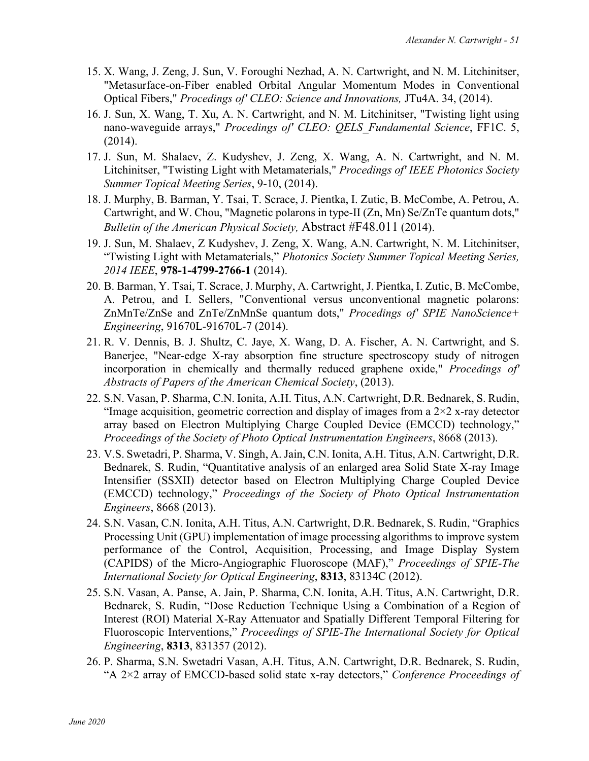- 15. X. Wang, J. Zeng, J. Sun, V. Foroughi Nezhad, A. N. Cartwright, and N. M. Litchinitser, "Metasurface-on-Fiber enabled Orbital Angular Momentum Modes in Conventional Optical Fibers," *Procedings of' CLEO: Science and Innovations,* JTu4A. 34, (2014).
- 16. J. Sun, X. Wang, T. Xu, A. N. Cartwright, and N. M. Litchinitser, "Twisting light using nano-waveguide arrays," *Procedings of' CLEO: QELS\_Fundamental Science*, FF1C. 5, (2014).
- 17. J. Sun, M. Shalaev, Z. Kudyshev, J. Zeng, X. Wang, A. N. Cartwright, and N. M. Litchinitser, "Twisting Light with Metamaterials," *Procedings of' IEEE Photonics Society Summer Topical Meeting Series*, 9-10, (2014).
- 18. J. Murphy, B. Barman, Y. Tsai, T. Scrace, J. Pientka, I. Zutic, B. McCombe, A. Petrou, A. Cartwright, and W. Chou, "Magnetic polarons in type-II (Zn, Mn) Se/ZnTe quantum dots," *Bulletin of the American Physical Society,* Abstract #F48.011 (2014).
- 19. J. Sun, M. Shalaev, Z Kudyshev, J. Zeng, X. Wang, A.N. Cartwright, N. M. Litchinitser, "Twisting Light with Metamaterials," *Photonics Society Summer Topical Meeting Series, 2014 IEEE*, **978-1-4799-2766-1** (2014).
- 20. B. Barman, Y. Tsai, T. Scrace, J. Murphy, A. Cartwright, J. Pientka, I. Zutic, B. McCombe, A. Petrou, and I. Sellers, "Conventional versus unconventional magnetic polarons: ZnMnTe/ZnSe and ZnTe/ZnMnSe quantum dots," *Procedings of' SPIE NanoScience+ Engineering*, 91670L-91670L-7 (2014).
- 21. R. V. Dennis, B. J. Shultz, C. Jaye, X. Wang, D. A. Fischer, A. N. Cartwright, and S. Banerjee, "Near-edge X-ray absorption fine structure spectroscopy study of nitrogen incorporation in chemically and thermally reduced graphene oxide," *Procedings of' Abstracts of Papers of the American Chemical Society*, (2013).
- 22. S.N. Vasan, P. Sharma, C.N. Ionita, A.H. Titus, A.N. Cartwright, D.R. Bednarek, S. Rudin, "Image acquisition, geometric correction and display of images from a  $2\times 2$  x-ray detector array based on Electron Multiplying Charge Coupled Device (EMCCD) technology," *Proceedings of the Society of Photo Optical Instrumentation Engineers*, 8668 (2013).
- 23. V.S. Swetadri, P. Sharma, V. Singh, A. Jain, C.N. Ionita, A.H. Titus, A.N. Cartwright, D.R. Bednarek, S. Rudin, "Quantitative analysis of an enlarged area Solid State X-ray Image Intensifier (SSXII) detector based on Electron Multiplying Charge Coupled Device (EMCCD) technology," *Proceedings of the Society of Photo Optical Instrumentation Engineers*, 8668 (2013).
- 24. S.N. Vasan, C.N. Ionita, A.H. Titus, A.N. Cartwright, D.R. Bednarek, S. Rudin, "Graphics Processing Unit (GPU) implementation of image processing algorithms to improve system performance of the Control, Acquisition, Processing, and Image Display System (CAPIDS) of the Micro-Angiographic Fluoroscope (MAF)," *Proceedings of SPIE-The International Society for Optical Engineering*, **8313**, 83134C (2012).
- 25. S.N. Vasan, A. Panse, A. Jain, P. Sharma, C.N. Ionita, A.H. Titus, A.N. Cartwright, D.R. Bednarek, S. Rudin, "Dose Reduction Technique Using a Combination of a Region of Interest (ROI) Material X-Ray Attenuator and Spatially Different Temporal Filtering for Fluoroscopic Interventions," *Proceedings of SPIE-The International Society for Optical Engineering*, **8313**, 831357 (2012).
- 26. P. Sharma, S.N. Swetadri Vasan, A.H. Titus, A.N. Cartwright, D.R. Bednarek, S. Rudin, "A 2×2 array of EMCCD-based solid state x-ray detectors," *Conference Proceedings of*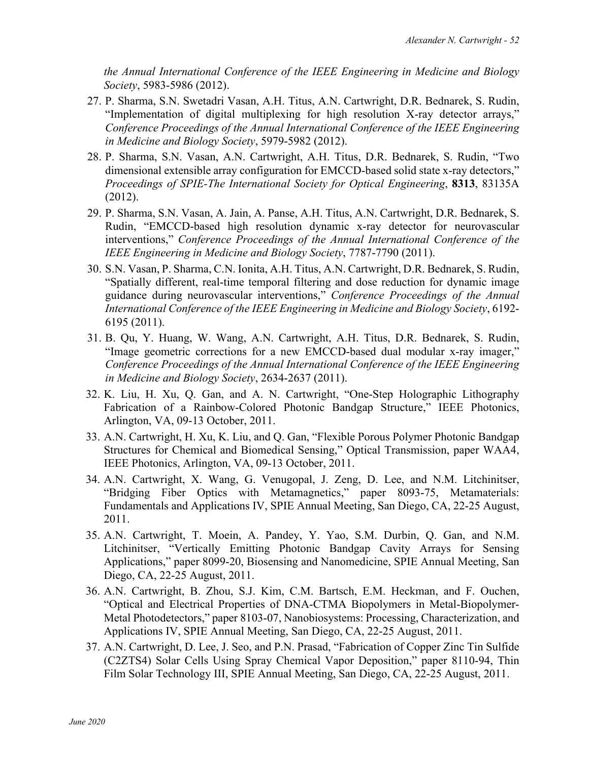*the Annual International Conference of the IEEE Engineering in Medicine and Biology Society*, 5983-5986 (2012).

- 27. P. Sharma, S.N. Swetadri Vasan, A.H. Titus, A.N. Cartwright, D.R. Bednarek, S. Rudin, "Implementation of digital multiplexing for high resolution X-ray detector arrays," *Conference Proceedings of the Annual International Conference of the IEEE Engineering in Medicine and Biology Society*, 5979-5982 (2012).
- 28. P. Sharma, S.N. Vasan, A.N. Cartwright, A.H. Titus, D.R. Bednarek, S. Rudin, "Two dimensional extensible array configuration for EMCCD-based solid state x-ray detectors," *Proceedings of SPIE-The International Society for Optical Engineering*, **8313**, 83135A (2012).
- 29. P. Sharma, S.N. Vasan, A. Jain, A. Panse, A.H. Titus, A.N. Cartwright, D.R. Bednarek, S. Rudin, "EMCCD-based high resolution dynamic x-ray detector for neurovascular interventions," *Conference Proceedings of the Annual International Conference of the IEEE Engineering in Medicine and Biology Society*, 7787-7790 (2011).
- 30. S.N. Vasan, P. Sharma, C.N. Ionita, A.H. Titus, A.N. Cartwright, D.R. Bednarek, S. Rudin, "Spatially different, real-time temporal filtering and dose reduction for dynamic image guidance during neurovascular interventions," *Conference Proceedings of the Annual International Conference of the IEEE Engineering in Medicine and Biology Society*, 6192- 6195 (2011).
- 31. B. Qu, Y. Huang, W. Wang, A.N. Cartwright, A.H. Titus, D.R. Bednarek, S. Rudin, "Image geometric corrections for a new EMCCD-based dual modular x-ray imager," *Conference Proceedings of the Annual International Conference of the IEEE Engineering in Medicine and Biology Society*, 2634-2637 (2011).
- 32. K. Liu, H. Xu, Q. Gan, and A. N. Cartwright, "One-Step Holographic Lithography Fabrication of a Rainbow-Colored Photonic Bandgap Structure," IEEE Photonics, Arlington, VA, 09-13 October, 2011.
- 33. A.N. Cartwright, H. Xu, K. Liu, and Q. Gan, "Flexible Porous Polymer Photonic Bandgap Structures for Chemical and Biomedical Sensing," Optical Transmission, paper WAA4, IEEE Photonics, Arlington, VA, 09-13 October, 2011.
- 34. A.N. Cartwright, X. Wang, G. Venugopal, J. Zeng, D. Lee, and N.M. Litchinitser, "Bridging Fiber Optics with Metamagnetics," paper 8093-75, Metamaterials: Fundamentals and Applications IV, SPIE Annual Meeting, San Diego, CA, 22-25 August, 2011.
- 35. A.N. Cartwright, T. Moein, A. Pandey, Y. Yao, S.M. Durbin, Q. Gan, and N.M. Litchinitser, "Vertically Emitting Photonic Bandgap Cavity Arrays for Sensing Applications," paper 8099-20, Biosensing and Nanomedicine, SPIE Annual Meeting, San Diego, CA, 22-25 August, 2011.
- 36. A.N. Cartwright, B. Zhou, S.J. Kim, C.M. Bartsch, E.M. Heckman, and F. Ouchen, "Optical and Electrical Properties of DNA-CTMA Biopolymers in Metal-Biopolymer-Metal Photodetectors," paper 8103-07, Nanobiosystems: Processing, Characterization, and Applications IV, SPIE Annual Meeting, San Diego, CA, 22-25 August, 2011.
- 37. A.N. Cartwright, D. Lee, J. Seo, and P.N. Prasad, "Fabrication of Copper Zinc Tin Sulfide (C2ZTS4) Solar Cells Using Spray Chemical Vapor Deposition," paper 8110-94, Thin Film Solar Technology III, SPIE Annual Meeting, San Diego, CA, 22-25 August, 2011.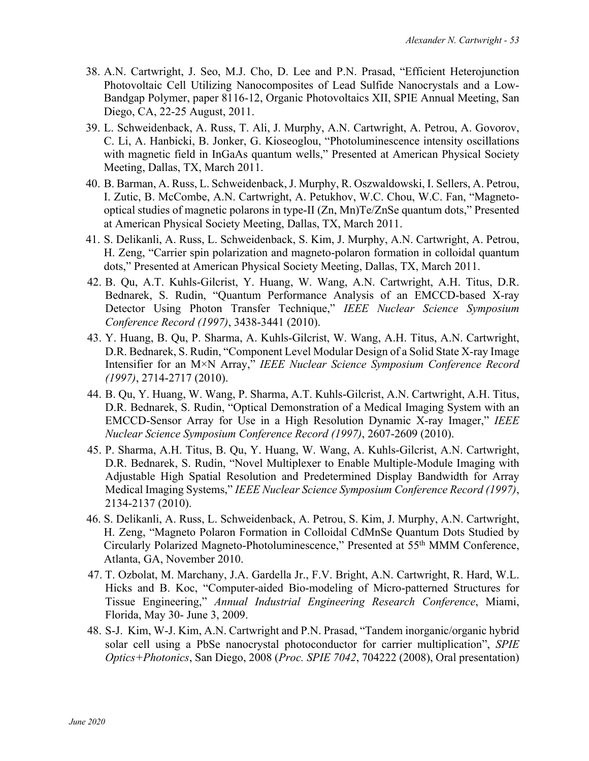- 38. A.N. Cartwright, J. Seo, M.J. Cho, D. Lee and P.N. Prasad, "Efficient Heterojunction Photovoltaic Cell Utilizing Nanocomposites of Lead Sulfide Nanocrystals and a Low-Bandgap Polymer, paper 8116-12, Organic Photovoltaics XII, SPIE Annual Meeting, San Diego, CA, 22-25 August, 2011.
- 39. L. Schweidenback, A. Russ, T. Ali, J. Murphy, A.N. Cartwright, A. Petrou, A. Govorov, C. Li, A. Hanbicki, B. Jonker, G. Kioseoglou, "Photoluminescence intensity oscillations with magnetic field in InGaAs quantum wells," Presented at American Physical Society Meeting, Dallas, TX, March 2011.
- 40. B. Barman, A. Russ, L. Schweidenback, J. Murphy, R. Oszwaldowski, I. Sellers, A. Petrou, I. Zutic, B. McCombe, A.N. Cartwright, A. Petukhov, W.C. Chou, W.C. Fan, "Magnetooptical studies of magnetic polarons in type-II (Zn, Mn)Te/ZnSe quantum dots," Presented at American Physical Society Meeting, Dallas, TX, March 2011.
- 41. S. Delikanli, A. Russ, L. Schweidenback, S. Kim, J. Murphy, A.N. Cartwright, A. Petrou, H. Zeng, "Carrier spin polarization and magneto-polaron formation in colloidal quantum dots," Presented at American Physical Society Meeting, Dallas, TX, March 2011.
- 42. B. Qu, A.T. Kuhls-Gilcrist, Y. Huang, W. Wang, A.N. Cartwright, A.H. Titus, D.R. Bednarek, S. Rudin, "Quantum Performance Analysis of an EMCCD-based X-ray Detector Using Photon Transfer Technique," *IEEE Nuclear Science Symposium Conference Record (1997)*, 3438-3441 (2010).
- 43. Y. Huang, B. Qu, P. Sharma, A. Kuhls-Gilcrist, W. Wang, A.H. Titus, A.N. Cartwright, D.R. Bednarek, S. Rudin, "Component Level Modular Design of a Solid State X-ray Image Intensifier for an M×N Array," *IEEE Nuclear Science Symposium Conference Record (1997)*, 2714-2717 (2010).
- 44. B. Qu, Y. Huang, W. Wang, P. Sharma, A.T. Kuhls-Gilcrist, A.N. Cartwright, A.H. Titus, D.R. Bednarek, S. Rudin, "Optical Demonstration of a Medical Imaging System with an EMCCD-Sensor Array for Use in a High Resolution Dynamic X-ray Imager," *IEEE Nuclear Science Symposium Conference Record (1997)*, 2607-2609 (2010).
- 45. P. Sharma, A.H. Titus, B. Qu, Y. Huang, W. Wang, A. Kuhls-Gilcrist, A.N. Cartwright, D.R. Bednarek, S. Rudin, "Novel Multiplexer to Enable Multiple-Module Imaging with Adjustable High Spatial Resolution and Predetermined Display Bandwidth for Array Medical Imaging Systems," *IEEE Nuclear Science Symposium Conference Record (1997)*, 2134-2137 (2010).
- 46. S. Delikanli, A. Russ, L. Schweidenback, A. Petrou, S. Kim, J. Murphy, A.N. Cartwright, H. Zeng, "Magneto Polaron Formation in Colloidal CdMnSe Quantum Dots Studied by Circularly Polarized Magneto-Photoluminescence," Presented at 55th MMM Conference, Atlanta, GA, November 2010.
- 47. T. Ozbolat, M. Marchany, J.A. Gardella Jr., F.V. Bright, A.N. Cartwright, R. Hard, W.L. Hicks and B. Koc, "Computer-aided Bio-modeling of Micro-patterned Structures for Tissue Engineering," *Annual Industrial Engineering Research Conference*, Miami, Florida, May 30- June 3, 2009.
- 48. S-J. Kim, W-J. Kim, A.N. Cartwright and P.N. Prasad, "Tandem inorganic/organic hybrid solar cell using a PbSe nanocrystal photoconductor for carrier multiplication", *SPIE Optics+Photonics*, San Diego, 2008 (*Proc. SPIE 7042*, 704222 (2008), Oral presentation)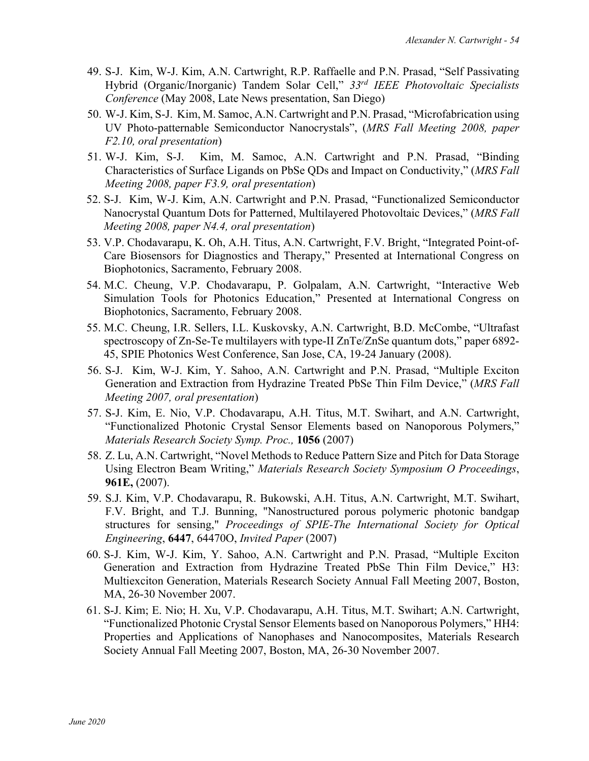- 49. S-J. Kim, W-J. Kim, A.N. Cartwright, R.P. Raffaelle and P.N. Prasad, "Self Passivating Hybrid (Organic/Inorganic) Tandem Solar Cell," *33rd IEEE Photovoltaic Specialists Conference* (May 2008, Late News presentation, San Diego)
- 50. W-J. Kim, S-J. Kim, M. Samoc, A.N. Cartwright and P.N. Prasad, "Microfabrication using UV Photo-patternable Semiconductor Nanocrystals", (*MRS Fall Meeting 2008, paper F2.10, oral presentation*)
- 51. W-J. Kim, S-J. Kim, M. Samoc, A.N. Cartwright and P.N. Prasad, "Binding Characteristics of Surface Ligands on PbSe QDs and Impact on Conductivity," (*MRS Fall Meeting 2008, paper F3.9, oral presentation*)
- 52. S-J. Kim, W-J. Kim, A.N. Cartwright and P.N. Prasad, "Functionalized Semiconductor Nanocrystal Quantum Dots for Patterned, Multilayered Photovoltaic Devices," (*MRS Fall Meeting 2008, paper N4.4, oral presentation*)
- 53. V.P. Chodavarapu, K. Oh, A.H. Titus, A.N. Cartwright, F.V. Bright, "Integrated Point-of-Care Biosensors for Diagnostics and Therapy," Presented at International Congress on Biophotonics, Sacramento, February 2008.
- 54. M.C. Cheung, V.P. Chodavarapu, P. Golpalam, A.N. Cartwright, "Interactive Web Simulation Tools for Photonics Education," Presented at International Congress on Biophotonics, Sacramento, February 2008.
- 55. M.C. Cheung, I.R. Sellers, I.L. Kuskovsky, A.N. Cartwright, B.D. McCombe, "Ultrafast spectroscopy of Zn-Se-Te multilayers with type-II ZnTe/ZnSe quantum dots," paper 6892- 45, SPIE Photonics West Conference, San Jose, CA, 19-24 January (2008).
- 56. S-J. Kim, W-J. Kim, Y. Sahoo, A.N. Cartwright and P.N. Prasad, "Multiple Exciton Generation and Extraction from Hydrazine Treated PbSe Thin Film Device," (*MRS Fall Meeting 2007, oral presentation*)
- 57. S-J. Kim, E. Nio, V.P. Chodavarapu, A.H. Titus, M.T. Swihart, and A.N. Cartwright, "Functionalized Photonic Crystal Sensor Elements based on Nanoporous Polymers," *Materials Research Society Symp. Proc.,* **1056** (2007)
- 58. Z. Lu, A.N. Cartwright, "Novel Methods to Reduce Pattern Size and Pitch for Data Storage Using Electron Beam Writing," *Materials Research Society Symposium O Proceedings*, **961E,** (2007).
- 59. S.J. Kim, V.P. Chodavarapu, R. Bukowski, A.H. Titus, A.N. Cartwright, M.T. Swihart, F.V. Bright, and T.J. Bunning, "Nanostructured porous polymeric photonic bandgap structures for sensing," *Proceedings of SPIE-The International Society for Optical Engineering*, **6447**, 64470O, *Invited Paper* (2007)
- 60. S-J. Kim, W-J. Kim, Y. Sahoo, A.N. Cartwright and P.N. Prasad, "Multiple Exciton Generation and Extraction from Hydrazine Treated PbSe Thin Film Device," H3: Multiexciton Generation, Materials Research Society Annual Fall Meeting 2007, Boston, MA, 26-30 November 2007.
- 61. S-J. Kim; E. Nio; H. Xu, V.P. Chodavarapu, A.H. Titus, M.T. Swihart; A.N. Cartwright, "Functionalized Photonic Crystal Sensor Elements based on Nanoporous Polymers," HH4: Properties and Applications of Nanophases and Nanocomposites, Materials Research Society Annual Fall Meeting 2007, Boston, MA, 26-30 November 2007.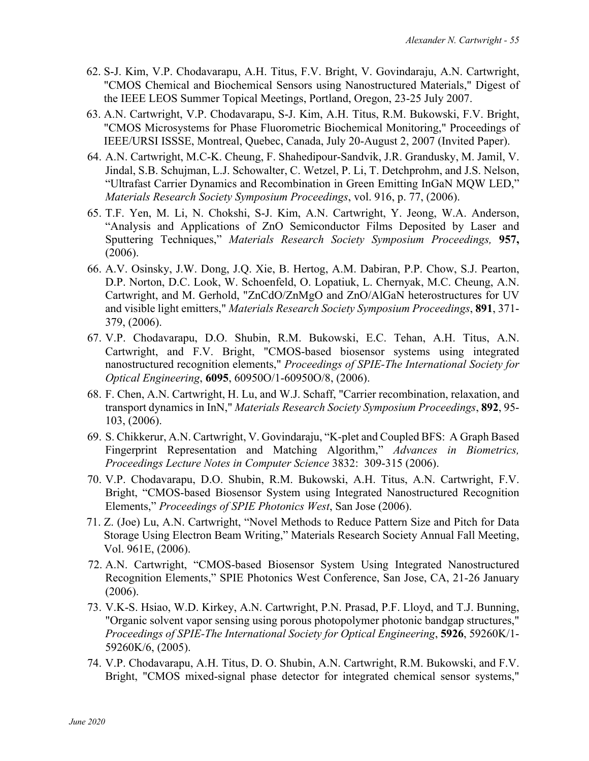- 62. S-J. Kim, V.P. Chodavarapu, A.H. Titus, F.V. Bright, V. Govindaraju, A.N. Cartwright, "CMOS Chemical and Biochemical Sensors using Nanostructured Materials," Digest of the IEEE LEOS Summer Topical Meetings, Portland, Oregon, 23-25 July 2007.
- 63. A.N. Cartwright, V.P. Chodavarapu, S-J. Kim, A.H. Titus, R.M. Bukowski, F.V. Bright, "CMOS Microsystems for Phase Fluorometric Biochemical Monitoring," Proceedings of IEEE/URSI ISSSE, Montreal, Quebec, Canada, July 20-August 2, 2007 (Invited Paper).
- 64. A.N. Cartwright, M.C-K. Cheung, F. Shahedipour-Sandvik, J.R. Grandusky, M. Jamil, V. Jindal, S.B. Schujman, L.J. Schowalter, C. Wetzel, P. Li, T. Detchprohm, and J.S. Nelson, "Ultrafast Carrier Dynamics and Recombination in Green Emitting InGaN MQW LED," *Materials Research Society Symposium Proceedings*, vol. 916, p. 77, (2006).
- 65. T.F. Yen, M. Li, N. Chokshi, S-J. Kim, A.N. Cartwright, Y. Jeong, W.A. Anderson, "Analysis and Applications of ZnO Semiconductor Films Deposited by Laser and Sputtering Techniques," *Materials Research Society Symposium Proceedings,* **957,** (2006).
- 66. A.V. Osinsky, J.W. Dong, J.Q. Xie, B. Hertog, A.M. Dabiran, P.P. Chow, S.J. Pearton, D.P. Norton, D.C. Look, W. Schoenfeld, O. Lopatiuk, L. Chernyak, M.C. Cheung, A.N. Cartwright, and M. Gerhold, "ZnCdO/ZnMgO and ZnO/AlGaN heterostructures for UV and visible light emitters," *Materials Research Society Symposium Proceedings*, **891**, 371- 379, (2006).
- 67. V.P. Chodavarapu, D.O. Shubin, R.M. Bukowski, E.C. Tehan, A.H. Titus, A.N. Cartwright, and F.V. Bright, "CMOS-based biosensor systems using integrated nanostructured recognition elements," *Proceedings of SPIE-The International Society for Optical Engineering*, **6095**, 60950O/1-60950O/8, (2006).
- 68. F. Chen, A.N. Cartwright, H. Lu, and W.J. Schaff, "Carrier recombination, relaxation, and transport dynamics in InN," *Materials Research Society Symposium Proceedings*, **892**, 95- 103, (2006).
- 69. S. Chikkerur, A.N. Cartwright, V. Govindaraju, "K-plet and Coupled BFS: A Graph Based Fingerprint Representation and Matching Algorithm," *Advances in Biometrics, Proceedings Lecture Notes in Computer Science* 3832: 309-315 (2006).
- 70. V.P. Chodavarapu, D.O. Shubin, R.M. Bukowski, A.H. Titus, A.N. Cartwright, F.V. Bright, "CMOS-based Biosensor System using Integrated Nanostructured Recognition Elements," *Proceedings of SPIE Photonics West*, San Jose (2006).
- 71. Z. (Joe) Lu, A.N. Cartwright, "Novel Methods to Reduce Pattern Size and Pitch for Data Storage Using Electron Beam Writing," Materials Research Society Annual Fall Meeting, Vol. 961E, (2006).
- 72. A.N. Cartwright, "CMOS-based Biosensor System Using Integrated Nanostructured Recognition Elements," SPIE Photonics West Conference, San Jose, CA, 21-26 January (2006).
- 73. V.K-S. Hsiao, W.D. Kirkey, A.N. Cartwright, P.N. Prasad, P.F. Lloyd, and T.J. Bunning, "Organic solvent vapor sensing using porous photopolymer photonic bandgap structures," *Proceedings of SPIE-The International Society for Optical Engineering*, **5926**, 59260K/1- 59260K/6, (2005).
- 74. V.P. Chodavarapu, A.H. Titus, D. O. Shubin, A.N. Cartwright, R.M. Bukowski, and F.V. Bright, "CMOS mixed-signal phase detector for integrated chemical sensor systems,"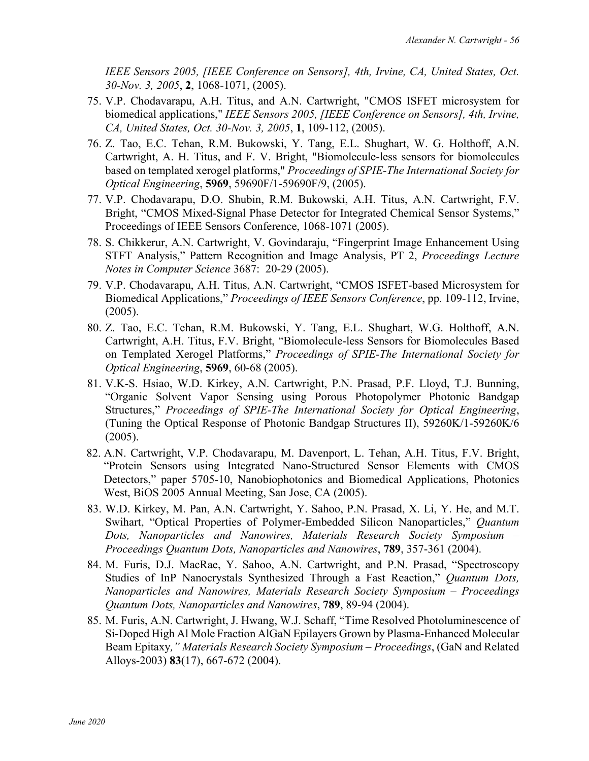*IEEE Sensors 2005, [IEEE Conference on Sensors], 4th, Irvine, CA, United States, Oct. 30-Nov. 3, 2005*, **2**, 1068-1071, (2005).

- 75. V.P. Chodavarapu, A.H. Titus, and A.N. Cartwright, "CMOS ISFET microsystem for biomedical applications," *IEEE Sensors 2005, [IEEE Conference on Sensors], 4th, Irvine, CA, United States, Oct. 30-Nov. 3, 2005*, **1**, 109-112, (2005).
- 76. Z. Tao, E.C. Tehan, R.M. Bukowski, Y. Tang, E.L. Shughart, W. G. Holthoff, A.N. Cartwright, A. H. Titus, and F. V. Bright, "Biomolecule-less sensors for biomolecules based on templated xerogel platforms," *Proceedings of SPIE-The International Society for Optical Engineering*, **5969**, 59690F/1-59690F/9, (2005).
- 77. V.P. Chodavarapu, D.O. Shubin, R.M. Bukowski, A.H. Titus, A.N. Cartwright, F.V. Bright, "CMOS Mixed-Signal Phase Detector for Integrated Chemical Sensor Systems," Proceedings of IEEE Sensors Conference, 1068-1071 (2005).
- 78. S. Chikkerur, A.N. Cartwright, V. Govindaraju, "Fingerprint Image Enhancement Using STFT Analysis," Pattern Recognition and Image Analysis, PT 2, *Proceedings Lecture Notes in Computer Science* 3687: 20-29 (2005).
- 79. V.P. Chodavarapu, A.H. Titus, A.N. Cartwright, "CMOS ISFET-based Microsystem for Biomedical Applications," *Proceedings of IEEE Sensors Conference*, pp. 109-112, Irvine, (2005).
- 80. Z. Tao, E.C. Tehan, R.M. Bukowski, Y. Tang, E.L. Shughart, W.G. Holthoff, A.N. Cartwright, A.H. Titus, F.V. Bright, "Biomolecule-less Sensors for Biomolecules Based on Templated Xerogel Platforms," *Proceedings of SPIE-The International Society for Optical Engineering*, **5969**, 60-68 (2005).
- 81. V.K-S. Hsiao, W.D. Kirkey, A.N. Cartwright, P.N. Prasad, P.F. Lloyd, T.J. Bunning, "Organic Solvent Vapor Sensing using Porous Photopolymer Photonic Bandgap Structures," *Proceedings of SPIE-The International Society for Optical Engineering*, (Tuning the Optical Response of Photonic Bandgap Structures II), 59260K/1-59260K/6 (2005).
- 82. A.N. Cartwright, V.P. Chodavarapu, M. Davenport, L. Tehan, A.H. Titus, F.V. Bright, "Protein Sensors using Integrated Nano-Structured Sensor Elements with CMOS Detectors," paper 5705-10, Nanobiophotonics and Biomedical Applications, Photonics West, BiOS 2005 Annual Meeting, San Jose, CA (2005).
- 83. W.D. Kirkey, M. Pan, A.N. Cartwright, Y. Sahoo, P.N. Prasad, X. Li, Y. He, and M.T. Swihart, "Optical Properties of Polymer-Embedded Silicon Nanoparticles," *Quantum Dots, Nanoparticles and Nanowires, Materials Research Society Symposium – Proceedings Quantum Dots, Nanoparticles and Nanowires*, **789**, 357-361 (2004).
- 84. M. Furis, D.J. MacRae, Y. Sahoo, A.N. Cartwright, and P.N. Prasad, "Spectroscopy Studies of InP Nanocrystals Synthesized Through a Fast Reaction," *Quantum Dots, Nanoparticles and Nanowires, Materials Research Society Symposium – Proceedings Quantum Dots, Nanoparticles and Nanowires*, **789**, 89-94 (2004).
- 85. M. Furis, A.N. Cartwright, J. Hwang, W.J. Schaff, "Time Resolved Photoluminescence of Si-Doped High Al Mole Fraction AlGaN Epilayers Grown by Plasma-Enhanced Molecular Beam Epitaxy*," Materials Research Society Symposium – Proceedings*, (GaN and Related Alloys-2003) **83**(17), 667-672 (2004).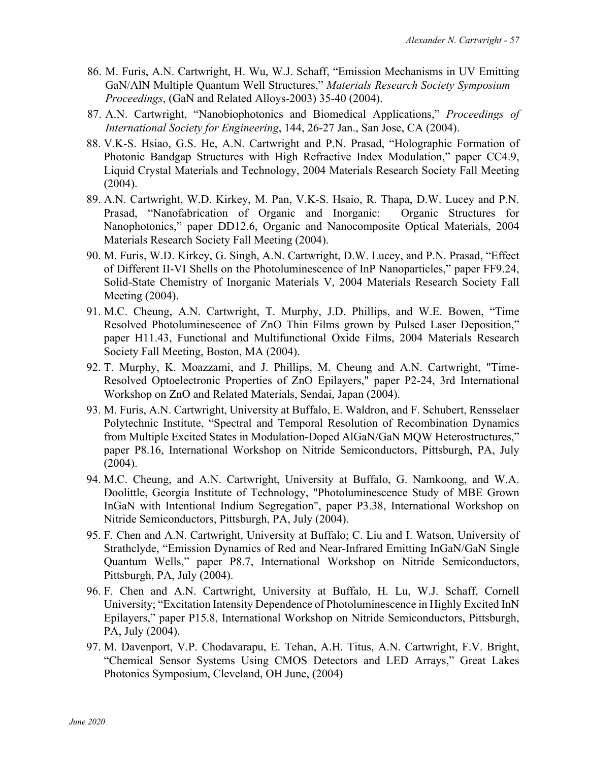- 86. M. Furis, A.N. Cartwright, H. Wu, W.J. Schaff, "Emission Mechanisms in UV Emitting GaN/AlN Multiple Quantum Well Structures," *Materials Research Society Symposium – Proceedings*, (GaN and Related Alloys-2003) 35-40 (2004).
- 87. A.N. Cartwright, "Nanobiophotonics and Biomedical Applications," *Proceedings of International Society for Engineering*, 144, 26-27 Jan., San Jose, CA (2004).
- 88. V.K-S. Hsiao, G.S. He, A.N. Cartwright and P.N. Prasad, "Holographic Formation of Photonic Bandgap Structures with High Refractive Index Modulation," paper CC4.9, Liquid Crystal Materials and Technology, 2004 Materials Research Society Fall Meeting (2004).
- 89. A.N. Cartwright, W.D. Kirkey, M. Pan, V.K-S. Hsaio, R. Thapa, D.W. Lucey and P.N. Prasad, "Nanofabrication of Organic and Inorganic: Organic Structures for Nanophotonics," paper DD12.6, Organic and Nanocomposite Optical Materials, 2004 Materials Research Society Fall Meeting (2004).
- 90. M. Furis, W.D. Kirkey, G. Singh, A.N. Cartwright, D.W. Lucey, and P.N. Prasad, "Effect of Different II-VI Shells on the Photoluminescence of InP Nanoparticles," paper FF9.24, Solid-State Chemistry of Inorganic Materials V, 2004 Materials Research Society Fall Meeting (2004).
- 91. M.C. Cheung, A.N. Cartwright, T. Murphy, J.D. Phillips, and W.E. Bowen, "Time Resolved Photoluminescence of ZnO Thin Films grown by Pulsed Laser Deposition," paper H11.43, Functional and Multifunctional Oxide Films, 2004 Materials Research Society Fall Meeting, Boston, MA (2004).
- 92. T. Murphy, K. Moazzami, and J. Phillips, M. Cheung and A.N. Cartwright, "Time-Resolved Optoelectronic Properties of ZnO Epilayers," paper P2-24, 3rd International Workshop on ZnO and Related Materials, Sendai, Japan (2004).
- 93. M. Furis, A.N. Cartwright, University at Buffalo, E. Waldron, and F. Schubert, Rensselaer Polytechnic Institute, "Spectral and Temporal Resolution of Recombination Dynamics from Multiple Excited States in Modulation-Doped AlGaN/GaN MQW Heterostructures," paper P8.16, International Workshop on Nitride Semiconductors, Pittsburgh, PA, July (2004).
- 94. M.C. Cheung, and A.N. Cartwright, University at Buffalo, G. Namkoong, and W.A. Doolittle, Georgia Institute of Technology, "Photoluminescence Study of MBE Grown InGaN with Intentional Indium Segregation", paper P3.38, International Workshop on Nitride Semiconductors, Pittsburgh, PA, July (2004).
- 95. F. Chen and A.N. Cartwright, University at Buffalo; C. Liu and I. Watson, University of Strathclyde, "Emission Dynamics of Red and Near-Infrared Emitting InGaN/GaN Single Quantum Wells," paper P8.7, International Workshop on Nitride Semiconductors, Pittsburgh, PA, July (2004).
- 96. F. Chen and A.N. Cartwright, University at Buffalo, H. Lu, W.J. Schaff, Cornell University; "Excitation Intensity Dependence of Photoluminescence in Highly Excited InN Epilayers," paper P15.8, International Workshop on Nitride Semiconductors, Pittsburgh, PA, July (2004).
- 97. M. Davenport, V.P. Chodavarapu, E. Tehan, A.H. Titus, A.N. Cartwright, F.V. Bright, "Chemical Sensor Systems Using CMOS Detectors and LED Arrays," Great Lakes Photonics Symposium, Cleveland, OH June, (2004)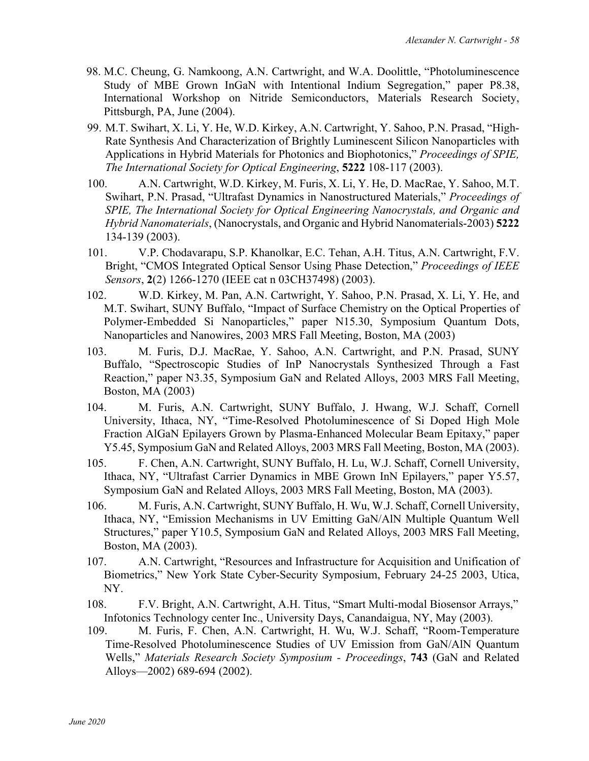- 98. M.C. Cheung, G. Namkoong, A.N. Cartwright, and W.A. Doolittle, "Photoluminescence Study of MBE Grown InGaN with Intentional Indium Segregation," paper P8.38, International Workshop on Nitride Semiconductors, Materials Research Society, Pittsburgh, PA, June (2004).
- 99. M.T. Swihart, X. Li, Y. He, W.D. Kirkey, A.N. Cartwright, Y. Sahoo, P.N. Prasad, "High-Rate Synthesis And Characterization of Brightly Luminescent Silicon Nanoparticles with Applications in Hybrid Materials for Photonics and Biophotonics," *Proceedings of SPIE, The International Society for Optical Engineering*, **5222** 108-117 (2003).
- 100. A.N. Cartwright, W.D. Kirkey, M. Furis, X. Li, Y. He, D. MacRae, Y. Sahoo, M.T. Swihart, P.N. Prasad, "Ultrafast Dynamics in Nanostructured Materials," *Proceedings of SPIE, The International Society for Optical Engineering Nanocrystals, and Organic and Hybrid Nanomaterials*, (Nanocrystals, and Organic and Hybrid Nanomaterials-2003) **5222**  134-139 (2003).
- 101. V.P. Chodavarapu, S.P. Khanolkar, E.C. Tehan, A.H. Titus, A.N. Cartwright, F.V. Bright, "CMOS Integrated Optical Sensor Using Phase Detection," *Proceedings of IEEE Sensors*, **2**(2) 1266-1270 (IEEE cat n 03CH37498) (2003).
- 102. W.D. Kirkey, M. Pan, A.N. Cartwright, Y. Sahoo, P.N. Prasad, X. Li, Y. He, and M.T. Swihart, SUNY Buffalo, "Impact of Surface Chemistry on the Optical Properties of Polymer-Embedded Si Nanoparticles," paper N15.30, Symposium Quantum Dots, Nanoparticles and Nanowires, 2003 MRS Fall Meeting, Boston, MA (2003)
- 103. M. Furis, D.J. MacRae, Y. Sahoo, A.N. Cartwright, and P.N. Prasad, SUNY Buffalo, "Spectroscopic Studies of InP Nanocrystals Synthesized Through a Fast Reaction," paper N3.35, Symposium GaN and Related Alloys, 2003 MRS Fall Meeting, Boston, MA (2003)
- 104. M. Furis, A.N. Cartwright, SUNY Buffalo, J. Hwang, W.J. Schaff, Cornell University, Ithaca, NY, "Time-Resolved Photoluminescence of Si Doped High Mole Fraction AlGaN Epilayers Grown by Plasma-Enhanced Molecular Beam Epitaxy," paper Y5.45, Symposium GaN and Related Alloys, 2003 MRS Fall Meeting, Boston, MA (2003).
- 105. F. Chen, A.N. Cartwright, SUNY Buffalo, H. Lu, W.J. Schaff, Cornell University, Ithaca, NY, "Ultrafast Carrier Dynamics in MBE Grown InN Epilayers," paper Y5.57, Symposium GaN and Related Alloys, 2003 MRS Fall Meeting, Boston, MA (2003).
- 106. M. Furis, A.N. Cartwright, SUNY Buffalo, H. Wu, W.J. Schaff, Cornell University, Ithaca, NY, "Emission Mechanisms in UV Emitting GaN/AlN Multiple Quantum Well Structures," paper Y10.5, Symposium GaN and Related Alloys, 2003 MRS Fall Meeting, Boston, MA (2003).
- 107. A.N. Cartwright, "Resources and Infrastructure for Acquisition and Unification of Biometrics," New York State Cyber-Security Symposium, February 24-25 2003, Utica, NY.
- 108. F.V. Bright, A.N. Cartwright, A.H. Titus, "Smart Multi-modal Biosensor Arrays," Infotonics Technology center Inc., University Days, Canandaigua, NY, May (2003).
- 109. M. Furis, F. Chen, A.N. Cartwright, H. Wu, W.J. Schaff, "Room-Temperature Time-Resolved Photoluminescence Studies of UV Emission from GaN/AlN Quantum Wells," *Materials Research Society Symposium - Proceedings*, **743** (GaN and Related Alloys—2002) 689-694 (2002).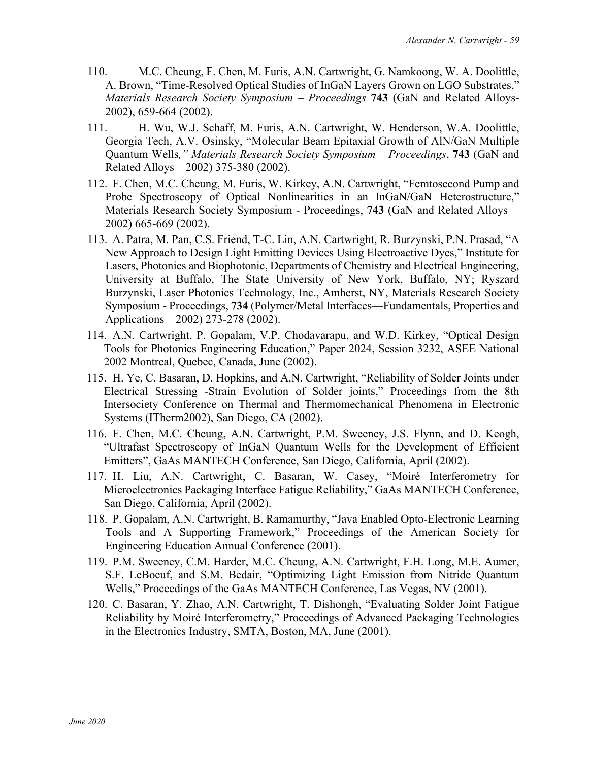- 110. M.C. Cheung, F. Chen, M. Furis, A.N. Cartwright, G. Namkoong, W. A. Doolittle, A. Brown, "Time-Resolved Optical Studies of InGaN Layers Grown on LGO Substrates," *Materials Research Society Symposium – Proceedings* **743** (GaN and Related Alloys-2002), 659-664 (2002).
- 111. H. Wu, W.J. Schaff, M. Furis, A.N. Cartwright, W. Henderson, W.A. Doolittle, Georgia Tech, A.V. Osinsky, "Molecular Beam Epitaxial Growth of AlN/GaN Multiple Quantum Wells*," Materials Research Society Symposium – Proceedings*, **743** (GaN and Related Alloys—2002) 375-380 (2002).
- 112. F. Chen, M.C. Cheung, M. Furis, W. Kirkey, A.N. Cartwright, "Femtosecond Pump and Probe Spectroscopy of Optical Nonlinearities in an InGaN/GaN Heterostructure," Materials Research Society Symposium - Proceedings, **743** (GaN and Related Alloys— 2002) 665-669 (2002).
- 113. A. Patra, M. Pan, C.S. Friend, T-C. Lin, A.N. Cartwright, R. Burzynski, P.N. Prasad, "A New Approach to Design Light Emitting Devices Using Electroactive Dyes," Institute for Lasers, Photonics and Biophotonic, Departments of Chemistry and Electrical Engineering, University at Buffalo, The State University of New York, Buffalo, NY; Ryszard Burzynski, Laser Photonics Technology, Inc., Amherst, NY, Materials Research Society Symposium - Proceedings, **734** (Polymer/Metal Interfaces—Fundamentals, Properties and Applications—2002) 273-278 (2002).
- 114. A.N. Cartwright, P. Gopalam, V.P. Chodavarapu, and W.D. Kirkey, "Optical Design Tools for Photonics Engineering Education," Paper 2024, Session 3232, ASEE National 2002 Montreal, Quebec, Canada, June (2002).
- 115. H. Ye, C. Basaran, D. Hopkins, and A.N. Cartwright, "Reliability of Solder Joints under Electrical Stressing -Strain Evolution of Solder joints," Proceedings from the 8th Intersociety Conference on Thermal and Thermomechanical Phenomena in Electronic Systems (ITherm2002), San Diego, CA (2002).
- 116. F. Chen, M.C. Cheung, A.N. Cartwright, P.M. Sweeney, J.S. Flynn, and D. Keogh, "Ultrafast Spectroscopy of InGaN Quantum Wells for the Development of Efficient Emitters", GaAs MANTECH Conference, San Diego, California, April (2002).
- 117. H. Liu, A.N. Cartwright, C. Basaran, W. Casey, "Moiré Interferometry for Microelectronics Packaging Interface Fatigue Reliability," GaAs MANTECH Conference, San Diego, California, April (2002).
- 118. P. Gopalam, A.N. Cartwright, B. Ramamurthy, "Java Enabled Opto-Electronic Learning Tools and A Supporting Framework," Proceedings of the American Society for Engineering Education Annual Conference (2001).
- 119. P.M. Sweeney, C.M. Harder, M.C. Cheung, A.N. Cartwright, F.H. Long, M.E. Aumer, S.F. LeBoeuf, and S.M. Bedair, "Optimizing Light Emission from Nitride Quantum Wells," Proceedings of the GaAs MANTECH Conference, Las Vegas, NV (2001).
- 120. C. Basaran, Y. Zhao, A.N. Cartwright, T. Dishongh, "Evaluating Solder Joint Fatigue Reliability by Moiré Interferometry," Proceedings of Advanced Packaging Technologies in the Electronics Industry, SMTA, Boston, MA, June (2001).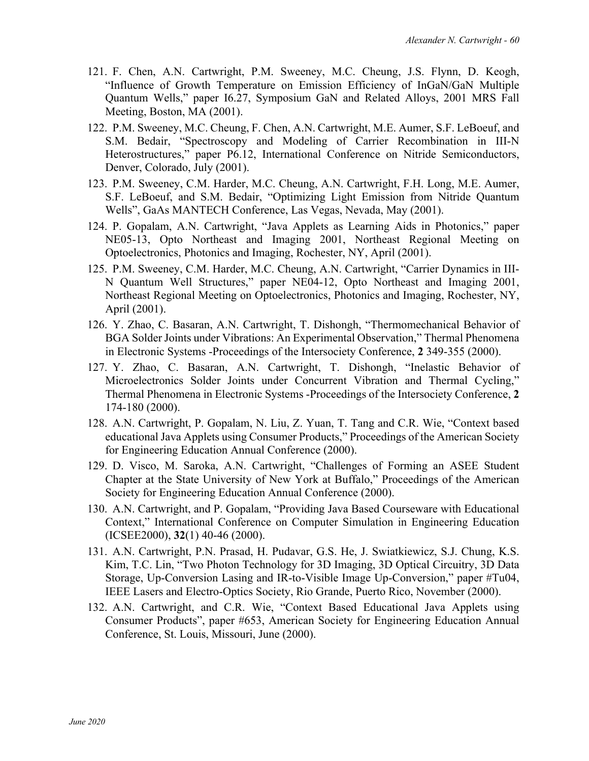- 121. F. Chen, A.N. Cartwright, P.M. Sweeney, M.C. Cheung, J.S. Flynn, D. Keogh, "Influence of Growth Temperature on Emission Efficiency of InGaN/GaN Multiple Quantum Wells," paper I6.27, Symposium GaN and Related Alloys, 2001 MRS Fall Meeting, Boston, MA (2001).
- 122. P.M. Sweeney, M.C. Cheung, F. Chen, A.N. Cartwright, M.E. Aumer, S.F. LeBoeuf, and S.M. Bedair, "Spectroscopy and Modeling of Carrier Recombination in III-N Heterostructures," paper P6.12, International Conference on Nitride Semiconductors, Denver, Colorado, July (2001).
- 123. P.M. Sweeney, C.M. Harder, M.C. Cheung, A.N. Cartwright, F.H. Long, M.E. Aumer, S.F. LeBoeuf, and S.M. Bedair, "Optimizing Light Emission from Nitride Quantum Wells", GaAs MANTECH Conference, Las Vegas, Nevada, May (2001).
- 124. P. Gopalam, A.N. Cartwright, "Java Applets as Learning Aids in Photonics," paper NE05-13, Opto Northeast and Imaging 2001, Northeast Regional Meeting on Optoelectronics, Photonics and Imaging, Rochester, NY, April (2001).
- 125. P.M. Sweeney, C.M. Harder, M.C. Cheung, A.N. Cartwright, "Carrier Dynamics in III-N Quantum Well Structures," paper NE04-12, Opto Northeast and Imaging 2001, Northeast Regional Meeting on Optoelectronics, Photonics and Imaging, Rochester, NY, April (2001).
- 126. Y. Zhao, C. Basaran, A.N. Cartwright, T. Dishongh, "Thermomechanical Behavior of BGA Solder Joints under Vibrations: An Experimental Observation," Thermal Phenomena in Electronic Systems -Proceedings of the Intersociety Conference, **2** 349-355 (2000).
- 127. Y. Zhao, C. Basaran, A.N. Cartwright, T. Dishongh, "Inelastic Behavior of Microelectronics Solder Joints under Concurrent Vibration and Thermal Cycling," Thermal Phenomena in Electronic Systems -Proceedings of the Intersociety Conference, **2** 174-180 (2000).
- 128. A.N. Cartwright, P. Gopalam, N. Liu, Z. Yuan, T. Tang and C.R. Wie, "Context based educational Java Applets using Consumer Products," Proceedings of the American Society for Engineering Education Annual Conference (2000).
- 129. D. Visco, M. Saroka, A.N. Cartwright, "Challenges of Forming an ASEE Student Chapter at the State University of New York at Buffalo," Proceedings of the American Society for Engineering Education Annual Conference (2000).
- 130. A.N. Cartwright, and P. Gopalam, "Providing Java Based Courseware with Educational Context," International Conference on Computer Simulation in Engineering Education (ICSEE2000), **32**(1) 40-46 (2000).
- 131. A.N. Cartwright, P.N. Prasad, H. Pudavar, G.S. He, J. Swiatkiewicz, S.J. Chung, K.S. Kim, T.C. Lin, "Two Photon Technology for 3D Imaging, 3D Optical Circuitry, 3D Data Storage, Up-Conversion Lasing and IR-to-Visible Image Up-Conversion," paper #Tu04, IEEE Lasers and Electro-Optics Society, Rio Grande, Puerto Rico, November (2000).
- 132. A.N. Cartwright, and C.R. Wie, "Context Based Educational Java Applets using Consumer Products", paper #653, American Society for Engineering Education Annual Conference, St. Louis, Missouri, June (2000).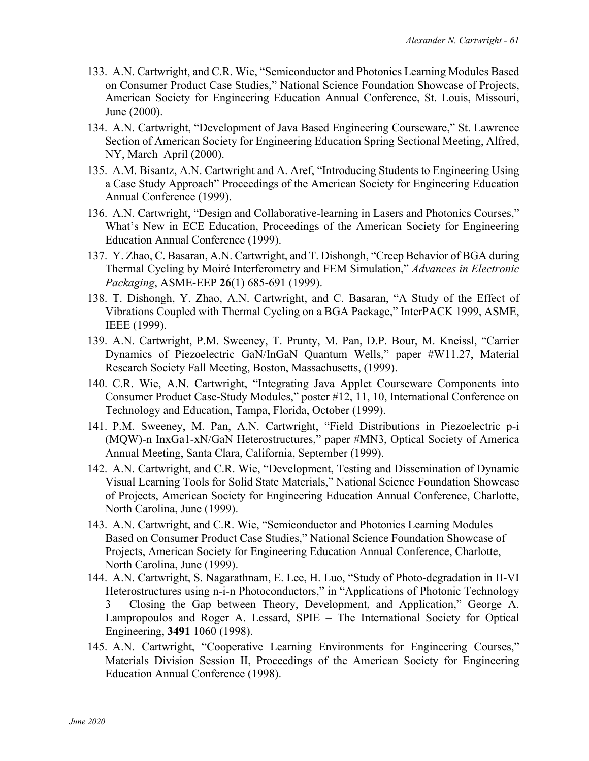- 133. A.N. Cartwright, and C.R. Wie, "Semiconductor and Photonics Learning Modules Based on Consumer Product Case Studies," National Science Foundation Showcase of Projects, American Society for Engineering Education Annual Conference, St. Louis, Missouri, June (2000).
- 134. A.N. Cartwright, "Development of Java Based Engineering Courseware," St. Lawrence Section of American Society for Engineering Education Spring Sectional Meeting, Alfred, NY, March–April (2000).
- 135. A.M. Bisantz, A.N. Cartwright and A. Aref, "Introducing Students to Engineering Using a Case Study Approach" Proceedings of the American Society for Engineering Education Annual Conference (1999).
- 136. A.N. Cartwright, "Design and Collaborative-learning in Lasers and Photonics Courses," What's New in ECE Education, Proceedings of the American Society for Engineering Education Annual Conference (1999).
- 137. Y. Zhao, C. Basaran, A.N. Cartwright, and T. Dishongh, "Creep Behavior of BGA during Thermal Cycling by Moiré Interferometry and FEM Simulation," *Advances in Electronic Packaging*, ASME-EEP **26**(1) 685-691 (1999).
- 138. T. Dishongh, Y. Zhao, A.N. Cartwright, and C. Basaran, "A Study of the Effect of Vibrations Coupled with Thermal Cycling on a BGA Package," InterPACK 1999, ASME, IEEE (1999).
- 139. A.N. Cartwright, P.M. Sweeney, T. Prunty, M. Pan, D.P. Bour, M. Kneissl, "Carrier Dynamics of Piezoelectric GaN/InGaN Quantum Wells," paper #W11.27, Material Research Society Fall Meeting, Boston, Massachusetts, (1999).
- 140. C.R. Wie, A.N. Cartwright, "Integrating Java Applet Courseware Components into Consumer Product Case-Study Modules," poster #12, 11, 10, International Conference on Technology and Education, Tampa, Florida, October (1999).
- 141. P.M. Sweeney, M. Pan, A.N. Cartwright, "Field Distributions in Piezoelectric p-i (MQW)-n InxGa1-xN/GaN Heterostructures," paper #MN3, Optical Society of America Annual Meeting, Santa Clara, California, September (1999).
- 142. A.N. Cartwright, and C.R. Wie, "Development, Testing and Dissemination of Dynamic Visual Learning Tools for Solid State Materials," National Science Foundation Showcase of Projects, American Society for Engineering Education Annual Conference, Charlotte, North Carolina, June (1999).
- 143. A.N. Cartwright, and C.R. Wie, "Semiconductor and Photonics Learning Modules Based on Consumer Product Case Studies," National Science Foundation Showcase of Projects, American Society for Engineering Education Annual Conference, Charlotte, North Carolina, June (1999).
- 144. A.N. Cartwright, S. Nagarathnam, E. Lee, H. Luo, "Study of Photo-degradation in II-VI Heterostructures using n-i-n Photoconductors," in "Applications of Photonic Technology 3 – Closing the Gap between Theory, Development, and Application," George A. Lampropoulos and Roger A. Lessard, SPIE – The International Society for Optical Engineering, **3491** 1060 (1998).
- 145. A.N. Cartwright, "Cooperative Learning Environments for Engineering Courses," Materials Division Session II, Proceedings of the American Society for Engineering Education Annual Conference (1998).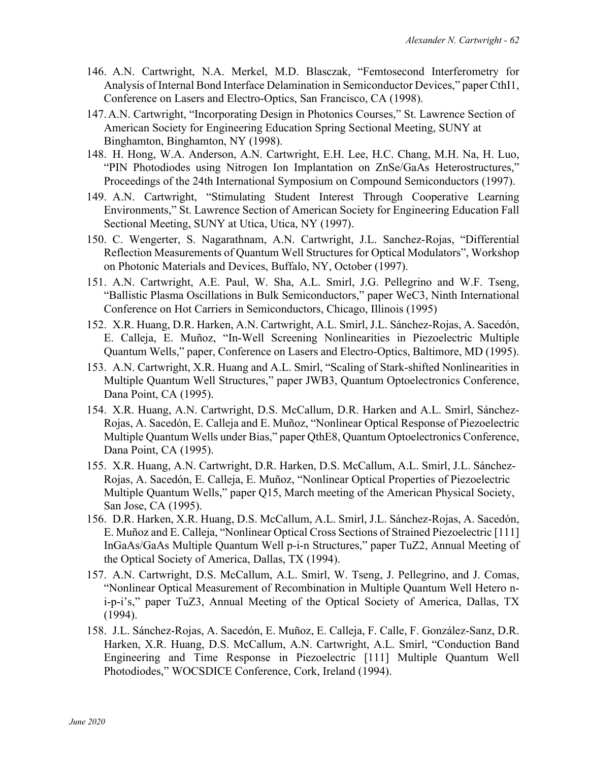- 146. A.N. Cartwright, N.A. Merkel, M.D. Blasczak, "Femtosecond Interferometry for Analysis of Internal Bond Interface Delamination in Semiconductor Devices," paper CthI1, Conference on Lasers and Electro-Optics, San Francisco, CA (1998).
- 147.A.N. Cartwright, "Incorporating Design in Photonics Courses," St. Lawrence Section of American Society for Engineering Education Spring Sectional Meeting, SUNY at Binghamton, Binghamton, NY (1998).
- 148. H. Hong, W.A. Anderson, A.N. Cartwright, E.H. Lee, H.C. Chang, M.H. Na, H. Luo, "PIN Photodiodes using Nitrogen Ion Implantation on ZnSe/GaAs Heterostructures," Proceedings of the 24th International Symposium on Compound Semiconductors (1997).
- 149. A.N. Cartwright, "Stimulating Student Interest Through Cooperative Learning Environments," St. Lawrence Section of American Society for Engineering Education Fall Sectional Meeting, SUNY at Utica, Utica, NY (1997).
- 150. C. Wengerter, S. Nagarathnam, A.N. Cartwright, J.L. Sanchez-Rojas, "Differential Reflection Measurements of Quantum Well Structures for Optical Modulators", Workshop on Photonic Materials and Devices, Buffalo, NY, October (1997).
- 151. A.N. Cartwright, A.E. Paul, W. Sha, A.L. Smirl, J.G. Pellegrino and W.F. Tseng, "Ballistic Plasma Oscillations in Bulk Semiconductors," paper WeC3, Ninth International Conference on Hot Carriers in Semiconductors, Chicago, Illinois (1995)
- 152. X.R. Huang, D.R. Harken, A.N. Cartwright, A.L. Smirl, J.L. Sánchez-Rojas, A. Sacedón, E. Calleja, E. Muñoz, "In-Well Screening Nonlinearities in Piezoelectric Multiple Quantum Wells," paper, Conference on Lasers and Electro-Optics, Baltimore, MD (1995).
- 153. A.N. Cartwright, X.R. Huang and A.L. Smirl, "Scaling of Stark-shifted Nonlinearities in Multiple Quantum Well Structures," paper JWB3, Quantum Optoelectronics Conference, Dana Point, CA (1995).
- 154. X.R. Huang, A.N. Cartwright, D.S. McCallum, D.R. Harken and A.L. Smirl, Sánchez-Rojas, A. Sacedón, E. Calleja and E. Muñoz, "Nonlinear Optical Response of Piezoelectric Multiple Quantum Wells under Bias," paper QthE8, Quantum Optoelectronics Conference, Dana Point, CA (1995).
- 155. X.R. Huang, A.N. Cartwright, D.R. Harken, D.S. McCallum, A.L. Smirl, J.L. Sánchez-Rojas, A. Sacedón, E. Calleja, E. Muñoz, "Nonlinear Optical Properties of Piezoelectric Multiple Quantum Wells," paper Q15, March meeting of the American Physical Society, San Jose, CA (1995).
- 156. D.R. Harken, X.R. Huang, D.S. McCallum, A.L. Smirl, J.L. Sánchez-Rojas, A. Sacedón, E. Muñoz and E. Calleja, "Nonlinear Optical Cross Sections of Strained Piezoelectric [111] InGaAs/GaAs Multiple Quantum Well p-i-n Structures," paper TuZ2, Annual Meeting of the Optical Society of America, Dallas, TX (1994).
- 157. A.N. Cartwright, D.S. McCallum, A.L. Smirl, W. Tseng, J. Pellegrino, and J. Comas, "Nonlinear Optical Measurement of Recombination in Multiple Quantum Well Hetero ni-p-i's," paper TuZ3, Annual Meeting of the Optical Society of America, Dallas, TX (1994).
- 158. J.L. Sánchez-Rojas, A. Sacedón, E. Muñoz, E. Calleja, F. Calle, F. González-Sanz, D.R. Harken, X.R. Huang, D.S. McCallum, A.N. Cartwright, A.L. Smirl, "Conduction Band Engineering and Time Response in Piezoelectric [111] Multiple Quantum Well Photodiodes," WOCSDICE Conference, Cork, Ireland (1994).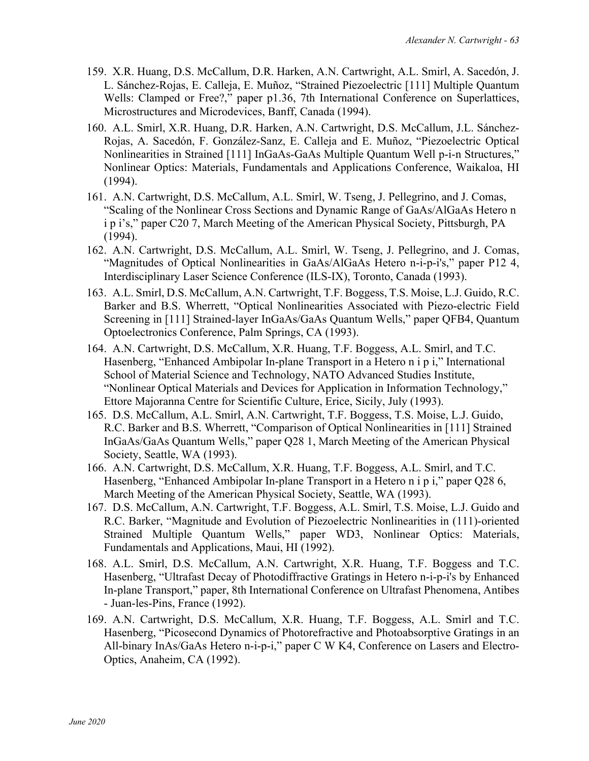- 159. X.R. Huang, D.S. McCallum, D.R. Harken, A.N. Cartwright, A.L. Smirl, A. Sacedón, J. L. Sánchez-Rojas, E. Calleja, E. Muñoz, "Strained Piezoelectric [111] Multiple Quantum Wells: Clamped or Free?," paper p1.36, 7th International Conference on Superlattices, Microstructures and Microdevices, Banff, Canada (1994).
- 160. A.L. Smirl, X.R. Huang, D.R. Harken, A.N. Cartwright, D.S. McCallum, J.L. Sánchez-Rojas, A. Sacedón, F. González-Sanz, E. Calleja and E. Muñoz, "Piezoelectric Optical Nonlinearities in Strained [111] InGaAs-GaAs Multiple Quantum Well p-i-n Structures," Nonlinear Optics: Materials, Fundamentals and Applications Conference, Waikaloa, HI (1994).
- 161. A.N. Cartwright, D.S. McCallum, A.L. Smirl, W. Tseng, J. Pellegrino, and J. Comas, "Scaling of the Nonlinear Cross Sections and Dynamic Range of GaAs/AlGaAs Hetero n i p i's," paper C20 7, March Meeting of the American Physical Society, Pittsburgh, PA (1994).
- 162. A.N. Cartwright, D.S. McCallum, A.L. Smirl, W. Tseng, J. Pellegrino, and J. Comas, "Magnitudes of Optical Nonlinearities in GaAs/AlGaAs Hetero n-i-p-i's," paper P12 4, Interdisciplinary Laser Science Conference (ILS-IX), Toronto, Canada (1993).
- 163. A.L. Smirl, D.S. McCallum, A.N. Cartwright, T.F. Boggess, T.S. Moise, L.J. Guido, R.C. Barker and B.S. Wherrett, "Optical Nonlinearities Associated with Piezo-electric Field Screening in [111] Strained-layer InGaAs/GaAs Quantum Wells," paper QFB4, Quantum Optoelectronics Conference, Palm Springs, CA (1993).
- 164. A.N. Cartwright, D.S. McCallum, X.R. Huang, T.F. Boggess, A.L. Smirl, and T.C. Hasenberg, "Enhanced Ambipolar In-plane Transport in a Hetero n i p i," International School of Material Science and Technology, NATO Advanced Studies Institute, "Nonlinear Optical Materials and Devices for Application in Information Technology," Ettore Majoranna Centre for Scientific Culture, Erice, Sicily, July (1993).
- 165. D.S. McCallum, A.L. Smirl, A.N. Cartwright, T.F. Boggess, T.S. Moise, L.J. Guido, R.C. Barker and B.S. Wherrett, "Comparison of Optical Nonlinearities in [111] Strained InGaAs/GaAs Quantum Wells," paper Q28 1, March Meeting of the American Physical Society, Seattle, WA (1993).
- 166. A.N. Cartwright, D.S. McCallum, X.R. Huang, T.F. Boggess, A.L. Smirl, and T.C. Hasenberg, "Enhanced Ambipolar In-plane Transport in a Hetero n i p i," paper Q28 6, March Meeting of the American Physical Society, Seattle, WA (1993).
- 167. D.S. McCallum, A.N. Cartwright, T.F. Boggess, A.L. Smirl, T.S. Moise, L.J. Guido and R.C. Barker, "Magnitude and Evolution of Piezoelectric Nonlinearities in (111)-oriented Strained Multiple Quantum Wells," paper WD3, Nonlinear Optics: Materials, Fundamentals and Applications, Maui, HI (1992).
- 168. A.L. Smirl, D.S. McCallum, A.N. Cartwright, X.R. Huang, T.F. Boggess and T.C. Hasenberg, "Ultrafast Decay of Photodiffractive Gratings in Hetero n-i-p-i's by Enhanced In-plane Transport," paper, 8th International Conference on Ultrafast Phenomena, Antibes - Juan-les-Pins, France (1992).
- 169. A.N. Cartwright, D.S. McCallum, X.R. Huang, T.F. Boggess, A.L. Smirl and T.C. Hasenberg, "Picosecond Dynamics of Photorefractive and Photoabsorptive Gratings in an All-binary InAs/GaAs Hetero n-i-p-i," paper C W K4, Conference on Lasers and Electro-Optics, Anaheim, CA (1992).